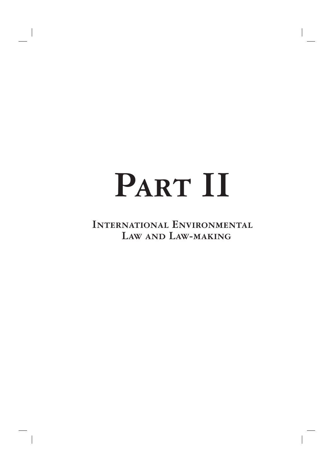# PART II

**International Environmental Law and Law-making**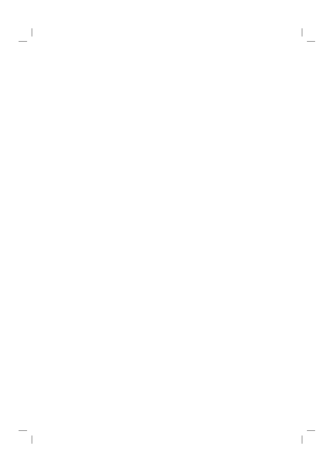$\frac{1}{\sqrt{2}} \int_{-\infty}^{\infty} \frac{1}{\sqrt{2}} \, d \mu \, d \mu$  $\frac{1}{2}$  $\begin{array}{c} - \\ | \end{array}$  $\frac{1}{\sqrt{2}}$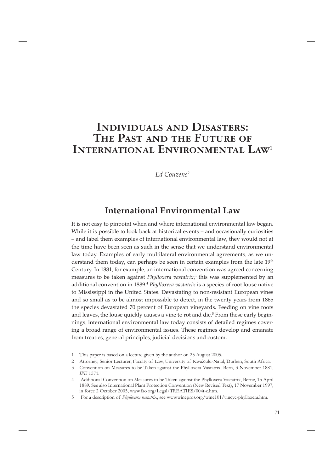# **Individuals and Disasters: The Past and the Future of International Environmental Law**<sup>1</sup>

*Ed Couzens2*

# **International Environmental Law**

It is not easy to pinpoint when and where international environmental law began. While it is possible to look back at historical events – and occasionally curiosities – and label them examples of international environmental law, they would not at the time have been seen as such in the sense that we understand environmental law today. Examples of early multilateral environmental agreements, as we understand them today, can perhaps be seen in certain examples from the late  $19<sup>th</sup>$ Century. In 1881, for example, an international convention was agreed concerning measures to be taken against *Phylloxera vastatrix*; 3 this was supplemented by an additional convention in 1889.4 *Phylloxera vastatrix* is a species of root louse native to Mississippi in the United States. Devastating to non-resistant European vines and so small as to be almost impossible to detect, in the twenty years from 1865 the species devastated 70 percent of European vineyards. Feeding on vine roots and leaves, the louse quickly causes a vine to rot and die.<sup>5</sup> From these early beginnings, international environmental law today consists of detailed regimes covering a broad range of environmental issues. These regimes develop and emanate from treaties, general principles, judicial decisions and custom.

<sup>1</sup> This paper is based on a lecture given by the author on 23 August 2005.

<sup>2</sup> Attorney; Senior Lecturer, Faculty of Law, University of KwaZulu-Natal, Durban, South Africa.

<sup>3</sup> Convention on Measures to be Taken against the Phylloxera Vastatrix, Bern, 3 November 1881, *IPE* 1571.

<sup>4</sup> Additional Convention on Measures to be Taken against the Phylloxera Vastatrix, Berne, 15 April 1889. See also International Plant Protection Convention (New Revised Text), 17 November 1997, in force 2 October 2005, www.fao.org/Legal/TREATIES/004t-e.htm.

<sup>5</sup> For a description of *Phylloxera vastatrix*, see www.winepros.org/wine101/vincyc-phylloxera.htm.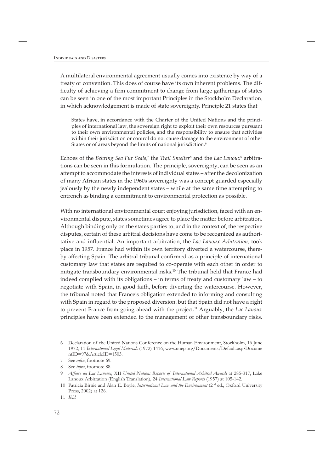A multilateral environmental agreement usually comes into existence by way of a treaty or convention. This does of course have its own inherent problems. The difficulty of achieving a firm commitment to change from large gatherings of states can be seen in one of the most important Principles in the Stockholm Declaration, in which acknowledgement is made of state sovereignty. Principle 21 states that

States have, in accordance with the Charter of the United Nations and the principles of international law, the sovereign right to exploit their own resources pursuant to their own environmental policies, and the responsibility to ensure that activities within their jurisdiction or control do not cause damage to the environment of other States or of areas beyond the limits of national jurisdiction.<sup>6</sup>

Echoes of the *Behring Sea Fur Seals*,<sup>7</sup> the *Trail Smelter*<sup>8</sup> and the *Lac Lanoux*<sup>9</sup> arbitrations can be seen in this formulation. The principle, sovereignty, can be seen as an attempt to accommodate the interests of individual states – after the decolonization of many African states in the 1960s sovereignty was a concept guarded especially jealously by the newly independent states – while at the same time attempting to entrench as binding a commitment to environmental protection as possible.

With no international environmental court enjoying jurisdiction, faced with an environmental dispute, states sometimes agree to place the matter before arbitration. Although binding only on the states parties to, and in the context of, the respective disputes, certain of these arbitral decisions have come to be recognized as authoritative and influential. An important arbitration, the *Lac Lanoux Arbitration*, took place in 1957. France had within its own territory diverted a watercourse, thereby affecting Spain. The arbitral tribunal confirmed as a principle of international customary law that states are required to co-operate with each other in order to mitigate transboundary environmental risks.<sup>10</sup> The tribunal held that France had indeed complied with its obligations – in terms of treaty and customary law – to negotiate with Spain, in good faith, before diverting the watercourse. However, the tribunal noted that France's obligation extended to informing and consulting with Spain in regard to the proposed diversion, but that Spain did not have a right to prevent France from going ahead with the project.11 Arguably, the *Lac Lanoux*  principles have been extended to the management of other transboundary risks.

<sup>6</sup> Declaration of the United Nations Conference on the Human Environment, Stockholm, 16 June 1972, 11 *International Legal Materials* (1972) 1416, www.unep.org/Documents/Default.asp?Docume ntID=97&ArticleID=1503.

<sup>7</sup> See *infra*, footnote 69.

<sup>8</sup> See *infra*, footnote 88.

<sup>9</sup> *Affaire du Lac Lanoux*, XII *United Nations Reports of International Arbitral Awards* at 285-317, Lake Lanoux Arbitration (English Translation), 24 *International Law Reports* (1957) at 105-142.

<sup>10</sup> Patricia Birnie and Alan E. Boyle, *International Law and the Environment* (2nd ed., Oxford University Press, 2002) at 126.

<sup>11</sup> *Ibid.*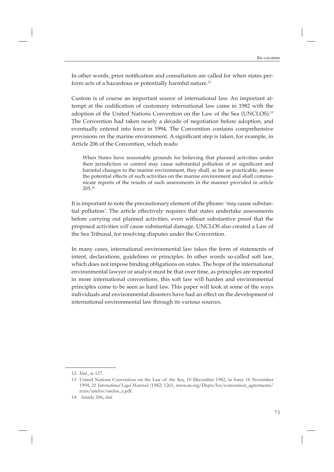In other words, prior notification and consultation are called for when states perform acts of a hazardous or potentially harmful nature.12

Custom is of course an important source of international law. An important attempt at the codification of customary international law came in 1982 with the adoption of the United Nations Convention on the Law of the Sea (UNCLOS).13 The Convention had taken nearly a decade of negotiation before adoption, and eventually entered into force in 1994. The Convention contains comprehensive provisions on the marine environment. A significant step is taken, for example, in Article 206 of the Convention, which reads:

When States have reasonable grounds for believing that planned activities under their jurisdiction or control may cause substantial pollution of or significant and harmful changes to the marine environment, they shall, as far as practicable, assess the potential effects of such activities on the marine environment and shall communicate reports of the results of such assessments in the manner provided in article 205.14

It is important to note the precautionary element of the phrase: '*may* cause substantial pollution'. The article effectively requires that states undertake assessments before carrying out planned activities, even without substantive proof that the proposed activities *will* cause substantial damage. UNCLOS also created a Law of the Sea Tribunal, for resolving disputes under the Convention.

In many cases, international environmental law takes the form of statements of intent, declarations, guidelines or principles. In other words so-called soft law, which does not impose binding obligations on states. The hope of the international environmental lawyer or analyst must be that over time, as principles are repeated in more international conventions, this soft law will harden and environmental principles come to be seen as hard law. This paper will look at some of the ways individuals and environmental disasters have had an effect on the development of international environmental law through its various sources.

<sup>12</sup> *Ibid.*, at 127.

<sup>13</sup> United Nations Convention on the Law of the Sea, 10 December 1982, in force 16 November 1994, 21 *International Legal Materials* (1982) 1261, www.un.org/Depts/los/convention\_agreements/ texts/unclos/unclos\_e.pdf.

<sup>14</sup> Article 206, *ibid*.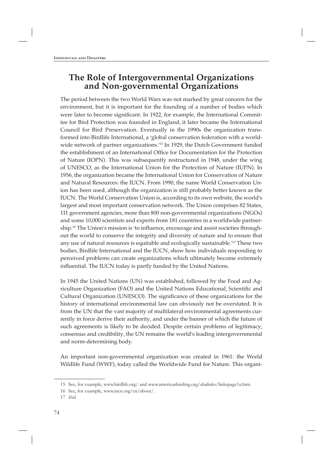# **The Role of Intergovernmental Organizations and Non-governmental Organizations**

The period between the two World Wars was not marked by great concern for the environment, but it is important for the founding of a number of bodies which were later to become significant. In 1922, for example, the International Committee for Bird Protection was founded in England; it later became the International Council for Bird Preservation. Eventually in the 1990s the organization transformed into Birdlife International, a 'global conservation federation with a worldwide network of partner organizations.<sup>15</sup> In 1929, the Dutch Government funded the establishment of an International Office for Documentation for the Protection of Nature (IOPN). This was subsequently restructured in 1948, under the wing of UNESCO, as the International Union for the Protection of Nature (IUPN). In 1956, the organization became the International Union for Conservation of Nature and Natural Resources: the IUCN. From 1990, the name World Conservation Union has been used, although the organization is still probably better known as the IUCN. The World Conservation Union is, according to its own website, the world's largest and most important conservation network. The Union comprises 82 States, 111 government agencies, more than 800 non-governmental organizations (NGOs) and some 10,000 scientists and experts from 181 countries in a worldwide partnership.<sup>16</sup> The Union's mission is 'to influence, encourage and assist societies throughout the world to conserve the integrity and diversity of nature and to ensure that any use of natural resources is equitable and ecologically sustainable.' 17 These two bodies, Birdlife International and the IUCN, show how individuals responding to perceived problems can create organizations which ultimately become extremely influential. The IUCN today is partly funded by the United Nations.

In 1945 the United Nations (UN) was established, followed by the Food and Agriculture Organization (FAO) and the United Nations Educational, Scientific and Cultural Organization (UNESCO). The significance of these organizations for the history of international environmental law can obviously not be overstated. It is from the UN that the vast majority of multilateral environmental agreements currently in force derive their authority, and under the banner of which the future of such agreements is likely to be decided. Despite certain problems of legitimacy, consensus and credibility, the UN remains the world's leading intergovernmental and norm-determining body.

An important non-governmental organization was created in 1961: the World Wildlife Fund (WWF), today called the Worldwide Fund for Nature. This organi-

<sup>15</sup> See, for example, www.birdlife.org/ and www.americanbirding.org/abalinks/linkspage1a.htm.

<sup>16</sup> See, for example, www.iucn.org/en/about/.

<sup>17</sup> *Ibid.*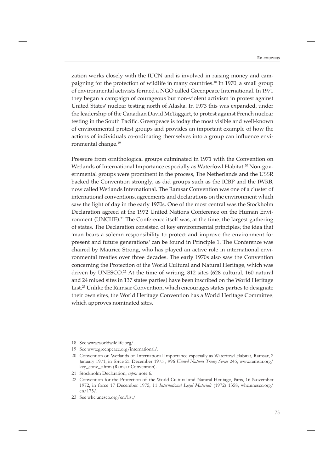zation works closely with the IUCN and is involved in raising money and campaigning for the protection of wildlife in many countries.18 In 1970, a small group of environmental activists formed a NGO called Greenpeace International. In 1971 they began a campaign of courageous but non-violent activism in protest against United States' nuclear testing north of Alaska. In 1973 this was expanded, under the leadership of the Canadian David McTaggart, to protest against French nuclear testing in the South Pacific. Greenpeace is today the most visible and well-known of environmental protest groups and provides an important example of how the actions of individuals co-ordinating themselves into a group can influence environmental change.19

Pressure from ornithological groups culminated in 1971 with the Convention on Wetlands of International Importance especially as Waterfowl Habitat.<sup>20</sup> Non-governmental groups were prominent in the process; The Netherlands and the USSR backed the Convention strongly, as did groups such as the ICBP and the IWRB, now called Wetlands International. The Ramsar Convention was one of a cluster of international conventions, agreements and declarations on the environment which saw the light of day in the early 1970s. One of the most central was the Stockholm Declaration agreed at the 1972 United Nations Conference on the Human Environment (UNCHE).21 The Conference itself was, at the time, the largest gathering of states. The Declaration consisted of key environmental principles; the idea that 'man bears a solemn responsibility to protect and improve the environment for present and future generations' can be found in Principle 1. The Conference was chaired by Maurice Strong, who has played an active role in international environmental treaties over three decades. The early 1970s also saw the Convention concerning the Protection of the World Cultural and Natural Heritage, which was driven by UNESCO.<sup>22</sup> At the time of writing, 812 sites (628 cultural, 160 natural and 24 mixed sites in 137 states parties) have been inscribed on the World Heritage List.23 Unlike the Ramsar Convention, which encourages states parties to designate their own sites, the World Heritage Convention has a World Heritage Committee, which approves nominated sites.

<sup>18</sup> See www.worldwildlife.org/.

<sup>19</sup> See www.greenpeace.org/international/.

<sup>20</sup> Convention on Wetlands of International Importance especially as Waterfowl Habitat, Ramsar, 2 January 1971, in force 21 December 1975 , 996 *United Nations Treaty Series* 245, www.ramsar.org/ key\_conv\_e.htm (Ramsar Convention).

<sup>21</sup> Stockholm Declaration, *supra* note 6.

<sup>22</sup> Convention for the Protection of the World Cultural and Natural Heritage, Paris, 16 November 1972, in force 17 December 1975, 11 *International Legal Materials* (1972) 1358, whc.unesco.org/ en/175/.

<sup>23</sup> See whc.unesco.org/en/list/.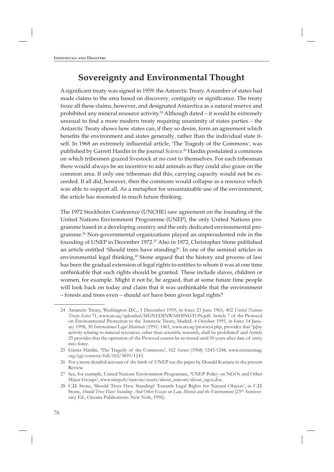# **Sovereignty and Environmental Thought**

A significant treaty was signed in 1959: the Antarctic Treaty. A number of states had made claims to the area based on discovery, contiguity or significance. The treaty froze all these claims, however, and designated Antarctica as a natural reserve and prohibited any mineral resource activity.<sup>24</sup> Although dated – it would be extremely unusual to find a more modern treaty requiring unanimity of states parties – the Antarctic Treaty shows how states can, if they so desire, form an agreement which benefits the environment and states generally, rather than the individual state itself. In 1968 an extremely influential article, 'The Tragedy of the Commons', was published by Garrett Hardin in the journal *Science*. 25 Hardin postulated a commons on which tribesmen grazed livestock at no cost to themselves. For each tribesman there would always be an incentive to add animals as they could also graze on the common area. If only one tribesman did this, carrying capacity would not be exceeded. If all did, however, then the commons would collapse as a resource which was able to support all. As a metaphor for unsustainable use of the environment, the article has resonated in much future thinking.

The 1972 Stockholm Conference (UNCHE) saw agreement on the founding of the United Nations Environment Programme (UNEP), the only United Nations programme based in a developing country and the only dedicated environmental programme.26 Non-governmental organizations played an unprecedented role in the founding of UNEP in December 1972.<sup>27</sup> Also in 1972, Christopher Stone published an article entitled 'Should trees have standing?'. In one of the seminal articles in environmental legal thinking, 28 Stone argued that the history and process of law has been the gradual extension of legal rights to entities to whom it was at one time unthinkable that such rights should be granted. These include slaves, children or women, for example. Might it not be, he argued, that at some future time people will look back on today and claim that it was unthinkable that the environment – forests and trees even – should *not* have been given legal rights?

<sup>24</sup> Antarctic Treaty, Washington D.C., 1 December 1959, in force 23 June 1961, 402 *United Nations Treaty Series* 71, www.ats.aq/uploaded/SIGNEDINWASHINGTON.pdf. Article 7 of the Protocol on Environmental Protection to the Antarctic Treaty, Madrid, 4 October 1991, in force 14 January 1998, 30 *International Legal Materials* (1991) 1461, www.ats.aq/protocol.php, provides that '[a]ny activity relating to mineral resources, other than scientific research, shall be prohibited' and Article 25 provides that the operation of the Protocol cannot be reviewed until 50 years after date of entry into force.

<sup>25</sup> Garret Hardin, 'The Tragedy of the Commons', 162 *Science* (1968) 1243-1248, www.sciencemag. org/cgi/content/full/162/3859/1243.

<sup>26</sup> For a more detailed account of the birth of UNEP see the paper by Donald Kaniaru in the present Review.

<sup>27</sup> See, for example, United Nations Environment Programme, 'UNEP Policy on NGOs and Other Major Groups', www.unep.ch/natcom/assets/about\_natcom/about\_ngos.doc.

<sup>28</sup> C.D. Stone, 'Should Trees Have Standing? Towards Legal Rights for Natural Objects', in C.D. Stone, *Should Trees Have Standing: And Other Essays on Law, Morals and the Environment* (25<sup>th</sup> Anniversary Ed., Oceana Publications: New York, 1996).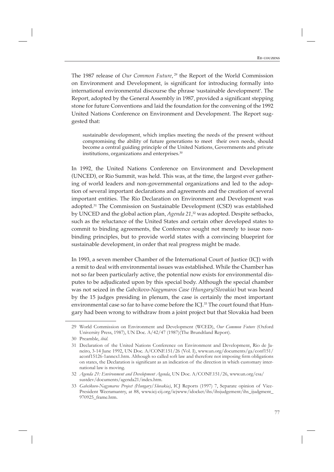The 1987 release of *Our Common Future*, 29 the Report of the World Commission on Environment and Development, is significant for introducing formally into international environmental discourse the phrase 'sustainable development'. The Report, adopted by the General Assembly in 1987, provided a significant stepping stone for future Conventions and laid the foundation for the convening of the 1992 United Nations Conference on Environment and Development. The Report suggested that:

sustainable development, which implies meeting the needs of the present without compromising the ability of future generations to meet their own needs, should become a central guiding principle of the United Nations, Governments and private institutions, organizations and enterprises.<sup>30</sup>

In 1992, the United Nations Conference on Environment and Development (UNCED), or Rio Summit, was held. This was, at the time, the largest ever gathering of world leaders and non-governmental organizations and led to the adoption of several important declarations and agreements and the creation of several important entities. The Rio Declaration on Environment and Development was adopted.31 The Commission on Sustainable Development (CSD) was established by UNCED and the global action plan, *Agenda 21*, 32 was adopted. Despite setbacks, such as the reluctance of the United States and certain other developed states to commit to binding agreements, the Conference sought not merely to issue nonbinding principles, but to provide world states with a convincing blueprint for sustainable development, in order that real progress might be made.

In 1993, a seven member Chamber of the International Court of Justice (ICJ) with a remit to deal with environmental issues was established. While the Chamber has not so far been particularly active, the potential now exists for environmental disputes to be adjudicated upon by this special body. Although the special chamber was not seized in the *Gabcikovo-Nagymaros Case (Hungary/Slovakia)* but was heard by the 15 judges presiding in plenum, the case is certainly the most important environmental case so far to have come before the ICJ.<sup>33</sup> The court found that Hungary had been wrong to withdraw from a joint project but that Slovakia had been

<sup>29</sup> World Commission on Environment and Development (WCED), *Our Common Future* (Oxford University Press, 1987), UN Doc. A/42/47 (1987)(The Brundtland Report).

<sup>30</sup> Preamble, *ibid*.

<sup>31</sup> Declaration of the United Nations Conference on Environment and Development, Rio de Janeiro, 3-14 June 1992, UN Doc. A/CONF.151/26 (Vol. I), www.un.org/documents/ga/conf151/ aconf15126-1annex1.htm. Although so called soft law and therefore not imposing firm obligations on states, the Declaration is significant as an indication of the direction in which customary international law is moving.

<sup>32</sup> *Agenda 21: Environment and Development Agenda*, UN Doc. A/CONF.151/26, www.un.org/esa/ sustdev/documents/agenda21/index.htm.

<sup>33</sup> *Gabcikovo-Nagymaros Project (Hungary/Slovakia)*, ICJ Reports (1997) 7, Separate opinion of Vice-President Weeramantry, at 88, www.icj-cij.org/icjwww/idocket/ihs/ihsjudgement/ihs\_ijudgment\_ 970925\_frame.htm.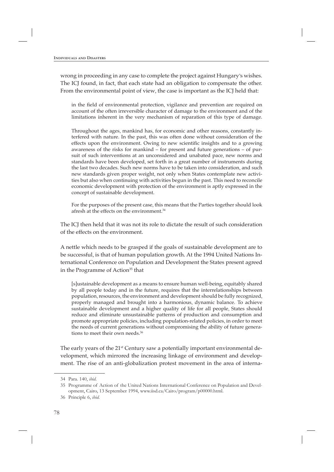wrong in proceeding in any case to complete the project against Hungary's wishes. The ICJ found, in fact, that each state had an obligation to compensate the other. From the environmental point of view, the case is important as the ICJ held that:

in the field of environmental protection, vigilance and prevention are required on account of the often irreversible character of damage to the environment and of the limitations inherent in the very mechanism of reparation of this type of damage.

Throughout the ages, mankind has, for economic and other reasons, constantly interfered with nature. In the past, this was often done without consideration of the effects upon the environment. Owing to new scientific insights and to a growing awareness of the risks for mankind – for present and future generations – of pursuit of such interventions at an unconsidered and unabated pace, new norms and standards have been developed, set forth in a great number of instruments during the last two decades. Such new norms have to be taken into consideration, and such new standards given proper weight, not only when States contemplate new activities but also when continuing with activities begun in the past. This need to reconcile economic development with protection of the environment is aptly expressed in the concept of sustainable development.

For the purposes of the present case, this means that the Parties together should look afresh at the effects on the environment.34

The ICJ then held that it was not its role to dictate the result of such consideration of the effects on the environment.

A nettle which needs to be grasped if the goals of sustainable development are to be successful, is that of human population growth. At the 1994 United Nations International Conference on Population and Development the States present agreed in the Programme of Action<sup>35</sup> that

[s]ustainable development as a means to ensure human well-being, equitably shared by all people today and in the future, requires that the interrelationships between population, resources, the environment and development should be fully recognized, properly managed and brought into a harmonious, dynamic balance. To achieve sustainable development and a higher quality of life for all people, States should reduce and eliminate unsustainable patterns of production and consumption and promote appropriate policies, including population-related policies, in order to meet the needs of current generations without compromising the ability of future generations to meet their own needs.<sup>36</sup>

The early years of the 21<sup>st</sup> Century saw a potentially important environmental development, which mirrored the increasing linkage of environment and development. The rise of an anti-globalization protest movement in the area of interna-

<sup>34</sup> Para. 140, *ibid*.

<sup>35</sup> Programme of Action of the United Nations International Conference on Population and Development, Cairo, 13 September 1994, www.iisd.ca/Cairo/program/p00000.html.

<sup>36</sup> Principle 6, *ibid*.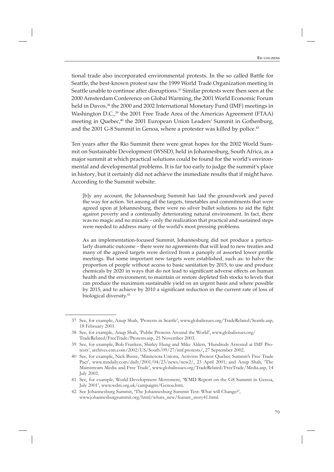tional trade also incorporated environmental protests. In the so called Battle for Seattle, the best-known protest saw the 1999 World Trade Organization meeting in Seattle unable to continue after disruptions.<sup>37</sup> Similar protests were then seen at the 2000 Amsterdam Conference on Global Warming, the 2001 World Economic Forum held in Davos, 38 the 2000 and 2002 International Monetary Fund (IMF) meetings in Washington D.C., 39 the 2001 Free Trade Area of the Americas Agreement (FTAA) meeting in Quebec, 40 the 2001 European Union Leaders' Summit in Gothenburg, and the 2001 G-8 Summit in Genoa, where a protester was killed by police.<sup>41</sup>

Ten years after the Rio Summit there were great hopes for the 2002 World Summit on Sustainable Development (WSSD), held in Johannesburg, South Africa, as a major summit at which practical solutions could be found for the world's environmental and developmental problems. It is far too early to judge the summit's place in history, but it certainly did not achieve the immediate results that if might have. According to the Summit website:

[b]y any account, the Johannesburg Summit has laid the groundwork and paved the way for action. Yet among all the targets, timetables and commitments that were agreed upon at Johannesburg, there were no silver bullet solutions to aid the fight against poverty and a continually deteriorating natural environment. In fact, there was no magic and no miracle – only the realization that practical and sustained steps were needed to address many of the world's most pressing problems.

As an implementation-focused Summit, Johannesburg did not produce a particularly dramatic outcome – there were no agreements that will lead to new treaties and many of the agreed targets were derived from a panoply of assorted lower profile meetings. But some important new targets were established, such as: to halve the proportion of people without access to basic sanitation by 2015; to use and produce chemicals by 2020 in ways that do not lead to significant adverse effects on human health and the environment; to maintain or restore depleted fish stocks to levels that can produce the maximum sustainable yield on an urgent basis and where possible by 2015; and to achieve by 2010 a significant reduction in the current rate of loss of biological diversity.42

<sup>37</sup> See, for example, Anup Shah, 'Protests in Seattle', www.globalissues.org/TradeRelated/Seattle.asp, 18 February 2001.

<sup>38</sup> See, for example, Anup Shah, 'Public Protests Around the World', www.globalissues.org/ TradeRelated/FreeTrade/Protests.asp, 25 November 2003.

<sup>39</sup> See, for example, Bob Franken, Shirley Hung and Mike Ahlers, 'Hundreds Arrested at IMF Protests', archives.cnn.com/2002/US/South/09/27/imf.protests/, 27 September 2002.

<sup>40</sup> See, for example, Nick Busse, 'Minnesota Unions, Activists Protest Quebec Summit's Free Trade Pact', www.mndaily.com/daily/2001/04/23/news/new2/, 23 April 2001; and Anup Shah, 'The Mainstream Media and Free Trade', www.globalissues.org/TradeRelated/FreeTrade/Media.asp, 14 July 2002.

<sup>41</sup> See, for example, World Development Movement, 'WMD Report on the G8 Summit in Genoa, July 2001', www.wdm.org.uk/campaigns/Genoa.htm.

<sup>42</sup> See Johannesburg Summit, 'The Johannesburg Summit Test: What will Change?', www.johannesburgsummit.org/html/whats\_new/feature\_story41.html.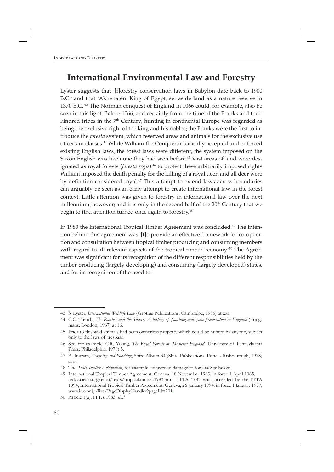## **International Environmental Law and Forestry**

Lyster suggests that '[f]orestry conservation laws in Babylon date back to 1900 B.C.' and that 'Akhenaten, King of Egypt, set aside land as a nature reserve in 1370 B.C.' 43 The Norman conquest of England in 1066 could, for example, also be seen in this light. Before 1066, and certainly from the time of the Franks and their kindred tribes in the  $7<sup>th</sup>$  Century, hunting in continental Europe was regarded as being the exclusive right of the king and his nobles; the Franks were the first to introduce the *foresta* system, which reserved areas and animals for the exclusive use of certain classes.44 While William the Conqueror basically accepted and enforced existing English laws, the forest laws were different; the system imposed on the Saxon English was like none they had seen before.45 Vast areas of land were designated as royal forests (*foresta regis*); 46 to protect these arbitrarily imposed rights William imposed the death penalty for the killing of a royal deer, and all deer were by definition considered royal.<sup>47</sup> This attempt to extend laws across boundaries can arguably be seen as an early attempt to create international law in the forest context. Little attention was given to forestry in international law over the next millennium, however; and it is only in the second half of the 20<sup>th</sup> Century that we begin to find attention turned once again to forestry.<sup>48</sup>

In 1983 the International Tropical Timber Agreement was concluded.<sup>49</sup> The intention behind this agreement was '[t]o provide an effective framework for co-operation and consultation between tropical timber producing and consuming members with regard to all relevant aspects of the tropical timber economy.<sup>50</sup> The Agreement was significant for its recognition of the different responsibilities held by the timber producing (largely developing) and consuming (largely developed) states, and for its recognition of the need to:

<sup>43</sup> S. Lyster, *International Wildlife Law* (Grotius Publications: Cambridge, 1985) at xxi.

<sup>44</sup> C.C. Trench, *The Poacher and the Squire: A history of poaching and game preservation in England* (Longmans: London, 1967) at 16.

<sup>45</sup> Prior to this wild animals had been ownerless property which could be hunted by anyone, subject only to the laws of trespass.

<sup>46</sup> See, for example, C.R. Young, *The Royal Forests of Medieval England* (University of Pennsylvania Press: Philadelphia, 1979) 5.

<sup>47</sup> A. Ingram, *Trapping and Poaching*, Shire Album 34 (Shire Publications: Princes Risbourough, 1978) at 5.

<sup>48</sup> The *Trail Smelter Arbitration*, for example, concerned damage to forests. See below.

<sup>49</sup> International Tropical Timber Agreement, Geneva, 18 November 1983, in force 1 April 1985, sedac.ciesin.org/entri/texts/tropical.timber.1983.html. ITTA 1983 was succeeded by the ITTA 1994, International Tropical Timber Agreement, Geneva, 26 January 1994, in force 1 January 1997, www.itto.or.jp/live/PageDisplayHandler?pageId=201.

<sup>50</sup> Article 1(a), ITTA 1983, *ibid*.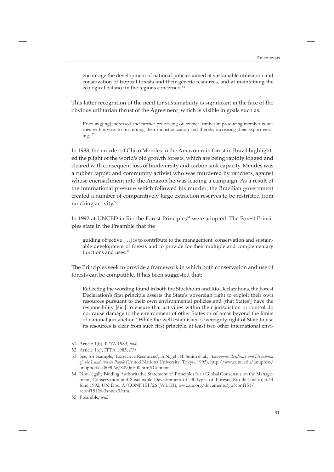encourage the development of national policies aimed at sustainable utilization and conservation of tropical forests and their genetic resources, and at maintaining the ecological balance in the regions concerned.<sup>51</sup>

This latter recognition of the need for sustainability is significant in the face of the obvious utilitarian thrust of the Agreement, which is visible in goals such as:

Encourag[ing] increased and further processing of tropical timber in producing member countries with a view to promoting their industrialization and thereby increasing their export earnings.<sup>52</sup>

In 1988, the murder of Chico Mendes in the Amazon rain forest in Brazil highlighted the plight of the world's old growth forests, which are being rapidly logged and cleared with consequent loss of biodiversity and carbon sink capacity. Mendes was a rubber tapper and community activist who was murdered by ranchers, against whose encroachment into the Amazon he was leading a campaign. As a result of the international pressure which followed his murder, the Brazilian government created a number of comparatively large extraction reserves to be restricted from ranching activity.53

In 1992 at UNCED in Rio the Forest Principles<sup>54</sup> were adopted. The Forest Principles state in the Preamble that the

guiding objective […] is to contribute to the management, conservation and sustainable development of forests and to provide for their multiple and complementary functions and uses.<sup>55</sup>

The Principles seek to provide a framework in which both conservation and use of forests can be compatible. It has been suggested that:

Reflecting the wording found in both the Stockholm and Rio Declarations, the Forest Declaration's first principle asserts the State's 'sovereign right to exploit their own resources pursuant to their own environmental policies and [that States'] have the responsibility [sic.] to ensure that activities within their jurisdiction or control do not cause damage to the environment of other States or of areas beyond the limits of national jurisdiction.' While the well established sovereignty right of State to use its resources is clear from such first principle, at least two other international envi-

<sup>51</sup> Article 1(h), ITTA 1983, *ibid*.

<sup>52</sup> Article 1(e), ITTA 1983, *ibid*.

<sup>53</sup> See, for example, 'Extractive Resources', in Nigel J.H. Smith et al., *Amazonia: Resiliency and Dynamism of the Land and its People* (United Nations University: Tokyo, 1995), http://www.unu.edu/unupress/ unupbooks/80906e/80906E00.htm#Contents.

<sup>54</sup> Non-legally Binding Authoritative Statement of Principles for a Global Consensus on the Management, Conservation and Sustainable Development of all Types of Forests, Rio de Janeiro, 3-14 June 1992, UN Doc. A/CONF.151/26 (Vol. III), www.un.org/documents/ga/conf151/ aconf15126-3annex3.htm.

<sup>55</sup> Preamble, *ibid*.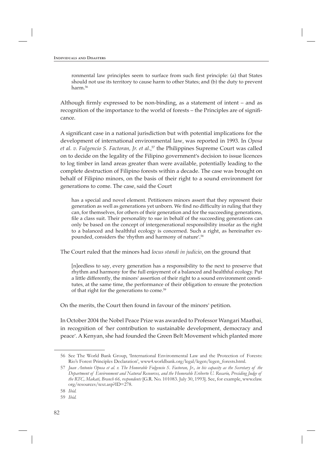ronmental law principles seem to surface from such first principle: (a) that States should not use its territory to cause harm to other States; and (b) the duty to prevent harm.<sup>56</sup>

Although firmly expressed to be non-binding, as a statement of intent  $-$  and as recognition of the importance to the world of forests – the Principles are of signifi cance.

A significant case in a national jurisdiction but with potential implications for the development of international environmental law, was reported in 1993. In *Oposa et al. v. Fulgencio S. Factoran, Jr. et al.*, 57 the Philippines Supreme Court was called on to decide on the legality of the Filipino government's decision to issue licences to log timber in land areas greater than were available, potentially leading to the complete destruction of Filipino forests within a decade. The case was brought on behalf of Filipino minors, on the basis of their right to a sound environment for generations to come. The case, said the Court

has a special and novel element. Petitioners minors assert that they represent their generation as well as generations yet unborn. We find no difficulty in ruling that they can, for themselves, for others of their generation and for the succeeding generations, file a class suit. Their personality to sue in behalf of the succeeding generations can only be based on the concept of intergenerational responsibility insofar as the right to a balanced and healthful ecology is concerned. Such a right, as hereinafter expounded, considers the 'rhythm and harmony of nature'. 58

The Court ruled that the minors had *locus standi in judicio*, on the ground that

[n]eedless to say, every generation has a responsibility to the next to preserve that rhythm and harmony for the full enjoyment of a balanced and healthful ecology. Put a little differently, the minors' assertion of their right to a sound environment constitutes, at the same time, the performance of their obligation to ensure the protection of that right for the generations to come.<sup>59</sup>

On the merits, the Court then found in favour of the minors' petition.

In October 2004 the Nobel Peace Prize was awarded to Professor Wangari Maathai, in recognition of 'her contribution to sustainable development, democracy and peace'. A Kenyan, she had founded the Green Belt Movement which planted more

<sup>56</sup> See The World Bank Group, 'International Environmental Law and the Protection of Forests: Rio's Forest Principles Declaration', www4.worldbank.org/legal/legen/legen\_forests.html.

<sup>57</sup> *Juan Antonio Oposa et al. v. The Honorable Fulgencio S. Factoran, Jr., in his capacity as the Secretary of the Department of Environment and Natural Resources, and the Honorable Eriberto U. Rosario, Presiding Judge of the RTC, Makati, Branch 66, respondents* [G.R. No. 101083. July 30, 1993]. See, for example, www.elaw. org/resources/text.asp?ID=278.

<sup>58</sup> *Ibid.*

<sup>59</sup> *Ibid.*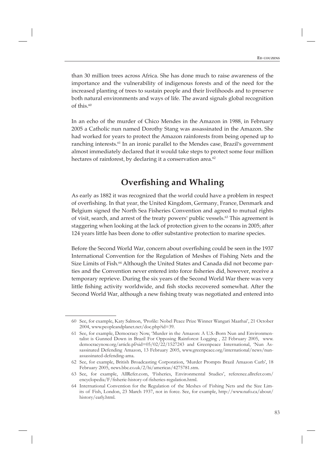than 30 million trees across Africa. She has done much to raise awareness of the importance and the vulnerability of indigenous forests and of the need for the increased planting of trees to sustain people and their livelihoods and to preserve both natural environments and ways of life. The award signals global recognition of this.<sup>60</sup>

In an echo of the murder of Chico Mendes in the Amazon in 1988, in February 2005 a Catholic nun named Dorothy Stang was assassinated in the Amazon. She had worked for years to protect the Amazon rainforests from being opened up to ranching interests.<sup>61</sup> In an ironic parallel to the Mendes case, Brazil's government almost immediately declared that it would take steps to protect some four million hectares of rainforest, by declaring it a conservation area.<sup>62</sup>

# **Overfishing and Whaling**

As early as 1882 it was recognized that the world could have a problem in respect of overfishing. In that year, the United Kingdom, Germany, France, Denmark and Belgium signed the North Sea Fisheries Convention and agreed to mutual rights of visit, search, and arrest of the treaty powers' public vessels.<sup>63</sup> This agreement is staggering when looking at the lack of protection given to the oceans in 2005; after 124 years little has been done to offer substantive protection to marine species.

Before the Second World War, concern about overfishing could be seen in the 1937 International Convention for the Regulation of Meshes of Fishing Nets and the Size Limits of Fish.64 Although the United States and Canada did not become parties and the Convention never entered into force fisheries did, however, receive a temporary reprieve. During the six years of the Second World War there was very little fishing activity worldwide, and fish stocks recovered somewhat. After the Second World War, although a new fishing treaty was negotiated and entered into

<sup>60</sup> See, for example, Katy Salmon, 'Profile: Nobel Peace Prize Winner Wangari Maathai', 21 October 2004, www.peopleandplanet.net/doc.php?id=39.

<sup>61</sup> See, for example, Democracy Now, 'Murder in the Amazon: A U.S.-Born Nun and Environmentalist is Gunned Down in Brazil For Opposing Rainforest Logging , 22 February 2005, www. democracynow.org/article.pl?sid=05/02/22/1527243 and Greenpeace International, 'Nun Assassinated Defending Amazon, 13 February 2005, www.greenpeace.org/international/news/nunassassinated-defending-ama.

<sup>62</sup> See, for example, British Broadcasting Corporation, 'Murder Prompts Brazil Amazon Curb', 18 February 2005, news.bbc.co.uk/2/hi/americas/4275781.stm.

<sup>63</sup> See, for example, AllRefer.com, 'Fisheries, Environmental Studies', reference.allrefer.com/ encyclopedia/F/fisherie-history-of-fisheries-regulation.html.

<sup>64</sup> International Convention for the Regulation of the Meshes of Fishing Nets and the Size Limits of Fish, London, 23 March 1937, not in force. See, for example, http://www.nafo.ca/about/ history/early.html.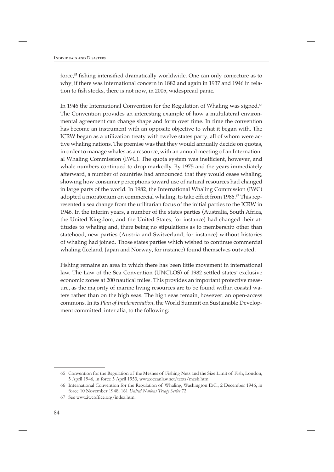#### **Individuals and Disasters**

force,<sup>65</sup> fishing intensified dramatically worldwide. One can only conjecture as to why, if there was international concern in 1882 and again in 1937 and 1946 in relation to fish stocks, there is not now, in 2005, widespread panic.

In 1946 the International Convention for the Regulation of Whaling was signed.<sup>66</sup> The Convention provides an interesting example of how a multilateral environmental agreement can change shape and form over time. In time the convention has become an instrument with an opposite objective to what it began with. The ICRW began as a utilization treaty with twelve states party, all of whom were active whaling nations. The premise was that they would annually decide on quotas, in order to manage whales as a resource, with an annual meeting of an International Whaling Commission (IWC). The quota system was inefficient, however, and whale numbers continued to drop markedly. By 1975 and the years immediately afterward, a number of countries had announced that they would cease whaling, showing how consumer perceptions toward use of natural resources had changed in large parts of the world. In 1982, the International Whaling Commission (IWC) adopted a moratorium on commercial whaling, to take effect from 1986.<sup>67</sup> This represented a sea change from the utilitarian focus of the initial parties to the ICRW in 1946. In the interim years, a number of the states parties (Australia, South Africa, the United Kingdom, and the United States, for instance) had changed their attitudes to whaling and, there being no stipulations as to membership other than statehood, new parties (Austria and Switzerland, for instance) without histories of whaling had joined. Those states parties which wished to continue commercial whaling (Iceland, Japan and Norway, for instance) found themselves outvoted.

Fishing remains an area in which there has been little movement in international law. The Law of the Sea Convention (UNCLOS) of 1982 settled states' exclusive economic zones at 200 nautical miles. This provides an important protective measure, as the majority of marine living resources are to be found within coastal waters rather than on the high seas. The high seas remain, however, an open-access commons. In its *Plan of Implementation*, the World Summit on Sustainable Development committed, inter alia, to the following:

<sup>65</sup> Convention for the Regulation of the Meshes of Fishing Nets and the Size Limit of Fish, London, 5 April 1946, in force 5 April 1953, www.oceanlaw.net/texts/mesh.htm.

<sup>66</sup> International Convention for the Regulation of Whaling, Washington D.C., 2 December 1946, in force 10 November 1948, 161 *United Nations Treaty Series* 72.

<sup>67</sup> See www.iwcoffice.org/index.htm.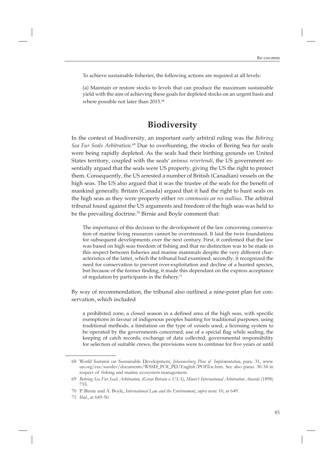To achieve sustainable fisheries, the following actions are required at all levels:

(a) Maintain or restore stocks to levels that can produce the maximum sustainable yield with the aim of achieving these goals for depleted stocks on an urgent basis and where possible not later than 2015.<sup>68</sup>

## **Biodiversity**

In the context of biodiversity, an important early arbitral ruling was the *Behring Sea Fur Seals Arbitration*. <sup>69</sup> Due to overhunting, the stocks of Bering Sea fur seals were being rapidly depleted. As the seals had their birthing grounds on United States territory, coupled with the seals' *animus revertendi*, the US government essentially argued that the seals were US property, giving the US the right to protect them. Consequently, the US arrested a number of British (Canadian) vessels on the high seas. The US also argued that it was the trustee of the seals for the benefit of mankind generally. Britain (Canada) argued that it had the right to hunt seals on the high seas as they were property either *res communis* or *res nullius*. The arbitral tribunal found against the US arguments and freedom of the high seas was held to be the prevailing doctrine.<sup>70</sup> Birnie and Boyle comment that:

The importance of this decision to the development of the law concerning conservation of marine living resources cannot be overstressed. It laid the twin foundations for subsequent developments over the next century. First, it confirmed that the law was based on high seas freedom of fishing and that no distinction was to be made in this respect between fisheries and marine mammals despite the very different characteristics of the latter, which the tribunal had examined; secondly, it recognized the need for conservation to prevent over-exploitation and decline of a hunted species, but because of the former finding, it made this dependant on the express acceptance of regulation by participants in the fishery. $71$ 

By way of recommendation, the tribunal also outlined a nine-point plan for conservation, which included

a prohibited zone; a closed season in a defined area of the high seas, with specific exemptions in favour of indigenous peoples hunting for traditional purposes, using traditional methods; a limitation on the type of vessels used; a licensing system to be operated by the governments concerned; use of a special flag while sealing; the keeping of catch records; exchange of data collected; governmental responsibility for selection of suitable crews; the provisions were to continue for five years or until

<sup>68</sup> World Summit on Sustainable Development, *Johannesburg Plan of Implementation*, para. 31, www. un.org/esa/sustdev/documents/WSSD\_POI\_PD/English/POIToc.htm. See also paras. 30-34 in respect of fishing and marine ecosystem management.

<sup>69</sup> *Behring Sea Fur Seals Arbitration, (Great Britain v. USA)*, *Moore's International Arbitration Awards* (1898) 755.

<sup>70</sup> P. Birnie and A. Boyle, *International Law and the Environment*, *supra* note 10, at 649.

<sup>71</sup> *Ibid*., at 649-50.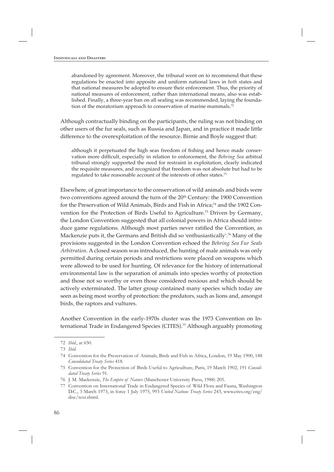abandoned by agreement. Moreover, the tribunal went on to recommend that these regulations be enacted into apposite and uniform national laws in *both* states and that national measures be adopted to ensure their enforcement. Thus, the priority of national measures of enforcement, rather than international means, also was established. Finally, a three-year ban on all sealing was recommended, laying the foundation of the moratorium approach to conservation of marine mammals.<sup>72</sup>

Although contractually binding on the participants, the ruling was not binding on other users of the fur seals, such as Russia and Japan, and in practice it made little difference to the overexploitation of the resource. Birnie and Boyle suggest that:

although it perpetuated the high seas freedom of fishing and hence made conservation more difficult, especially in relation to enforcement, the *Behring Sea* arbitral tribunal strongly supported the need for restraint in exploitation, clearly indicated the requisite measures, and recognized that freedom was not absolute but had to be regulated to take reasonable account of the interests of other states.73

Elsewhere, of great importance to the conservation of wild animals and birds were two conventions agreed around the turn of the 20<sup>th</sup> Century: the 1900 Convention for the Preservation of Wild Animals, Birds and Fish in Africa; 74 and the 1902 Convention for the Protection of Birds Useful to Agriculture.<sup>75</sup> Driven by Germany, the London Convention suggested that all colonial powers in Africa should introduce game regulations. Although most parties never ratified the Convention, as Mackenzie puts it, the Germans and British did so 'enthusiastically'. 76 Many of the provisions suggested in the London Convention echoed the *Behring Sea Fur Seals Arbitration*. A closed season was introduced, the hunting of male animals was only permitted during certain periods and restrictions were placed on weapons which were allowed to be used for hunting. Of relevance for the history of international environmental law is the separation of animals into species worthy of protection and those not so worthy or even those considered noxious and which should be actively exterminated. The latter group contained many species which today are seen as being most worthy of protection: the predators, such as lions and, amongst birds, the raptors and vultures.

Another Convention in the early-1970s cluster was the 1973 Convention on International Trade in Endangered Species (CITES).<sup>77</sup> Although arguably promoting

<sup>72</sup> *Ibid*., at 650.

<sup>73</sup> *Ibid.*

<sup>74</sup> Convention for the Preservation of Animals, Birds and Fish in Africa, London, 19 May 1900, 188 *Consolidated Treaty Series* 418.

<sup>75</sup> Convention for the Protection of Birds Useful to Agricuilture, Paris, 19 March 1902, 191 *Consolidated Treaty Series* 91.

<sup>76</sup> J. M. Mackenzie, *The Empire of Nature* (Manchester University Press, 1988) 205.

<sup>77</sup> Convention on International Trade in Endangered Species of Wild Flora and Fauna, Washington D.C., 3 March 1973, in force 1 July 1975, 993 *United Nations Treaty Series* 243, www.cites.org/eng/ disc/text.shtml.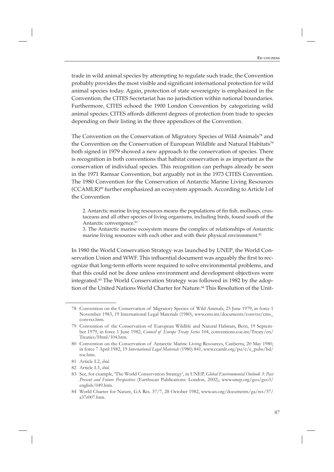trade in wild animal species by attempting to regulate such trade, the Convention probably provides the most visible and significant international protection for wild animal species today. Again, protection of state sovereignty is emphasized in the Convention; the CITES Secretariat has no jurisdiction within national boundaries. Furthermore, CITES echoed the 1900 London Convention by categorizing wild animal species; CITES affords different degrees of protection from trade to species depending on their listing in the three appendices of the Convention.

The Convention on the Conservation of Migratory Species of Wild Animals<sup>78</sup> and the Convention on the Conservation of European Wildlife and Natural Habitats<sup>79</sup> both signed in 1979 showed a new approach to the conservation of species. There is recognition in both conventions that habitat conservation is as important as the conservation of individual species. This recognition can perhaps already be seen in the 1971 Ramsar Convention, but arguably not in the 1973 CITES Convention. The 1980 Convention for the Conservation of Antarctic Marine Living Resources (CCAMLR)80 further emphasized an ecosystem approach. According to Article I of the Convention

2. Antarctic marine living resources means the populations of fin fish, molluscs, crustaceans and all other species of living organisms, including birds, found south of the Antarctic convergence.<sup>81</sup>

3. The Antarctic marine ecosystem means the complex of relationships of Antarctic marine living resources with each other and with their physical environment.<sup>82</sup>

In 1980 the World Conservation Strategy was launched by UNEP, the World Conservation Union and WWF. This influential document was arguably the first to recognize that long-term efforts were required to solve environmental problems, and that this could not be done unless environment and development objectives were integrated.<sup>83</sup> The World Conservation Strategy was followed in 1982 by the adoption of the United Nations World Charter for Nature.84 This Resolution of the Unit-

<sup>78</sup> Convention on the Conservation of Migratory Species of Wild Animals, 23 June 1979, in force 1 November 1983, 19 International Legal Materials (1980), www.cms.int/documents/convtxt/cms\_ convtxt.htm.

<sup>79</sup> Convention of the Conservation of European Wildlife and Natural Habitats, Bern, 19 September 1979, in force 1 June 1982, *Council of Europe Treaty Series* 104, conventions.coe.int/Treaty/en/ Treaties/Html/104.htm.

<sup>80</sup> Convention on the Conservation of Antarctic Marine Living Resources, Canberra, 20 May 1980, in force 7 April 1982, 19 *International Legal Materials* (1980) 841, www.ccamlr.org/pu/e/e\_pubs/bd/ toc.htm.

<sup>81</sup> Article I.2, *ibid.*

<sup>82</sup> Article I.3, *ibid*.

<sup>83</sup> See, for example, 'The World Conservation Strategy', in UNEP, *Global Environmental Outlook 3: Past Present and Future Perspectives* (Earthscan Publications: London, 2002), www.unep.org/geo/geo3/ english/049.htm.

<sup>84</sup> World Charter for Nature, GA Res. 37/7, 28 October 1982, www.un.org/documents/ga/res/37/ a37r007.htm.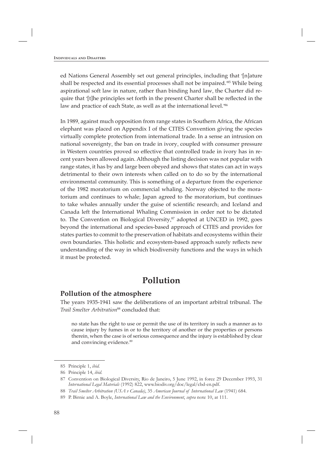ed Nations General Assembly set out general principles, including that '[n]ature shall be respected and its essential processes shall not be impaired.' 85 While being aspirational soft law in nature, rather than binding hard law, the Charter did require that '[t]he principles set forth in the present Charter shall be reflected in the law and practice of each State, as well as at the international level.' 86

In 1989, against much opposition from range states in Southern Africa, the African elephant was placed on Appendix I of the CITES Convention giving the species virtually complete protection from international trade. In a sense an intrusion on national sovereignty, the ban on trade in ivory, coupled with consumer pressure in Western countries proved so effective that controlled trade in ivory has in recent years been allowed again. Although the listing decision was not popular with range states, it has by and large been obeyed and shows that states can act in ways detrimental to their own interests when called on to do so by the international environmental community. This is something of a departure from the experience of the 1982 moratorium on commercial whaling. Norway objected to the moratorium and continues to whale; Japan agreed to the moratorium, but continues to take whales annually under the guise of scientific research; and Iceland and Canada left the International Whaling Commission in order not to be dictated to. The Convention on Biological Diversity, 87 adopted at UNCED in 1992, goes beyond the international and species-based approach of CITES and provides for states parties to commit to the preservation of habitats and ecosystems within their own boundaries. This holistic and ecosystem-based approach surely reflects new understanding of the way in which biodiversity functions and the ways in which it must be protected.

# **Pollution**

#### **Pollution of the atmosphere**

The years 1935-1941 saw the deliberations of an important arbitral tribunal. The *Trail Smelter Arbitration*88 concluded that:

no state has the right to use or permit the use of its territory in such a manner as to cause injury by fumes in or to the territory of another or the properties or persons therein, when the case is of serious consequence and the injury is established by clear and convincing evidence.<sup>89</sup>

<sup>85</sup> Principle 1, *ibid*.

<sup>86</sup> Principle 14, *ibid*.

<sup>87</sup> Convention on Biological Diversity, Rio de Janeiro, 5 June 1992, in force 29 December 1993, 31 *International Legal Materials* (1992) 822, www.biodiv.org/doc/legal/cbd-en.pdf.

<sup>88</sup> *Trail Smelter Arbitration (USA v Canada)*, 35 *American Journal of International Law* (1941) 684.

<sup>89</sup> P. Birnie and A. Boyle, *International Law and the Environment*, *supra* note 10, at 111.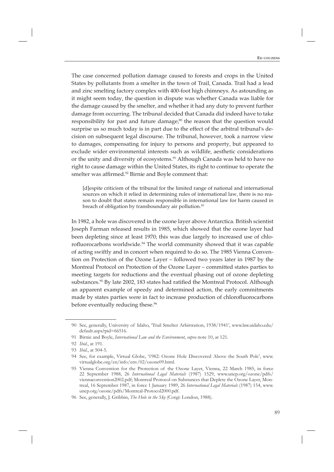The case concerned pollution damage caused to forests and crops in the United States by pollutants from a smelter in the town of Trail, Canada. Trail had a lead and zinc smelting factory complex with 400-foot high chimneys. As astounding as it might seem today, the question in dispute was whether Canada was liable for the damage caused by the smelter, and whether it had any duty to prevent further damage from occurring. The tribunal decided that Canada did indeed have to take responsibility for past and future damage; 90 the reason that the question would surprise us so much today is in part due to the effect of the arbitral tribunal's decision on subsequent legal discourse. The tribunal, however, took a narrow view to damages, compensating for injury to persons and property, but appeared to exclude wider environmental interests such as wildlife, aesthetic considerations or the unity and diversity of ecosystems.<sup>91</sup> Although Canada was held to have no right to cause damage within the United States, its right to continue to operate the smelter was affirmed.<sup>92</sup> Birnie and Boyle comment that:

[d]espite criticism of the tribunal for the limited range of national and international sources on which it relied in determining rules of international law, there is no reason to doubt that states remain responsible in international law for harm caused in breach of obligation by transboundary air pollution.<sup>93</sup>

In 1982, a hole was discovered in the ozone layer above Antarctica. British scientist Joseph Farman released results in 1985, which showed that the ozone layer had been depleting since at least 1970; this was due largely to increased use of chlorofluorocarbons worldwide.<sup>94</sup> The world community showed that it was capable of acting swiftly and in concert when required to do so. The 1985 Vienna Convention on Protection of the Ozone Layer – followed two years later in 1987 by the Montreal Protocol on Protection of the Ozone Layer – committed states parties to meeting targets for reductions and the eventual phasing out of ozone depleting substances.<sup>95</sup> By late 2002, 183 states had ratified the Montreal Protocol. Although an apparent example of speedy and determined action, the early commitments made by states parties were in fact to increase production of chlorofluorocarbons before eventually reducing these.<sup>96</sup>

<sup>90</sup> See, generally, University of Idaho, 'Trail Smelter Arbirtration, 1938/1941', www.law.uidaho.edu/ default.aspx?pid=66516.

<sup>91</sup> Birnie and Boyle, *International Law and the Environment*, *supra* note 10, at 121.

<sup>92</sup> *Ibid*., at 191.

<sup>93</sup> *Ibid*., at 504-5.

<sup>94</sup> See, for example, Virtual Globe, '1982: Ozone Hole Discovered Above the South Pole', www. virtualglobe.org/en/info/env/02/ozone09.html.

<sup>95</sup> Vienna Convention for the Protection of the Ozone Layer, Vienna, 22 March 1985, in force 22 September 1988, 26 *International Legal Materials* (1987) 1529, www.unep.org/ozone/pdfs/ viennaconvention2002.pdf; Montreal Protocol on Substances that Deplete the Ozone Layer, Montreal, 16 September 1987, in force 1 January 1989, 26 *International Legal Materials* (1987) 154, www. unep.org/ozone/pdfs/Montreal-Protocol2000.pdf.

<sup>96</sup> See, generally, J. Gribbin, *The Hole in the Sky* (Corgi: London, 1988).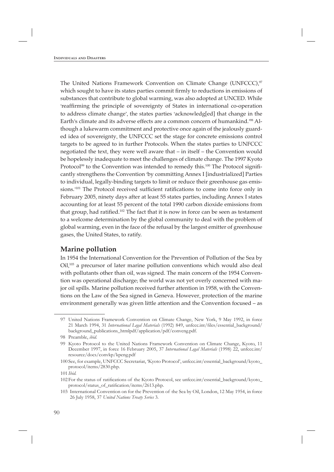The United Nations Framework Convention on Climate Change (UNFCCC),<sup>97</sup> which sought to have its states parties commit firmly to reductions in emissions of substances that contribute to global warming, was also adopted at UNCED. While 'reaffirming the principle of sovereignty of States in international co-operation to address climate change', the states parties 'acknowledg[ed] that change in the Earth's climate and its adverse effects are a common concern of humankind.' 98 Although a lukewarm commitment and protective once again of the jealously guarded idea of sovereignty, the UNFCCC set the stage for concrete emissions control targets to be agreed to in further Protocols. When the states parties to UNFCCC negotiated the text, they were well aware that – in itself – the Convention would be hopelessly inadequate to meet the challenges of climate change. The 1997 Kyoto Protocol<sup>99</sup> to the Convention was intended to remedy this.<sup>100</sup> The Protocol significantly strengthens the Convention 'by committing Annex I [industrialized] Parties to individual, legally-binding targets to limit or reduce their greenhouse gas emissions.<sup>101</sup> The Protocol received sufficient ratifications to come into force only in February 2005, ninety days after at least 55 states parties, including Annex I states accounting for at least 55 percent of the total 1990 carbon dioxide emissions from that group, had ratified.<sup>102</sup> The fact that it is now in force can be seen as testament to a welcome determination by the global community to deal with the problem of global warming, even in the face of the refusal by the largest emitter of greenhouse gases, the United States, to ratify.

#### **Marine pollution**

In 1954 the International Convention for the Prevention of Pollution of the Sea by Oil, 103 a precursor of later marine pollution conventions which would also deal with pollutants other than oil, was signed. The main concern of the 1954 Convention was operational discharge; the world was not yet overly concerned with major oil spills. Marine pollution received further attention in 1958, with the Conventions on the Law of the Sea signed in Geneva. However, protection of the marine environment generally was given little attention and the Convention focused – as

<sup>97</sup> United Nations Framework Convention on Climate Change, New York, 9 May 1992, in force 21 March 1994, 31 *International Legal Materials* (1992) 849, unfccc.int/files/essential\_background/ background\_publications\_htmlpdf/application/pdf/conveng.pdf.

<sup>98</sup> Preamble, *ibid*.

<sup>99</sup> Kyoto Protocol to the United Nations Framework Convention on Climate Change, Kyoto, 11 December 1997, in force 16 February 2005, 37 *International Legal Materials* (1998) 22, unfccc.int/ resource/docs/convkp/kpeng.pdf

<sup>100</sup> See, for example, UNFCCC Secretariat, 'Kyoto Protocol', unfccc.int/essential\_background/kyoto\_ protocol/items/2830.php.

<sup>101</sup> *Ibid.*

<sup>102</sup> For the status of ratifications of the Kyoto Protocol, see unfccc.int/essential\_background/kyoto\_ protocol/status\_of\_ratification/items/2613.php.

<sup>103</sup> International Convention on for the Prevention of the Sea by Oil, London, 12 May 1954, in force 26 July 1958, 37 *United Nations Treaty Series* 3.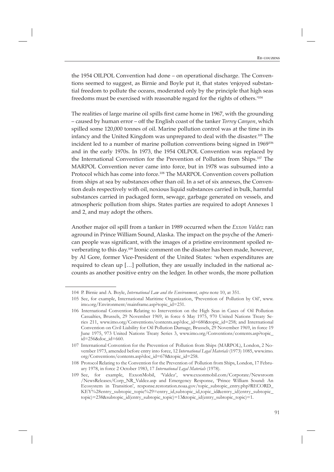the 1954 OILPOL Convention had done – on operational discharge. The Conventions seemed to suggest, as Birnie and Boyle put it, that states 'enjoyed substantial freedom to pollute the oceans, moderated only by the principle that high seas freedoms must be exercised with reasonable regard for the rights of others.<sup>2104</sup>

The realities of large marine oil spills first came home in 1967, with the grounding – caused by human error – off the English coast of the tanker *Torrey Canyon*, which spilled some 120,000 tonnes of oil. Marine pollution control was at the time in its infancy and the United Kingdom was unprepared to deal with the disaster.105 The incident led to a number of marine pollution conventions being signed in 1969<sup>106</sup> and in the early 1970s. In 1973, the 1954 OILPOL Convention was replaced by the International Convention for the Prevention of Pollution from Ships.107 The MARPOL Convention never came into force, but in 1978 was subsumed into a Protocol which has come into force.<sup>108</sup> The MARPOL Convention covers pollution from ships at sea by substances other than oil. In a set of six annexes, the Convention deals respectively with oil, noxious liquid substances carried in bulk, harmful substances carried in packaged form, sewage, garbage generated on vessels, and atmospheric pollution from ships. States parties are required to adopt Annexes 1 and 2, and may adopt the others.

Another major oil spill from a tanker in 1989 occurred when the *Exxon Valdez* ran aground in Prince William Sound, Alaska. The impact on the psyche of the American people was significant, with the images of a pristine environment spoiled reverberating to this day.109 Ironic comment on the disaster has been made, however, by Al Gore, former Vice-President of the United States: 'when expenditures are required to clean up […] pollution, they are usually included in the national accounts as another positive entry on the ledger. In other words, the more pollution

<sup>104</sup> P. Birnie and A. Boyle, *International Law and the Environment*, *supra* note 10, at 351.

<sup>105</sup> See, for example, International Maritime Organization, 'Prevention of Pollution by Oil', www. imo.org/Environment/mainframe.asp?topic\_id=231.

<sup>106</sup> International Convention Relating to Intervention on the High Seas in Cases of Oil Pollution Casualties, Brussels, 29 November 1969, in force 6 May 1975, 970 United Nations Treaty Series 211, www.imo.org/Conventions/contents.asp?doc\_id=680&topic\_id=258; and International Convention on Civil Liability for Oil Pollution Damage, Brussels, 29 November 1969, in force 19 June 1975, 973 United Nations Treaty Series 3, www.imo.org/Conventions/contents.asp?topic\_ id=256&doc\_id=660.

<sup>107</sup> International Convention for the Prevention of Pollution from Ships (MARPOL), London, 2 November 1973, amended before entry into force, 12 *International Legal Materials* (1973) 1085, www.imo. org/Conventions/contents.asp?doc\_id=678&topic\_id=258.

<sup>108</sup> Protocol Relating to the Convention for the Prevention of Pollution from Ships, London, 17 February 1978, in force 2 October 1983, 17 *International Legal Materials* (1978).

<sup>109</sup> See, for example, ExxonMobil, 'Valdez', www.exxonmobil.com/Corporate/Newsroom /NewsReleases/Corp\_NR\_Valdez.asp and Emergency Response, 'Prince William Sound: An Ecosystem in Transition', response.restoration.noaa.gov/topic\_subtopic\_entry.php?RECORD\_ KEY%28entry\_subtopic\_topic%29=entry\_id,subtopic\_id,topic\_id&entry\_id(entry\_subtopic\_ topic)=238&subtopic\_id(entry\_subtopic\_topic)=13&topic\_id(entry\_subtopic\_topic)=1.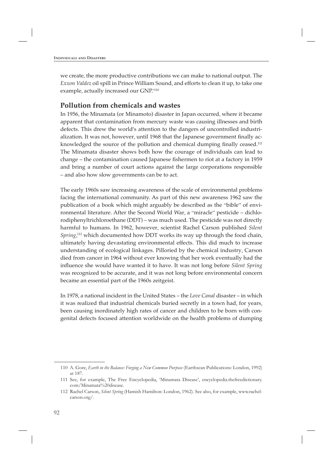we create, the more productive contributions we can make to national output. The *Exxon Valdez* oil spill in Prince William Sound, and efforts to clean it up, to take one example, actually increased our GNP.'<sup>110</sup>

#### **Pollution from chemicals and wastes**

In 1956, the Minamata (or Minamoto) disaster in Japan occurred, where it became apparent that contamination from mercury waste was causing illnesses and birth defects. This drew the world's attention to the dangers of uncontrolled industrialization. It was not, however, until 1968 that the Japanese government finally acknowledged the source of the pollution and chemical dumping finally ceased.<sup>111</sup> The Minamata disaster shows both how the courage of individuals can lead to change – the contamination caused Japanese fishermen to riot at a factory in 1959 and bring a number of court actions against the large corporations responsible – and also how slow governments can be to act.

The early 1960s saw increasing awareness of the scale of environmental problems facing the international community. As part of this new awareness 1962 saw the publication of a book which might arguably be described as the "bible" of environmental literature. After the Second World War, a "miracle" pesticide – dichlorodiphenyltrichloroethane (DDT) – was much used. The pesticide was not directly harmful to humans. In 1962, however, scientist Rachel Carson published *Silent Spring*, 112 which documented how DDT works its way up through the food chain, ultimately having devastating environmental effects. This did much to increase understanding of ecological linkages. Pilloried by the chemical industry, Carson died from cancer in 1964 without ever knowing that her work eventually had the influence she would have wanted it to have. It was not long before *Silent Spring* was recognized to be accurate, and it was not long before environmental concern became an essential part of the 1960s zeitgeist.

In 1978, a national incident in the United States – the *Love Canal* disaster – in which it was realized that industrial chemicals buried secretly in a town had, for years, been causing inordinately high rates of cancer and children to be born with congenital defects focused attention worldwide on the health problems of dumping

<sup>110</sup> A. Gore, *Earth in the Balance: Forging a New Common Purpose* (Earthscan Publications: London, 1992) at 187.

<sup>111</sup> See, for example, The Free Encyclopedia, 'Minamata Disease', encyclopedia.thefreedictionary. com/Minamata%20disease.

<sup>112</sup> Rachel Carson, *Silent Spring* (Hamish Hamilton: London, 1962). See also, for example, www.rachelcarson.org/.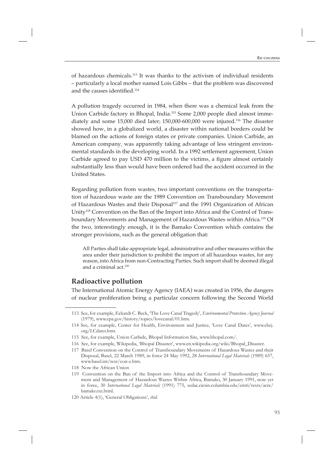of hazardous chemicals.113 It was thanks to the activism of individual residents – particularly a local mother named Lois Gibbs – that the problem was discovered and the causes identified.<sup>114</sup>

A pollution tragedy occurred in 1984, when there was a chemical leak from the Union Carbide factory in Bhopal, India.115 Some 2,000 people died almost immediately and some 15,000 died later; 150,000-600,000 were injured.116 The disaster showed how, in a globalized world, a disaster within national borders could be blamed on the actions of foreign states or private companies. Union Carbide, an American company, was apparently taking advantage of less stringent environmental standards in the developing world. In a 1992 settlement agreement, Union Carbide agreed to pay USD 470 million to the victims, a figure almost certainly substantially less than would have been ordered had the accident occurred in the United States.

Regarding pollution from wastes, two important conventions on the transportation of hazardous waste are the 1989 Convention on Transboundary Movement of Hazardous Wastes and their Disposal<sup>117</sup> and the 1991 Organization of African Unity118 Convention on the Ban of the Import into Africa and the Control of Transboundary Movements and Management of Hazardous Wastes within Africa.119 Of the two, interestingly enough, it is the Bamako Convention which contains the stronger provisions, such as the general obligation that:

All Parties shall take appropriate legal, administrative and other measures within the area under their jurisdiction to prohibit the import of all hazardous wastes, for any reason, into Africa from non-Contracting Parties. Such import shall be deemed illegal and a criminal act.120

#### **Radioactive pollution**

The International Atomic Energy Agency (IAEA) was created in 1956, the dangers of nuclear proliferation being a particular concern following the Second World

<sup>113</sup> See, for example, Eckardt C. Beck, 'The Love Canal Tragedy', *Environmental Protection Agency Journal* (1979), www.epa.gov/history/topics/lovecanal/01.htm.

<sup>114</sup> See, for example, Center for Health, Environment and Justice, 'Love Canal Dates', www.chej. org/LCdates.htm.

<sup>115</sup> See, for example, Union Carbide, Bhopal Information Site, www.bhopal.com/.

<sup>116</sup> See, for example, Wikipedia, 'Bhopal Disaster', www.en.wikipedia.org/wiki/Bhopal\_Disaster.

<sup>117</sup> Basel Convention on the Control of Transboundary Movements of Hazardous Wastes and their Disposal, Basel, 22 March 1989, in force 24 May 1992, 28 *International Legal Materials* (1989) 657, www.basel.int/text/con-e.htm.

<sup>118</sup> Now the African Union

<sup>119</sup> Convention on the Ban of the Import into Africa and the Control of Transboundary Movement and Management of Hazardous Wastes Within Africa, Bamako, 30 January 1991, note yet in force, 30 *International Legal Materials* (1991) 775, sedac.ciesin.columbia.edu/entri/texts/acrc/ bamako.txt.html.

<sup>120</sup> Article 4(1), 'General Obligations', *ibid.*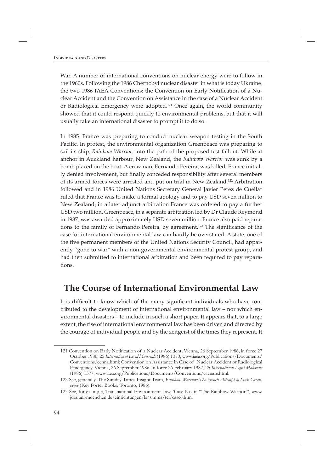War. A number of international conventions on nuclear energy were to follow in the 1960s. Following the 1986 Chernobyl nuclear disaster in what is today Ukraine, the two 1986 IAEA Conventions: the Convention on Early Notification of a Nuclear Accident and the Convention on Assistance in the case of a Nuclear Accident or Radiological Emergency were adopted.<sup>121</sup> Once again, the world community showed that it could respond quickly to environmental problems, but that it will usually take an international disaster to prompt it to do so.

In 1985, France was preparing to conduct nuclear weapon testing in the South Pacific. In protest, the environmental organization Greenpeace was preparing to sail its ship, *Rainbow Warrior*, into the path of the proposed test fallout. While at anchor in Auckland harbour, New Zealand, the *Rainbow Warrior* was sunk by a bomb placed on the boat. A crewman, Fernando Pereira, was killed. France initially denied involvement; but finally conceded responsibility after several members of its armed forces were arrested and put on trial in New Zealand.122 Arbitration followed and in 1986 United Nations Secretary General Javier Perez de Cuellar ruled that France was to make a formal apology and to pay USD seven million to New Zealand; in a later adjunct arbitration France was ordered to pay a further USD two million. Greenpeace, in a separate arbitration led by Dr Claude Reymond in 1987, was awarded approximately USD seven million. France also paid reparations to the family of Fernando Pereira, by agreement.<sup>123</sup> The significance of the case for international environmental law can hardly be overstated. A state, one of the five permanent members of the United Nations Security Council, had apparently "gone to war" with a non-governmental environmental protest group, and had then submitted to international arbitration and been required to pay reparations.

# **The Course of International Environmental Law**

It is difficult to know which of the many significant individuals who have contributed to the development of international environmental law – nor which environmental disasters – to include in such a short paper. It appears that, to a large extent, the rise of international environmental law has been driven and directed by the courage of individual people and by the zeitgeist of the times they represent. It

<sup>121</sup> Convention on Early Notification of a Nuclear Accident, Vienna, 26 September 1986, in force 27 October 1986, 25 *International Legal Materials* (1986) 1370, www.iaea.org/Publications/Documents/ Conventions/cenna.html; Convention on Assistance in Case of Nuclear Accident or Radiological Emergency, Vienna, 26 September 1986, in force 26 February 1987, 25 *International Legal Materials* (1986) 1377, www.iaea.org/Publications/Documents/Conventions/cacnare.html.

<sup>122</sup> See, generally, The Sunday Times Insight Team, *Rainbow Warrior: The French Attempt to Sink Greenpeace* (Key Porter Books: Toronto, 1986).

<sup>123</sup> See, for example, Transnational Environment Law, 'Case No. 6: "The Rainbow Warrior"', www. jura.uni-muenchen.de/einrichtungen/ls/simma/tel/case6.htm.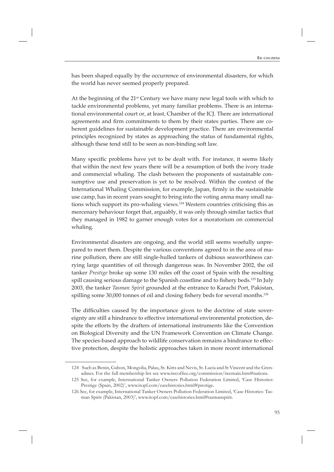has been shaped equally by the occurrence of environmental disasters, for which the world has never seemed properly prepared.

At the beginning of the  $21<sup>st</sup>$  Century we have many new legal tools with which to tackle environmental problems, yet many familiar problems. There is an international environmental court or, at least, Chamber of the ICJ. There are international agreements and firm commitments to them by their states parties. There are coherent guidelines for sustainable development practice. There are environmental principles recognized by states as approaching the status of fundamental rights, although these tend still to be seen as non-binding soft law.

Many specific problems have yet to be dealt with. For instance, it seems likely that within the next few years there will be a resumption of both the ivory trade and commercial whaling. The clash between the proponents of sustainable consumptive use and preservation is yet to be resolved. Within the context of the International Whaling Commission, for example, Japan, firmly in the sustainable use camp, has in recent years sought to bring into the voting arena many small nations which support its pro-whaling views.124 Western countries criticising this as mercenary behaviour forget that, arguably, it was only through similar tactics that they managed in 1982 to garner enough votes for a moratorium on commercial whaling.

Environmental disasters are ongoing, and the world still seems woefully unprepared to meet them. Despite the various conventions agreed to in the area of marine pollution, there are still single-hulled tankers of dubious seaworthiness carrying large quantities of oil through dangerous seas. In November 2002, the oil tanker *Prestige* broke up some 130 miles off the coast of Spain with the resulting spill causing serious damage to the Spanish coastline and to fishery beds.<sup>125</sup> In July 2003, the tanker *Tasman Spirit* grounded at the entrance to Karachi Port, Pakistan, spilling some 30,000 tonnes of oil and closing fishery beds for several months.<sup>126</sup>

The difficulties caused by the importance given to the doctrine of state sovereignty are still a hindrance to effective international environmental protection, despite the efforts by the drafters of international instruments like the Convention on Biological Diversity and the UN Framework Convention on Climate Change. The species-based approach to wildlife conservation remains a hindrance to effective protection, despite the holistic approaches taken in more recent international

<sup>124</sup> Such as Benin, Gabon, Mongolia, Palau, St. Kitts and Nevis, St. Lucia and St Vincent and the Grenadines. For the full membership list see www.iwcoffice.org/commission/iwcmain.htm#nations.

<sup>125</sup> See, for example, International Tanker Owners Pollution Federation Limited, 'Case Histories: Prestige (Spain, 2002)', www.itopf.com/casehistories.html#prestige.

<sup>126</sup> See, for example, International Tanker Owners Pollution Federation Limited, 'Case Histories: Tasman Spirit (Pakistan, 2003)', www.itopf.com/casehistories.html#tasmanspirit.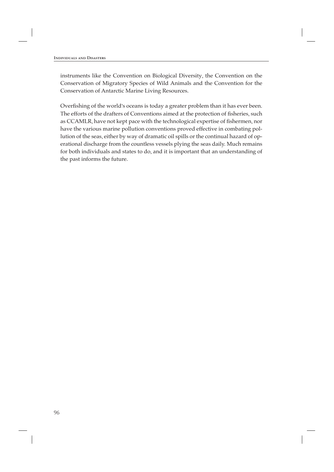instruments like the Convention on Biological Diversity, the Convention on the Conservation of Migratory Species of Wild Animals and the Convention for the Conservation of Antarctic Marine Living Resources.

Overfishing of the world's oceans is today a greater problem than it has ever been. The efforts of the drafters of Conventions aimed at the protection of fisheries, such as CCAMLR, have not kept pace with the technological expertise of fishermen, nor have the various marine pollution conventions proved effective in combating pollution of the seas, either by way of dramatic oil spills or the continual hazard of operational discharge from the countless vessels plying the seas daily. Much remains for both individuals and states to do, and it is important that an understanding of the past informs the future.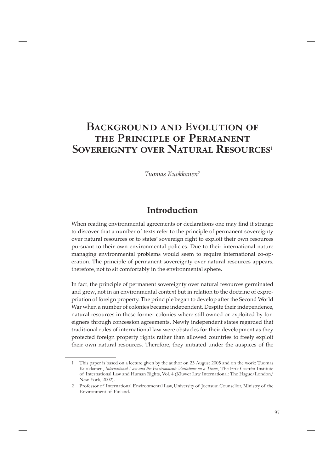# **Background and Evolution of the Principle of Permanent Sovereignty over Natural Resources**<sup>1</sup>

*Tuomas Kuokkanen2*

# **Introduction**

When reading environmental agreements or declarations one may find it strange to discover that a number of texts refer to the principle of permanent sovereignty over natural resources or to states' sovereign right to exploit their own resources pursuant to their own environmental policies. Due to their international nature managing environmental problems would seem to require international co-operation. The principle of permanent sovereignty over natural resources appears, therefore, not to sit comfortably in the environmental sphere.

In fact, the principle of permanent sovereignty over natural resources germinated and grew, not in an environmental context but in relation to the doctrine of expropriation of foreign property. The principle began to develop after the Second World War when a number of colonies became independent. Despite their independence, natural resources in these former colonies where still owned or exploited by foreigners through concession agreements. Newly independent states regarded that traditional rules of international law were obstacles for their development as they protected foreign property rights rather than allowed countries to freely exploit their own natural resources. Therefore, they initiated under the auspices of the

<sup>1</sup> This paper is based on a lecture given by the author on 23 August 2005 and on the work: Tuomas Kuokkanen, *International Law and the Environment: Variations on a Theme*, The Erik Castrén Institute of International Law and Human Rights, Vol. 4 (Kluwer Law International: The Hague/London/ New York, 2002).

<sup>2</sup> Professor of International Environmental Law, University of Joensuu; Counsellor, Ministry of the Environment of Finland.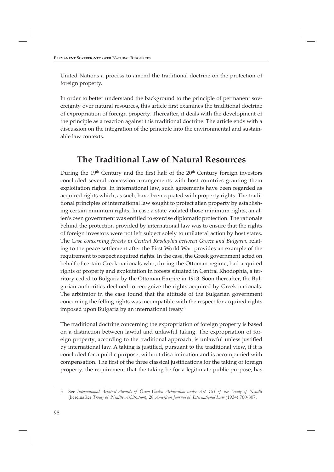United Nations a process to amend the traditional doctrine on the protection of foreign property.

In order to better understand the background to the principle of permanent sovereignty over natural resources, this article first examines the traditional doctrine of expropriation of foreign property. Thereafter, it deals with the development of the principle as a reaction against this traditional doctrine. The article ends with a discussion on the integration of the principle into the environmental and sustainable law contexts.

# **The Traditional Law of Natural Resources**

During the 19<sup>th</sup> Century and the first half of the 20<sup>th</sup> Century foreign investors concluded several concession arrangements with host countries granting them exploitation rights. In international law, such agreements have been regarded as acquired rights which, as such, have been equated with property rights. The traditional principles of international law sought to protect alien property by establishing certain minimum rights. In case a state violated those minimum rights, an alien's own government was entitled to exercise diplomatic protection. The rationale behind the protection provided by international law was to ensure that the rights of foreign investors were not left subject solely to unilateral action by host states. The *Case concerning forests in Central Rhodophia between Greece and Bulgaria,* relating to the peace settlement after the First World War, provides an example of the requirement to respect acquired rights. In the case, the Greek government acted on behalf of certain Greek nationals who, during the Ottoman regime, had acquired rights of property and exploitation in forests situated in Central Rhodophia, a territory ceded to Bulgaria by the Ottoman Empire in 1913. Soon thereafter, the Bulgarian authorities declined to recognize the rights acquired by Greek nationals. The arbitrator in the case found that the attitude of the Bulgarian government concerning the felling rights was incompatible with the respect for acquired rights imposed upon Bulgaria by an international treaty.<sup>3</sup>

The traditional doctrine concerning the expropriation of foreign property is based on a distinction between lawful and unlawful taking. The expropriation of foreign property, according to the traditional approach, is unlawful unless justified by international law. A taking is justified, pursuant to the traditional view, if it is concluded for a public purpose, without discrimination and is accompanied with compensation. The first of the three classical justifications for the taking of foreign property, the requirement that the taking be for a legitimate public purpose, has

<sup>3</sup> See *International Arbitral Awards of Östen Undén Arbitration under Art. 181 of the Treaty of Neuilly* (hereinafter *Treaty of Neuilly Arbitration*), 28 *American Journal of International Law* (1934) 760-807.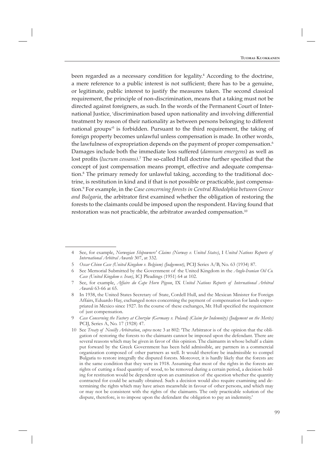been regarded as a necessary condition for legality.<sup>4</sup> According to the doctrine, a mere reference to a public interest is not sufficient; there has to be a genuine, or legitimate, public interest to justify the measures taken. The second classical requirement, the principle of non-discrimination, means that a taking must not be directed against foreigners, as such. In the words of the Permanent Court of International Justice, 'discrimination based upon nationality and involving differential treatment by reason of their nationality as between persons belonging to different national groups<sup>5</sup> is forbidden. Pursuant to the third requirement, the taking of foreign property becomes unlawful unless compensation is made. In other words, the lawfulness of expropriation depends on the payment of proper compensation.<sup>6</sup> Damages include both the immediate loss suffered (*damnum emergens*) as well as lost profits (lucrum cessans).<sup>7</sup> The so-called Hull doctrine further specified that the concept of just compensation means prompt, effective and adequate compensation.<sup>8</sup> The primary remedy for unlawful taking, according to the traditional doctrine, is restitution in kind and if that is not possible or practicable, just compensation.9 For example, in the *Case concerning forests in Central Rhodolphia between Greece and Bulgaria*, the arbitrator first examined whether the obligation of restoring the forests to the claimants could be imposed upon the respondent. Having found that restoration was not practicable, the arbitrator awarded compensation.<sup>10</sup>

<sup>4</sup> See, for example, *Norwegian Shipowners' Claims (Norway v. United States)*, I *United Nations Reports of International Arbitral Awards* 307, at 332.

<sup>5</sup> *Oscar Chinn Case (United Kingdom v. Belgium) (Judgement)*, PCIJ Series A/B, No. 63 (1934) 87.

<sup>6</sup> See Memorial Submitted by the Government of the United Kingdom in the *Anglo-Iranian Oil Co. Case (United Kingdom v. Iran)*, ICJ Pleadings (1951) 64 at 102.

<sup>7</sup> See, for example, *Affaire du Cape Horn Pigeon*, IX *United Nations Reports of International Arbitral Awards* 63-66 at 65.

<sup>8</sup> In 1938, the United States Secretary of State, Cordell Hull, and the Mexican Minister for Foreign Affairs, Eduardo Hay, exchanged notes concerning the payment of compensation for lands expropriated in Mexico since 1927. In the course of these exchanges, Mr. Hull specified the requirement of just compensation.

<sup>9</sup> *Case Concerning the Factory at Chorzów (Germany v. Poland) (Claim for Indemnity) (Judgement on the Merits)* PCIJ, Series A, No. 17 (1928) 47.

<sup>10</sup> See *Treaty of Neuilly Arbitration*, *supra* note 3 at 802: 'The Arbitrator is of the opinion that the obligation of restoring the forests to the claimants cannot be im posed upon the defendant. There are several reasons which may be given in favor of this opinion. The claimants in whose behalf a claim put forward by the Greek Government has been held admissible, are partners in a commercial organization composed of other partners as well. It would therefore be inadmissible to compel Bulgaria to restore integrally the disputed forests. Moreover, it is hardly likely that the forests are in the same condition that they were in 1918. Assuming that most of the rights in the forests are rights of cutting a fixed quantity of wood, to be removed during a certain period, a decision holding for restitution would be dependent upon an examination of the question whether the quantity contracted for could be actually obtained. Such a decision would also require examining and determining the rights which may have arisen meanwhile in favour of other persons, and which may or may not be consistent with the rights of the claimants. The only practicable solution of the dispute, therefore, is to impose upon the defendant the obligation to pay an indemnity.'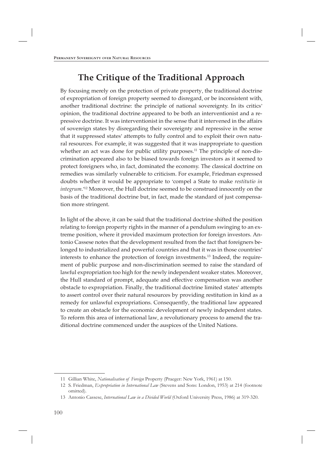# **The Critique of the Traditional Approach**

By focusing merely on the protection of private property, the traditional doctrine of expropriation of foreign property seemed to disregard, or be inconsistent with, another traditional doctrine: the principle of national sovereignty. In its critics' opinion, the traditional doctrine appeared to be both an interventionist and a repressive doctrine. It was interventionist in the sense that it intervened in the affairs of sovereign states by disregarding their sovereignty and repressive in the sense that it suppressed states' attempts to fully control and to exploit their own natural resources. For example, it was suggested that it was inappropriate to question whether an act was done for public utility purposes.<sup>11</sup> The principle of non-discrimination appeared also to be biased towards foreign investors as it seemed to protect foreigners who, in fact, dominated the economy. The classical doctrine on remedies was similarly vulnerable to criticism. For example, Friedman expressed doubts whether it would be appropriate to 'compel a State to make *restitutio in integrum*.' 12 Moreover, the Hull doctrine seemed to be construed innocently on the basis of the traditional doctrine but, in fact, made the standard of just compensation more stringent.

In light of the above, it can be said that the traditional doctrine shifted the position relating to foreign property rights in the manner of a pendulum swinging to an extreme position, where it provided maximum protection for foreign investors. Antonio Cassese notes that the development resulted from the fact that foreigners belonged to industrialized and powerful countries and that it was in those countries' interests to enhance the protection of foreign investments.13 Indeed, the requirement of public purpose and non-discrimination seemed to raise the standard of lawful expropriation too high for the newly independent weaker states. Moreover, the Hull standard of prompt, adequate and effective compensation was another obstacle to expropriation. Finally, the traditional doctrine limited states' attempts to assert control over their natural resources by providing restitution in kind as a remedy for unlawful expropriations. Consequently, the traditional law appeared to create an obstacle for the economic development of newly independent states. To reform this area of international law, a revolutionary process to amend the traditional doctrine commenced under the auspices of the United Nations.

<sup>11</sup> Gillian White, *Nationalisation of Foreign* Property (Praeger: New York, 1961) at 150.

<sup>12</sup> S. Friedman, *Expropriation in International Law* (Stevens and Sons: London, 1953) at 214 (footnote omitted).

<sup>13</sup> Antonio Cassese, *International Law in a Divided World* (Oxford University Press, 1986) at 319-320.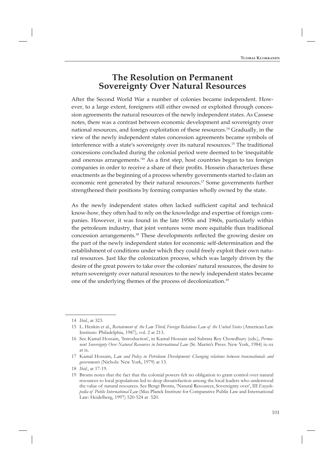# **The Resolution on Permanent Sovereignty Over Natural Resources**

After the Second World War a number of colonies became independent. However, to a large extent, foreigners still either owned or exploited through concession agreements the natural resources of the newly independent states. As Cassese notes, there was a contrast between economic development and sovereignty over national resources, and foreign exploitation of these resources.14 Gradually, in the view of the newly independent states concession agreements became symbols of interference with a state's sovereignty over its natural resources.15 The traditional concessions concluded during the colonial period were deemed to be 'inequitable and onerous arrangements.<sup>16</sup> As a first step, host countries began to tax foreign companies in order to receive a share of their profits. Hossein characterizes these enactments as the beginning of a process whereby governments started to claim an economic rent generated by their natural resources.<sup>17</sup> Some governments further strengthened their positions by forming companies wholly owned by the state.

As the newly independent states often lacked sufficient capital and technical know-how, they often had to rely on the knowledge and expertise of foreign companies. However, it was found in the late 1950s and 1960s, particularly within the petroleum industry, that joint ventures were more equitable than traditional concession arrangements.<sup>18</sup> These developments reflected the growing desire on the part of the newly independent states for economic self-determination and the establishment of conditions under which they could freely exploit their own natural resources. Just like the colonization process, which was largely driven by the desire of the great powers to take over the colonies' natural resources, the desire to return sovereignty over natural resources to the newly independent states became one of the underlying themes of the process of decolonization.<sup>19</sup>

<sup>14</sup> *Ibid.*, at 323.

<sup>15</sup> L. Henkin et al., *Restatement of the Law Third*, *Foreign Relations Law of the United States* (American Law Institute: Philadelphia, 1987), vol. 2 at 213.

<sup>16</sup> See Kamal Hossain, 'Introduction', in Kamal Hossain and Subrata Roy Chowdhury (eds.), *Permanent Sovereignty Over Natural Resources in International Law* (St. Martin's Press: New York, 1984) ix-xx at ix.

<sup>17</sup> Kamal Hossain, *Law and Policy in Petroleum Development: Changing relations between transnationals and governments* (Nichols: New York, 1979) at 13.

<sup>18</sup> *Ibid*., at 17-19.

<sup>19</sup> Broms notes that the fact that the colonial powers felt no obligation to grant control over natural resources to local populations led to deep dissatisfaction among the local leaders who understood the value of natural resources. See Bengt Broms, 'Natural Resources, Sovereignty over', III *Encyclopedia of Public International Law* (Max Planck Institute for Comparative Public Law and International Law: Heidelberg, 1997) 520-524 at 520.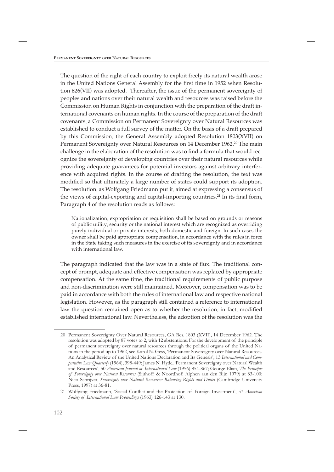The question of the right of each country to exploit freely its natural wealth arose in the United Nations General Assembly for the first time in 1952 when Resolution 626(VII) was adopted. Thereafter, the issue of the permanent sovereignty of peoples and nations over their natural wealth and resources was raised before the Commission on Human Rights in conjunction with the preparation of the draft international covenants on human rights. In the course of the preparation of the draft covenants, a Commission on Permanent Sovereignty over Natural Resources was established to conduct a full survey of the matter. On the basis of a draft prepared by this Commission, the General Assembly adopted Resolution 1803(XVII) on Permanent Sovereignty over Natural Resources on 14 December 1962.<sup>20</sup> The main challenge in the elaboration of the resolution was to find a formula that would recognize the sovereignty of developing countries over their natural resources while providing adequate guarantees for potential investors against arbitrary interference with acquired rights. In the course of drafting the resolution, the text was modified so that ultimately a large number of states could support its adoption. The resolution, as Wolfgang Friedmann put it, aimed at expressing a consensus of the views of capital-exporting and capital-importing countries.<sup>21</sup> In its final form, Paragraph 4 of the resolution reads as follows:

Nationalization, expropriation or requisition shall be based on grounds or reasons of public utility, security or the national interest which are recognized as overriding purely individual or private interests, both domestic and foreign. In such cases the owner shall be paid appropriate compensation, in accordance with the rules in force in the State taking such measures in the exercise of its sovereignty and in accordance with international law.

The paragraph indicated that the law was in a state of flux. The traditional concept of prompt, adequate and effective compensation was replaced by appropriate compensation. At the same time, the traditional requirements of public purpose and non-discrimination were still maintained. Moreover, compensation was to be paid in accordance with both the rules of international law and respective national legislation. However, as the paragraph still contained a reference to international law the question remained open as to whether the resolution, in fact, modified established international law. Nevertheless, the adoption of the resolution was the

<sup>20</sup> Permanent Sovereignty Over Natural Resources, GA Res. 1803 (XVII), 14 December 1962. The resolution was adopted by 87 votes to 2, with 12 abstentions. For the development of the principle of permanent sovereignty over natural resources through the political organs of the United Nations in the period up to 1962, see Karol N. Gess, 'Permanent Sovereignty over Natural Resources. An Analytical Review of the United Nations Declaration and Its Genesis', 13 *International and Comparative Law Quarterly* (1964), 398-449; James N. Hyde, 'Permanent Sovereignty over Natural Wealth and Resources', 50 *American Journal of International Law* (1956) 854-867; George Elian, *The Principle of Sovereignty over Natural Resources* (Sijthoff & Noordhof: Alphen aan den Rijn 1979) at 83-100; Nico Schrijver, *Sovereignty over Natural Resources: Balancing Rights and Duties* (Cambridge University Press, 1997) at 36-81.

<sup>21</sup> Wolfgang Friedmann, 'Social Conflict and the Protection of Foreign Investment', 57 *American Society of International Law Proceedings* (1963) 126-143 at 130.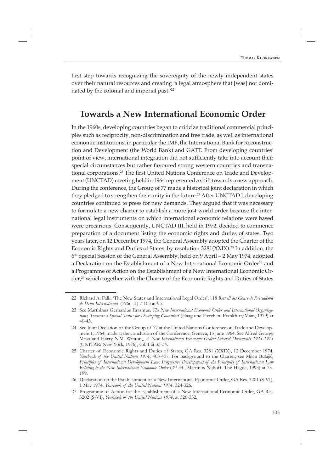first step towards recognizing the sovereignty of the newly independent states over their natural resources and creating 'a legal atmosphere that [was] not dominated by the colonial and imperial past.<sup>222</sup>

# **Towards a New International Economic Order**

In the 1960s, developing countries began to criticize traditional commercial principles such as reciprocity, non-discrimination and free trade, as well as international economic institu tions, in particular the IMF, the International Bank for Reconstruction and Development (the World Bank) and GATT. From developing countries' point of view, international integration did not sufficiently take into account their special circumstances but rather favoured strong western countries and transnational corporations.<sup>23</sup> The first United Nations Conference on Trade and Development (UNCTAD) meeting held in 1964 represented a shift towards a new approach. During the conference, the Group of 77 made a historical joint declaration in which they pledged to strengthen their unity in the future.<sup>24</sup> After UNCTAD I, developing countries continued to press for new demands. They argued that it was necessary to formulate a new charter to establish a more just world order because the international legal instruments on which international economic relations were based were precarious. Consequently, UNCTAD III, held in 1972, decided to commence preparation of a document listing the economic rights and duties of states. Two years later, on 12 December 1974, the General Assembly adopted the Charter of the Economic Rights and Duties of States, by resolution 3281(XXIX).25 In addition, the 6th Special Session of the General Assembly, held on 9 April – 2 May 1974, adopted a Declaration on the Establishment of a New International Economic Order<sup>26</sup> and a Programme of Action on the Establishment of a New International Economic Order, 27 which together with the Charter of the Economic Rights and Duties of States

<sup>22</sup> Richard A. Falk, 'The New States and International Legal Order', 118 *Recueil des Cours de l'Académie de Droit International* (1966-II) 7-103 at 95.

<sup>23</sup> See Marthinus Gerhardus Erasmus, *The New International Economic Order and International Organizations, Towards a Special Status for Developing Countries?* (Haag und Herchen: Frankfurt/Main, 1979) at 40-43.

<sup>24</sup> See Joint Declation of the Group of 77 at the United Nations Conference on Trade and Development I, 1964, made at the conclusion of the Conference, Geneva, 15 June 1964. See Alfred George Moss and Harry N.M. Winton,, *A New International Economic Order: Selected Documents 1945-1975* (UNITAR: New York, 1976), vol. I at 33-34.

<sup>25</sup> Charter of Economic Rights and Duties of States, GA Res. 3281 (XXIX), 12 December 1974, Yearbook of the United Nations 1974, 403-407. For background to the Charter, see Milan Bulajić, Principles of International Development Law: Progressive Development of the Principles of International Law *Relating to the New International Economic Order* (2nd ed., Martinus Nijhoff: The Hague, 1993) at 75- 199.

<sup>26</sup> Declaration on the Establishment of a New International Economic Order, GA Res. 3201 (S-VI), 1 May 1974, *Yearbook of the United Nations 1974*, 324-326.

<sup>27</sup> Programme of Action for the Establishment of a New International Economic Order, GA Res. 3202 (S-VI), *Yearbook of the United Nations 1974*, at 326-332.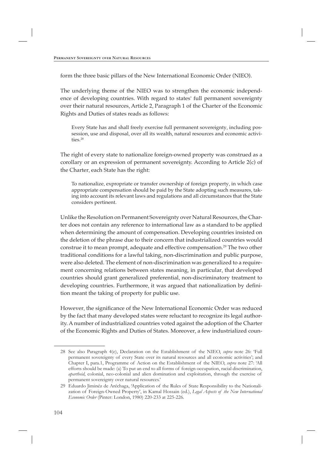form the three basic pillars of the New International Economic Order (NIEO).

The underlying theme of the NIEO was to strengthen the economic independence of developing countries. With regard to states' full permanent sovereignty over their natural resources, Article 2, Paragraph 1 of the Charter of the Economic Rights and Duties of states reads as follows:

Every State has and shall freely exercise full permanent sovereignty, including possession, use and disposal, over all its wealth, natural resources and economic activities.<sup>28</sup>

The right of every state to nationalize foreign-owned property was construed as a corollary or an expression of permanent sovereignty. According to Article 2(c) of the Charter, each State has the right:

To nationalize, expropriate or transfer ownership of foreign property, in which case appropriate compensation should be paid by the State adopting such measures, taking into account its relevant laws and regulations and all circumstances that the State considers pertinent.

Unlike the Resolution on Permanent Sovereignty over Natural Resources, the Charter does not contain any reference to international law as a standard to be applied when determining the amount of compensation. Developing countries insisted on the deletion of the phrase due to their concern that industrialized countries would construe it to mean prompt, adequate and effective compensation.<sup>29</sup> The two other traditional conditions for a lawful taking, non-discrimination and public purpose, were also deleted. The element of non-discrimination was generalized to a requirement concerning relations between states meaning, in particular, that developed countries should grant generalized preferential, non-discriminatory treatment to developing countries. Furthermore, it was argued that nationalization by definition meant the taking of property for public use.

However, the significance of the New International Economic Order was reduced by the fact that many developed states were reluctant to recognize its legal authority. A number of industrialized countries voted against the adoption of the Charter of the Economic Rights and Duties of States. Moreover, a few industrialized coun-

<sup>28</sup> See also Paragraph 4(e), Declaration on the Establishment of the NIEO, *supra* note 26: 'Full permanent sovereignty of every State over its natural resources and all economic activities'; and Chapter I, para.1, Programme of Action on the Establishment of the NIEO, *supra* note 27: 'All efforts should be made: (a) To put an end to all forms of foreign occupation, racial discrimination, *apartheid*, colonial, neo-colonial and alien domination and exploitation, through the exercise of permanent sovereignty over natural resources.'

<sup>29</sup> Eduardo Jiminéz de Aréchaga, 'Application of the Rules of State Responsibility to the Nationalization of Foreign-Owned Property', in Kamal Hossain (ed.), *Legal Aspects of the New International Economic Order* (Pinter: London, 1980) 220-233 at 225-226.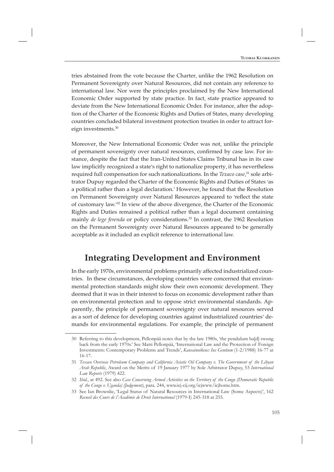tries abstained from the vote because the Charter, unlike the 1962 Resolution on Permanent Sovereignty over Natural Resources, did not contain any reference to international law. Nor were the principles proclaimed by the New International Economic Order supported by state practice. In fact, state practice appeared to deviate from the New International Economic Order. For instance, after the adoption of the Charter of the Economic Rights and Duties of States, many developing countries concluded bilateral investment protection treaties in order to attract foreign investments.30

Moreover, the New International Economic Order was not, unlike the principle of permanent sovereignty over natural resources, confirmed by case law. For instance, despite the fact that the Iran-United States Claims Tribunal has in its case law implicitly recognized a state's right to nationalize property, it has nevertheless required full compensation for such nationalizations. In the *Texaco case*,<sup>31</sup> sole arbitrator Dupuy regarded the Charter of the Economic Rights and Duties of States 'as a political rather than a legal declaration.' However, he found that the Resolution on Permanent Sovereignty over Natural Resources appeared to 'reflect the state of customary law.' 32 In view of the above divergence, the Charter of the Economic Rights and Duties remained a political rather than a legal document containing mainly *de lege ferenda* or policy considerations.33 In contrast, the 1962 Resolution on the Permanent Sovereignty over Natural Resources appeared to be generally acceptable as it included an explicit reference to international law.

## **Integrating Development and Environment**

In the early 1970s, environmental problems primarily affected industrialized countries. In these circumstances, developing countries were concerned that environmental protection standards might slow their own economic development. They deemed that it was in their interest to focus on economic development rather than on environmental protection and to oppose strict environ mental standards. Apparently, the principle of permanent sovereignty over natural resources served as a sort of defence for developing countries against industrialized countries' demands for environmental regulations. For example, the principle of permanent

<sup>30</sup> Referring to this development, Pellonpää notes that by the late 1980s, 'the pendulum ha[d] swung back from the early 1970s.' See Matti Pellonpää, 'International Law and the Protection of Foreign Investments: Contemporary Problems and Trends', *Kansainoikeus: Ius Gentium* (1-2/1988) 16-77 at 16-17.

<sup>31</sup> *Texaco Overseas Petroleum Company and California Asiatic Oil Company v. The Government of the Libyan Arab Republic*, Award on the Merits of 19 January 1977 by Sole Arbitrator Dupuy, 53 *International Law Reports* (1979) 422.

<sup>32</sup> *Ibid*., at 492. See also *Case Concerning Armed Activities on the Territory of the Congo (Democratic Republic of the Congo v. Uganda) (Judgement)*, para. 244, www.icj-cij.org/icjwww/icjhome.htm.

<sup>33</sup> See Ian Brownlie, 'Legal Status of Natural Resources in International Law (Some Aspects)', 162 *Recueil des Cours de l'Académie de Droit International* (1979-I) 245-318 at 255.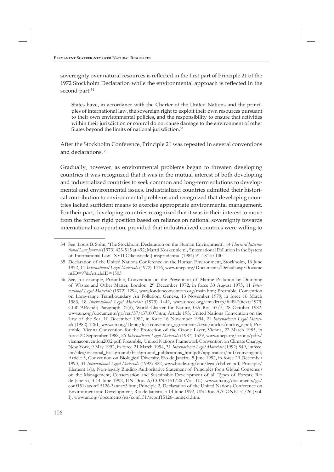sovereignty over natural resources is reflected in the first part of Principle 21 of the 1972 Stockholm Declaration while the environmental approach is reflected in the second part: 34

States have, in accordance with the Charter of the United Nations and the principles of international law, the sovereign right to exploit their own resources pursuant to their own environmental policies, and the responsibility to ensure that activities within their jurisdiction or control do not cause damage to the environment of other States beyond the limits of national jurisdiction.<sup>35</sup>

After the Stockholm Conference, Principle 21 was repeated in several conventions and declarations.36

Gradually, however, as environmental problems began to threaten developing countries it was recognized that it was in the mutual interest of both developing and industrialized countries to seek common and long-term solutions to developmental and environmental issues. Industrialized countries admitted their historical contribution to environmental problems and recognized that developing countries lacked sufficient means to exercise appropriate environmental management. For their part, developing countries recognized that it was in their interest to move from the former rigid position based on reliance on national sovereignty towards international co-operation, provided that industrialized countries were willing to

<sup>34</sup> See Louis B. Sohn, 'The Stockholm Declaration on the Human Environment', 14 *Harvard International Law Journal* (1973) 423-515 at 492; Martti Koskenniemi, 'International Pollution in the System of International Law', XVII Oikeustiede-Jurisprudentia (1984) 91-181 at 100.

<sup>35</sup> Declaration of the United Nations Conference on the Human Environment, Stockholm, 16 June 1972, 11 *International Legal Materials* (1972) 1416, www.unep.org/Documents/Default.asp?Docume ntID=97&ArticleID=1503

<sup>36</sup> See, for example, Preamble, Convention on the Prevention of Marine Pollution by Dumping of Wastes and Other Matter, London, 29 December 1972, in force 30 August 1975, 11 *International Legal Materials* (1972) 1294, www.londonconvention.org/main.htm; Preamble, Convention on Long-range Transboundary Air Pollution, Geneva, 13 November 1979, in force 16 March 1983, 18 *International Legal Materials* (1979) 1442, www.unece.org/env/lrtap/full%20text/1979. CLRTAP.e.pdf; Paragraph 21(d), World Charter for Nature, GA Res. 37/7, 28 October 1982, www.un.org/documents/ga/res/37/a37r007.htm; Article 193, United Nations Convention on the Law of the Sea, 10 December 1982, in force 16 November 1994, 21 *International Legal Materials* (1982) 1261, www.un.org/Depts/los/convention\_agreements/texts/unclos/unclos\_e.pdf; Preamble, Vienna Convention for the Protection of the Ozone Layer, Vienna, 22 March 1985, in force 22 September 1988, 26 *International Legal Materials* (1987) 1529, www.unep.org/ozone/pdfs/ viennaconvention2002.pdf; Preamble, United Nations Framework Convention on Climate Change, New York, 9 May 1992, in force 21 March 1994, 31 *International Legal Materials* (1992) 849, unfccc. int/files/essential\_background/background\_publications\_htmlpdf/application/pdf/conveng.pdf; Article 3, Convention on Biological Diversity, Rio de Janeiro, 5 June 1992, in force 29 December 1993, 31 *International Legal Materials* (1992) 822, www.biodiv.org/doc/legal/cbd-en.pdf; Principle/ Element 1(a), Non-legally Binding Authoritative Statement of Principles for a Global Consensus on the Management, Conservation and Sustainable Development of all Types of Forests, Rio de Janeiro, 3-14 June 1992, UN Doc. A/CONF.151/26 (Vol. III), www.un.org/documents/ga/ conf151/aconf15126-3annex3.htm; Principle 2, Declaration of the United Nations Conference on Environment and Development, Rio de Janeiro, 3-14 June 1992, UN Doc. A/CONF.151/26 (Vol. I), www.un.org/documents/ga/conf151/aconf15126-1annex1.htm.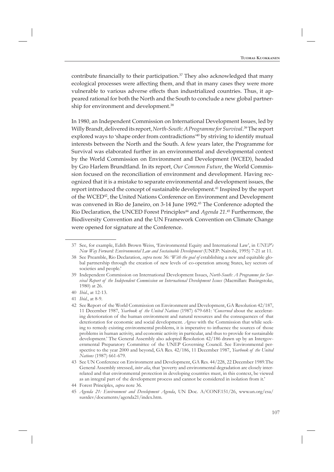contribute financially to their participation.<sup>37</sup> They also acknowledged that many ecological processes were affecting them, and that in many cases they were more vulnerable to various adverse effects than industrialized countries. Thus, it appeared rational for both the North and the South to conclude a new global partnership for environment and development.<sup>38</sup>

In 1980, an Independent Commission on International Development Issues, led by Willy Brandt, delivered its report,*North-South: A Programme for Survival*. 39 The report explored ways to 'shape order from contradictions' 40 by striving to identify mutual interests between the North and the South. A few years later, the Programme for Survival was elaborated further in an environmental and developmental context by the World Commission on Environment and Development (WCED), headed by Gro Harlem Brundtland. In its report, *Our Common Future*, the World Commission focused on the reconciliation of environment and development. Having recognized that it is a mistake to separate environmental and development issues, the report introduced the concept of sustainable development.41 Inspired by the report of the WCED<sup>42</sup>, the United Nations Conference on Environment and Development was convened in Rio de Janeiro, on 3-14 June 1992.43 The Conference adopted the Rio Declaration, the UNCED Forest Principles<sup>44</sup> and *Agenda* 21.<sup>45</sup> Furthermore, the Biodiversity Convention and the UN Framework Convention on Climate Change were opened for signature at the Conference.

<sup>37</sup> See, for example, Edith Brown Weiss, 'Environmental Equity and International Law', in *UNEP's New Way Forward: Environmental Law and Sustainable Development* (UNEP: Nairobi, 1995) 7-21 at 11.

<sup>38</sup> See Preamble, Rio Declaration, *supra* note 36: '*With the goal of* establishing a new and equitable global partnership through the creation of new levels of co-operation among States, key sectors of societies and people.'

<sup>39</sup> Independent Commission on International Development Issues, *North-South: A Programme for Survival Report of the Independent Commission on International Development Issues* (Macmillan: Basingstoke, 1980) at 26.

<sup>40</sup> *Ibid*., at 12-13.

<sup>41</sup> *Ibid*., at 8-9.

<sup>42</sup> See Report of the World Commission on Environment and Development, GA Resolution 42/187, 11 December 1987, *Yearbook of the United Nations* (1987) 679-681: '*Concerned* about the accelerating deterioration of the human environment and natural resources and the consequences of that deterioration for economic and social development. *Agrees* with the Commission that while seeking to remedy existing environmental problems, it is imperative to influence the sources of those problems in human activity, and economic activity in particular, and thus to provide for sustainable development.' The General Assembly also adopted Resolution 42/186 drawn up by an Intergovernmental Preparatory Committee of the UNEP Governing Council. See Environmental perspective to the year 2000 and beyond, GA Res. 42/186, 11 December 1987, *Yearbook of the United Nations* (1987) 661-679.

<sup>43</sup> See UN Conference on Environment and Development, GA Res. 44/228, 22 December 1989.The General Assembly stressed, *inter alia*, that 'poverty and environmental degradation are closely interrelated and that environmental protection in developing countries must, in this context, be viewed as an integral part of the development process and cannot be considered in isolation from it.'

<sup>44</sup> Forest Principles, *supra* note 36.

<sup>45</sup> *Agenda 21: Environment and Development Agenda*, UN Doc. A/CONF.151/26, www.un.org/esa/ sustdev/documents/agenda21/index.htm.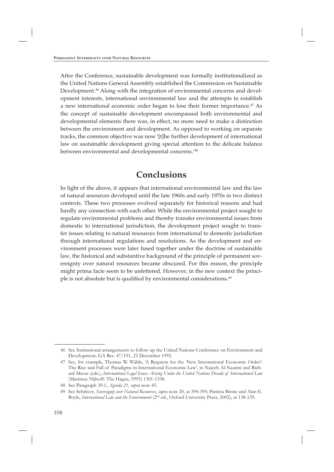After the Conference, sustainable development was formally institutionalized as the United Nations General Assembly established the Commission on Sustainable Development.46 Along with the integration of environmental concerns and development interests, international environmental law and the attempts to establish a new international economic order began to lose their former importance.<sup>47</sup> As the concept of sustainable development encompassed both environmental and developmental elements there was, in effect, no more need to make a distinction between the environment and development. As opposed to working on separate tracks, the common objective was now '[t]he further development of international law on sustainable development giving special attention to the delicate balance between environmental and developmental concerns.<sup>148</sup>

# **Conclusions**

In light of the above, it appears that international environmental law and the law of natural resources developed until the late 1960s and early 1970s in two distinct contexts. These two processes evolved separately for historical reasons and had hardly any connection with each other. While the environmental project sought to regulate environmental problems and thereby transfer environmental issues from domestic to international jurisdiction, the development project sought to transfer issues relating to natural resources from international to domestic jurisdiction through international regulations and resolutions. As the development and environment processes were later fused together under the doctrine of sustainable law, the historical and substantive background of the principle of permanent sovereignty over natural resources became obscured. For this reason, the principle might prima facie seem to be unfettered. However, in the new context the principle is not absolute but is qualified by environmental considerations.<sup>49</sup>

<sup>46</sup> See Institutional arrangements to follow up the United Nations Conference on Environment and Development, GA Res. 47/191, 22 December 1992.

<sup>47</sup> See, for example, Thomas W. Wälde, 'A Requiem for the 'New International Economic Order': The Rise and Fall of Paradigms in International Economic Law', in Najeeb Al-Nauimi and Richard Meese (eds.), *International Legal Issues Arising Under the United Nations Decade of International Law* (Martinus Nijhoff: The Hague, 1995) 1301-1338.

<sup>48</sup> See Paragraph 39.1, *Agenda 21*, *supra* note 45.

<sup>49</sup> See Schrijver, *Sovereignty over Natural Resources*, *supra* note 20, at 394-395; Patricia Birnie and Alan E. Boyle, *International Law and the Environment* (2nd ed., Oxford University Press, 2002), at 138-139.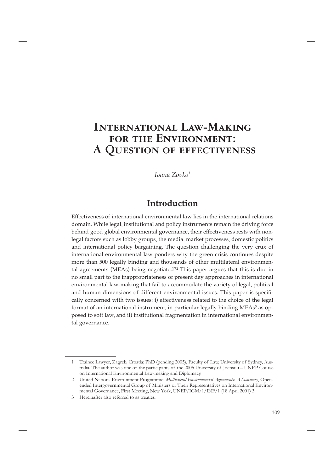# **International Law-Making for the Environment: A Question of effectiveness**

*Ivana Zovko1*

# **Introduction**

Effectiveness of international environmental law lies in the international relations domain. While legal, institutional and policy instruments remain the driving force behind good global environmental governance, their effectiveness rests with nonlegal factors such as lobby groups, the media, market processes, domestic politics and international policy bargaining. The question challenging the very crux of international environmental law ponders why the green crisis continues despite more than 500 legally binding and thousands of other multilateral environmental agreements (MEAs) being negotiated?<sup>2</sup> This paper argues that this is due in no small part to the inappropriateness of present day approaches in international environmental law-making that fail to accommodate the variety of legal, political and human dimensions of different environmental issues. This paper is specifically concerned with two issues: i) effectiveness related to the choice of the legal format of an international instrument, in particular legally binding MEAs<sup>3</sup> as opposed to soft law; and ii) institutional fragmentation in international environmental governance.

<sup>1</sup> Trainee Lawyer, Zagreb, Croatia; PhD (pending 2005), Faculty of Law, University of Sydney, Australia. The author was one of the participants of the 2005 University of Joensuu – UNEP Course on International Environmental Law-making and Diplomacy.

<sup>2</sup> United Nations Environment Programme, *Multilateral Environmental Agreements: A Summary*, Openended Intergovernmental Group of Ministers or Their Representatives on International Environmental Governance, First Meeting, New York, UNEP/IGM/1/INF/1 (18 April 2001) 3.

<sup>3</sup> Hereinafter also referred to as treaties.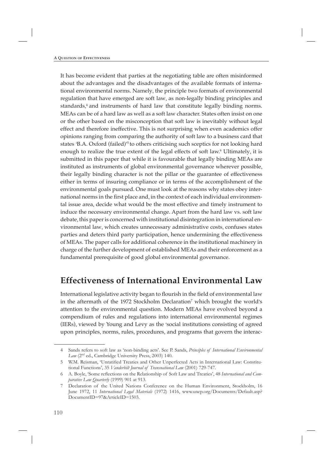#### **A Question of Effectiveness**

It has become evident that parties at the negotiating table are often misinformed about the advantages and the disadvantages of the available formats of international environmental norms. Namely, the principle two formats of environmental regulation that have emerged are soft law, as non-legally binding principles and standards, 4 and instruments of hard law that constitute legally binding norms. MEAs can be of a hard law as well as a soft law character. States often insist on one or the other based on the misconception that soft law is inevitably without legal effect and therefore ineffective. This is not surprising when even academics offer opinions ranging from comparing the authority of soft law to a business card that states 'B.A. Oxford (failed)' 5 to others criticising such sceptics for not looking hard enough to realize the true extent of the legal effects of soft law.<sup>6</sup> Ultimately, it is submitted in this paper that while it is favourable that legally binding MEAs are instituted as instruments of global environmental governance wherever possible, their legally binding character is not the pillar or the guarantee of effectiveness either in terms of insuring compliance or in terms of the accomplishment of the environmental goals pursued. One must look at the reasons why states obey international norms in the first place and, in the context of each individual environmental issue area, decide what would be the most effective and timely instrument to induce the necessary environmental change. Apart from the hard law vs. soft law debate, this paper is concerned with institutional disintegration in international environmental law, which creates unnecessary administrative costs, confuses states parties and deters third party participation, hence undermining the effectiveness of MEAs. The paper calls for additional coherence in the institutional machinery in charge of the further development of established MEAs and their enforcement as a fundamental prerequisite of good global environmental governance.

# **Effectiveness of International Environmental Law**

International legislative activity began to flourish in the field of environmental law in the aftermath of the 1972 Stockholm Declaration<sup>7</sup> which brought the world's attention to the environmental question. Modern MEAs have evolved beyond a compendium of rules and regulations into international environmental regimes (IERs), viewed by Young and Levy as the 'social institutions consisting of agreed upon principles, norms, rules, procedures, and programs that govern the interac-

<sup>4</sup> Sands refers to soft law as 'non-binding acts'. See P. Sands, *Principles of International Environmental*  Law (2<sup>nd</sup> ed., Cambridge University Press, 2003) 140.

W.M. Reisman, 'Unratified Treaties and Other Unperfected Acts in International Law: Constitutional Functions', 35 *Vanderbilt Journal of Transnational Law* (2001) 729-747.

<sup>6</sup> A. Boyle, 'Some refl ections on the Relationship of Soft Law and Treaties', 48 *International and Comparative Law Quarterly* (1999) 901 at 913.

<sup>7</sup> Declaration of the United Nations Conference on the Human Environment, Stockholm, 16 June 1972, 11 *International Legal Materials* (1972) 1416, www.unep.org/Documents/Default.asp? DocumentID=97&ArticleID=1503.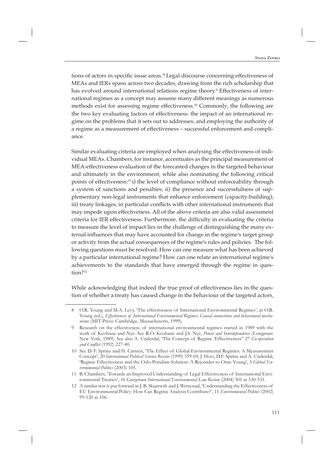tions of actors in specific issue areas.<sup>38</sup> Legal discourse concerning effectiveness of MEAs and IERs spans across two decades, drawing from the rich scholarship that has evolved around international relations regime theory.<sup>9</sup> Effectiveness of international regimes as a concept may assume many different meanings as numerous methods exist for assessing regime effectiveness.10 Commonly, the following are the two key evaluating factors of effectiveness: the impact of an international regime on the problems that it sets out to addresses; and employing the authority of a regime as a measurement of effectiveness – successful enforcement and compliance.

Similar evaluating criteria are employed when analysing the effectiveness of individual MEAs. Chambers, for instance, accentuates as the principal measurement of MEA-effectiveness evaluation of the forecasted changes in the targeted behaviour and ultimately in the environment, while also nominating the following critical points of effectiveness:11 i) the level of compliance without enforceability through a system of sanctions and penalties; ii) the presence and successfulness of supplementary non-legal instruments that enhance enforcement (capacity-building); iii) treaty linkages, in particular conflicts with other international instruments that may impede upon effectiveness. All of the above criteria are also valid assessment criteria for IER effectiveness. Furthermore, the difficulty in evaluating the criteria to measure the level of impact lies in the challenge of distinguishing the many external influences that may have accounted for change in the regime's target group or activity from the actual consequences of the regime's rules and policies. The following questions must be resolved: How can one measure what has been achieved by a particular international regime? How can one relate an international regime's achievements to the standards that have emerged through the regime in question?<sup>12</sup>

While acknowledging that indeed the true proof of effectiveness lies in the question of whether a treaty has caused change in the behaviour of the targeted actors,

<sup>8</sup> O.R. Young and M.A. Levy, 'The effectiveness of International Environmental Regimes', in O.R. Young (ed.), *Effectiveness of International Environmental Regimes: Causal connections and behavioural mechanisms* (MIT Press: Cambridge, Massachusetts, 1999).

<sup>9</sup> Research on the effectiveness of international environmental regimes started in 1989 with the work of Keohane and Nye. See R.O. Keohane and J.S. Nye, *Power and Interdependence* (Longman: New York, 1989). See also A. Underdal, 'The Concept of Regime 'Effectiveness'' 27 *Co-operation*  and Conflict (1992) 227-40.

<sup>10</sup> See D. F. Sprinz and H. Carsten, 'The Effect of Global Environmental Regimes: A Measurement Concept', 20 *International Political Science Review* (1999) 359-69; J. Hovi, D.F. Sprinz and A. Underdal, 'Regime Effectiveness and the Oslo-Potsdam Solution: A Rejoinder to Oran Young', 3 *Global Environmental Politics* (2003) 105.

<sup>11</sup> B. Chambers, 'Towards an Improved Understanding of Legal Effectiveness of International Environmental Treaties', *16 Georgetown International Environmental Law Review* (2004) 501 at 530-531.

<sup>12</sup> A similar test is put forward in J. B. Skjærseth and J. Wettestad, 'Understanding the Effectiveness of EU Environmental Policy: How Can Regime Analysis Contribute?', 11 *Environmental Politics* (2002) 99-120 at 106.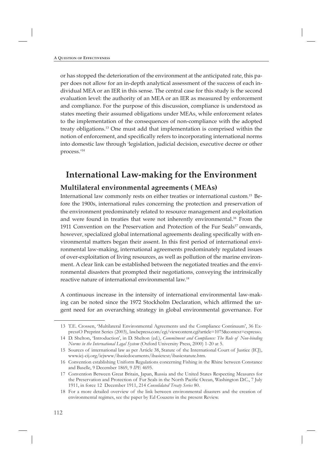or has stopped the deterioration of the environment at the anticipated rate, this paper does not allow for an in-depth analytical assessment of the success of each individual MEA or an IER in this sense. The central case for this study is the second evaluation level: the authority of an MEA or an IER as measured by enforcement and compliance. For the purpose of this discussion, compliance is understood as states meeting their assumed obligations under MEAs, while enforcement relates to the implementation of the consequences of non-compliance with the adopted treaty obligations.13 One must add that implementation is comprised within the notion of enforcement, and specifically refers to incorporating international norms into domestic law through 'legislation, judicial decision, executive decree or other process.' 14

# **International Law-making for the Environment**

### **Multilateral environmental agreements ( MEAs)**

International law commonly rests on either treaties or international custom. <sup>15</sup> Before the 1900s, international rules concerning the protection and preservation of the environment predominately related to resource management and exploitation and were found in treaties that were not inherently environmental. <sup>16</sup> From the 1911 Convention on the Preservation and Protection of the Fur Seals<sup>17</sup> onwards, however, specialized global international agreements dealing specifically with environmental matters began their assent. In this first period of international environmental law-making, international agreements predominately regulated issues of over-exploitation of living resources, as well as pollution of the marine environment. A clear link can be established between the negotiated treaties and the environmental disasters that prompted their negotiations, conveying the intrinsically reactive nature of international environmental law.<sup>18</sup>

A continuous increase in the intensity of international environmental law-making can be noted since the 1972 Stockholm Declaration, which affirmed the urgent need for an overarching strategy in global environmental governance. For

<sup>13</sup> T.E. Crossen, 'Multilateral Environmental Agreements and the Compliance Continuum', 36 ExpressO Preprint Series (2003), law.bepress.com/cgi/viewcontent.cgi?article=1075&context=expresso.

<sup>14</sup> D. Shelton, 'Introduction', in D. Shelton (ed.), *Commitment and Compliance: The Role of Non-binding Norms in the International Legal System* (Oxford University Press, 2000) 1-20 at 5.

<sup>15</sup> Sources of international law as per Article 38, Statute of the International Court of Justice (ICJ), www.icj-cij.org/icjwww/ibasicdocuments/ibasictext/ibasicstatute.htm.

<sup>16</sup> Convention establishing Uniform Regulations concerning Fishing in the Rhine between Constance and Baselle, 9 December 1869, 9 *IPE* 4695.

<sup>17</sup> Convention Between Great Britain, Japan, Russia and the United States Respecting Measures for the Preservation and Protection of Fur Seals in the North Pacific Ocean, Washington D.C., 7 July 1911, in force 12 December 1911, 214 *Consolidated Treaty Series* 80.

<sup>18</sup> For a more detailed overview of the link between environmental disasters and the creation of environmental regimes, see the paper by Ed Couzens in the present Review.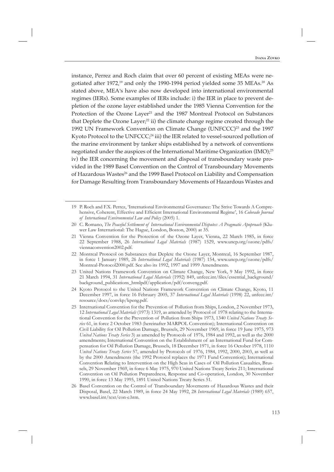instance, Perrez and Roch claim that over 60 percent of existing MEAs were negotiated after 1972, 19 and only the 1990-1994 period yielded some 35 MEAs.20 As stated above, MEA's have also now developed into international environmental regimes (IERs). Some examples of IERs include: i) the IER in place to prevent depletion of the ozone layer established under the 1985 Vienna Convention for the Protection of the Ozone Layer<sup>21</sup> and the 1987 Montreal Protocol on Substances that Deplete the Ozone Layer;<sup>22</sup> ii) the climate change regime created through the 1992 UN Framework Convention on Climate Change (UNFCCC)<sup>23</sup> and the 1997 Kyoto Protocol to the UNFCCC;<sup>24</sup> iii) the IER related to vessel-sourced pollution of the marine environment by tanker ships established by a network of conventions negotiated under the auspices of the International Maritime Organization (IMO); 25 iv) the IER concerning the movement and disposal of transboundary waste provided in the 1989 Basel Convention on the Control of Transboundary Movements of Hazardous Wastes<sup>26</sup> and the 1999 Basel Protocol on Liability and Compensation for Damage Resulting from Transboundary Movements of Hazardous Wastes and

<sup>19</sup> P. Roch and F.X. Perrez, 'International Environmental Governance: The Strive Towards A Comprehensive, Coherent, Effective and Efficient International Environmental Regime', 16 *Colorado Journal of International Environmental Law and Policy* (2005) 1.

<sup>20</sup> C. Romano, *The Peaceful Settlement of International Environmental Disputes: A Pragmatic Apoproach* (Kluwer Law International: The Hague, London, Boston, 2000) at 35.

<sup>21</sup> Vienna Convention for the Protection of the Ozone Layer, Vienna, 22 March 1985, in force 22 September 1988, 26 *International Legal Materials* (1987) 1529, www.unep.org/ozone/pdfs/ viennaconvention2002.pdf.

<sup>22</sup> Montreal Protocol on Substances that Deplete the Ozone Layer, Montreal, 16 September 1987, in force 1 January 1989, 26 *International Legal Materials* (1987) 154, www.unep.org/ozone/pdfs/ Montreal-Protocol2000.pdf. See also its 1992, 1997 and 1999 Amendments.

<sup>23</sup> United Nations Framework Convention on Climate Change, New York, 9 May 1992, in force 21 March 1994, 31 International Legal Materials (1992) 849, unfccc.int/files/essential\_background/ background\_publications\_htmlpdf/application/pdf/conveng.pdf.

<sup>24</sup> Kyoto Protocol to the United Nations Framework Convention on Climate Change, Kyoto, 11 December 1997, in force 16 February 2005, 37 *International Legal Materials* (1998) 22, unfccc.int/ resource/docs/convkp/kpeng.pdf.

<sup>25</sup> International Convention for the Prevention of Pollution from Ships, London, 2 November 1973, 12 *International Legal Materials* (1973) 1319, as amended by Protocol of 1978 relating to the International Convention for the Prevention of Pollution from Ships 1973, 1340 *United Nations Treaty Series* 61, in force 2 October 1983 (hereinafter MARPOL Convention); International Convention on Civil Liability for Oil Pollution Damage, Brussels, 29 November 1969, in force 19 June 1975, 973 *United Nations Treaty Series* 3) as amended by Protocols of 1976, 1984 and 1992, as well as the 2000 amendments; International Convention on the Establishment of an International Fund for Compensation for Oil Pollution Damage, Brussels, 18 December 1971, in force 16 October 1978, 1110 *United Nations Treaty Series* 57, amended by Protocols of 1976, 1984, 1992, 2000, 2003, as well as by the 2000 Amendments (the 1992 Protocol replaces the 1971 Fund Convention); International Convention Relating to Intervention on the High Seas in Cases of Oil Pollution Casualties, Brussels, 29 November 1969, in force 6 May 1975, 970 United Nations Treaty Series 211; International Convention on Oil Pollution Preparedness, Response and Co-operation, London, 30 November 1990, in force 13 May 1995, 1891 United Nations Treaty Series 51.

<sup>26</sup> Basel Convention on the Control of Transboundary Movements of Hazardous Wastes and their Disposal, Basel, 22 March 1989, in force 24 May 1992, 28 *International Legal Materials* (1989) 657, www.basel.int/text/con-e.htm.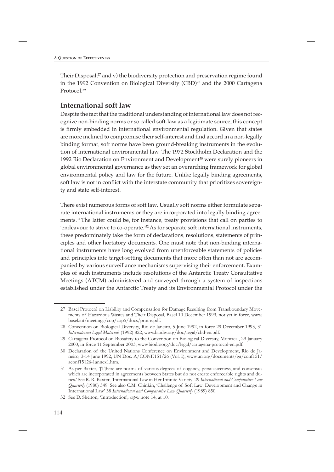Their Disposal; 27 and v) the biodiversity protection and preservation regime found in the 1992 Convention on Biological Diversity (CBD)<sup>28</sup> and the 2000 Cartagena Protocol.<sup>29</sup>

### **International soft law**

Despite the fact that the traditional understanding of international law does not recognize non-binding norms or so called soft-law as a legitimate source, this concept is firmly embedded in international environmental regulation. Given that states are more inclined to compromise their self-interest and find accord in a non-legally binding format, soft norms have been ground-breaking instruments in the evolution of international environmental law. The 1972 Stockholm Declaration and the 1992 Rio Declaration on Environment and Development<sup>30</sup> were surely pioneers in global environmental governance as they set an overarching framework for global environmental policy and law for the future. Unlike legally binding agreements, soft law is not in conflict with the interstate community that prioritizes sovereignty and state self-interest.

There exist numerous forms of soft law. Usually soft norms either formulate separate international instruments or they are incorporated into legally binding agreements.31 The latter could be, for instance, treaty provisions that call on parties to 'endeavour to strive to co-operate.<sup>32</sup> As for separate soft international instruments, these predominately take the form of declarations, resolutions, statements of principles and other hortatory documents. One must note that non-binding international instruments have long evolved from unenforceable statements of policies and principles into target-setting documents that more often than not are accompanied by various surveillance mechanisms supervising their enforcement. Examples of such instruments include resolutions of the Antarctic Treaty Consultative Meetings (ATCM) administered and surveyed through a system of inspections established under the Antarctic Treaty and its Environmental Protocol under the

<sup>27</sup> Basel Protocol on Liability and Compensation for Damage Resulting from Transboundary Movements of Hazardous Wastes and Their Disposal, Basel 10 December 1999, not yet in force, www. basel.int/meetings/cop/cop5/docs/prot-e.pdf.

<sup>28</sup> Convention on Biological Diversity, Rio de Janeiro, 5 June 1992, in force 29 December 1993, 31 *International Legal Materials* (1992) 822, www.biodiv.org/doc/legal/cbd-en.pdf.

<sup>29</sup> Cartagena Protocol on Biosafety to the Convention on Biological Diversity, Montreal, 29 January 2000, in force 11 September 2003, www.biodiv.org/doc/legal/cartagena-protocol-en.pdf.

<sup>30</sup> Declaration of the United Nations Conference on Environment and Development, Rio de Janeiro, 3-14 June 1992, UN Doc. A/CONF.151/26 (Vol. I), www.un.org/documents/ga/conf151/ aconf15126-1annex1.htm.

<sup>31</sup> As per Baxter, '[T]here are norms of various degrees of cogency, persuasiveness, and consensus which are incorporated in agreements between States but do not create enforceable rights and duties.' See R. R. Baxter, 'International Law in Her Infinite Variety' 29 International and Comparative Law *Quarterly* (1980) 549. See also C.M. Chinkin, 'Challenge of Soft Law: Development and Change in International Law' 38 *International and Comparative Law Quarterly* (1989) 850.

<sup>32</sup> See D. Shelton, 'Introduction', *supra* note 14, at 10.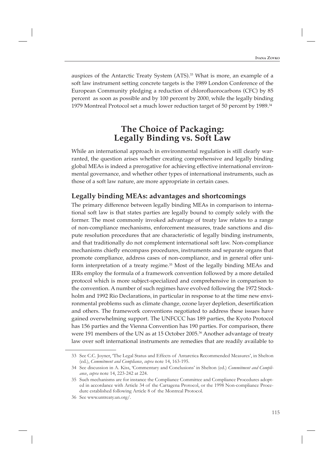auspices of the Antarctic Treaty System (ATS).<sup>33</sup> What is more, an example of a soft law instrument setting concrete targets is the 1989 London Conference of the European Community pledging a reduction of chlorofluorocarbons (CFC) by 85 percent as soon as possible and by 100 percent by 2000, while the legally binding 1979 Montreal Protocol set a much lower reduction target of 50 percent by 1989.34

# **The Choice of Packaging: Legally Binding vs. Soft Law**

While an international approach in environmental regulation is still clearly warranted, the question arises whether creating comprehensive and legally binding global MEAs is indeed a prerogative for achieving effective international environmental governance, and whether other types of international instruments, such as those of a soft law nature, are more appropriate in certain cases.

### **Legally binding MEAs: advantages and shortcomings**

The primary difference between legally binding MEAs in comparison to international soft law is that states parties are legally bound to comply solely with the former. The most commonly invoked advantage of treaty law relates to a range of non-compliance mechanisms, enforcement measures, trade sanctions and dispute resolution procedures that are characteristic of legally binding instruments, and that traditionally do not complement international soft law. Non-compliance mechanisms chiefly encompass procedures, instruments and separate organs that promote compliance, address cases of non-compliance, and in general offer uniform interpretation of a treaty regime.<sup>35</sup> Most of the legally binding MEAs and IERs employ the formula of a framework convention followed by a more detailed protocol which is more subject-specialized and comprehensive in comparison to the convention. A number of such regimes have evolved following the 1972 Stockholm and 1992 Rio Declarations, in particular in response to at the time new environmental problems such as climate change, ozone layer depletion, desertification and others. The framework conventions negotiated to address these issues have gained overwhelming support. The UNFCCC has 189 parties, the Kyoto Protocol has 156 parties and the Vienna Convention has 190 parties. For comparison, there were 191 members of the UN as at 15 October 2005.<sup>36</sup> Another advantage of treaty law over soft international instruments are remedies that are readily available to

<sup>33</sup> See C.C. Joyner, 'The Legal Status and Effects of Antarctica Recommended Measures', in Shelton (ed.), *Commitment and Compliance*, *supra* note 14, 163-195.

<sup>34</sup> See discussion in A. Kiss, 'Commentary and Conclusions' in Shelton (ed.) *Commitment and Compliance*, *supra* note 14, 223-242 at 224.

<sup>35</sup> Such mechanisms are for instance the Compliance Committee and Compliance Procedures adopted in accordance with Article 34 of the Cartagena Protocol, or the 1998 Non-compliance Procedure established following Article 8 of the Montreal Protocol.

<sup>36</sup> See www.untreaty.un.org/.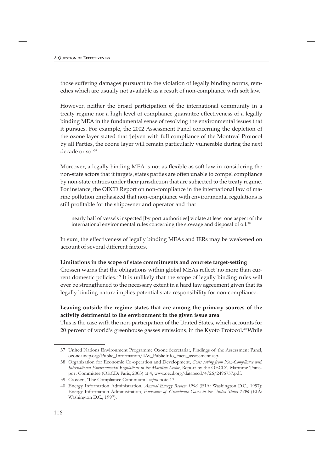those suffering damages pursuant to the violation of legally binding norms, remedies which are usually not available as a result of non-compliance with soft law.

However, neither the broad participation of the international community in a treaty regime nor a high level of compliance guarantee effectiveness of a legally binding MEA in the fundamental sense of resolving the environmental issues that it pursues. For example, the 2002 Assessment Panel concerning the depletion of the ozone layer stated that '[e]ven with full compliance of the Montreal Protocol by all Parties, the ozone layer will remain particularly vulnerable during the next decade or so.' 37

Moreover, a legally binding MEA is not as flexible as soft law in considering the non-state actors that it targets; states parties are often unable to compel compliance by non-state entities under their jurisdiction that are subjected to the treaty regime. For instance, the OECD Report on non-compliance in the international law of marine pollution emphasized that non-compliance with environmental regulations is still profitable for the shipowner and operator and that

nearly half of vessels inspected [by port authorities] violate at least one aspect of the international environmental rules concerning the stowage and disposal of oil.<sup>38</sup>

In sum, the effectiveness of legally binding MEAs and IERs may be weakened on account of several different factors.

#### **Limitations in the scope of state commitments and concrete target-setting**

Crossen warns that the obligations within global MEAs reflect 'no more than current domestic policies.' 39 It is unlikely that the scope of legally binding rules will ever be strengthened to the necessary extent in a hard law agreement given that its legally binding nature implies potential state responsibility for non-compliance.

### **Leaving outside the regime states that are among the primary sources of the activity detrimental to the environment in the given issue area**

This is the case with the non-participation of the United States, which accounts for 20 percent of world's greenhouse gasses emissions, in the Kyoto Protocol.<sup>40</sup> While

<sup>37</sup> United Nations Environment Programme Ozone Secretariat, Findings of the Assessment Panel, ozone.unep.org/Public\_Information/4Av\_PublicInfo\_Facts\_assessment.asp.

<sup>38</sup> Organization for Economic Co-operation and Development, *Costs saving from Non-Compliance with International Environmental Regulations in the Maritime Sector*, Report by the OECD's Maritime Transport Committee (OECD: Paris, 2003) at 4, www.oecd.org/dataoecd/4/26/2496757.pdf.

<sup>39</sup> Crossen, 'The Compliance Continuum', *supra* note 13.

<sup>40</sup> Energy Information Administration, *Annual Energy Review 1996* (EIA: Washington D.C., 1997); Energy Information Administration, *Emissions of Greenhouse Gases in the United States 1996* (EIA: Washington D.C., 1997).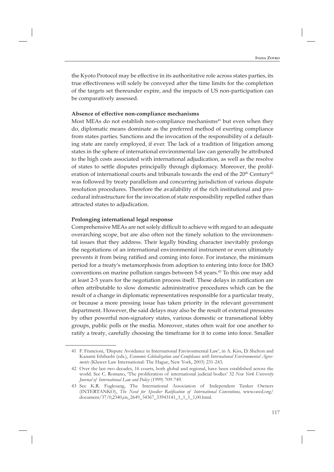the Kyoto Protocol may be effective in its authoritative role across states parties, its true effectiveness will solely be conveyed after the time limits for the completion of the targets set thereunder expire, and the impacts of US non-participation can be comparatively assessed.

#### **Absence of effective non-compliance mechanisms**

Most MEAs do not establish non-compliance mechanisms<sup>41</sup> but even when they do, diplomatic means dominate as the preferred method of exerting compliance from states parties. Sanctions and the invocation of the responsibility of a defaulting state are rarely employed, if ever. The lack of a tradition of litigation among states in the sphere of international environmental law can generally be attributed to the high costs associated with international adjudication, as well as the resolve of states to settle disputes principally through diplomacy. Moreover, the proliferation of international courts and tribunals towards the end of the  $20<sup>th</sup>$  Century<sup>42</sup> was followed by treaty parallelism and concurring jurisdiction of various dispute resolution procedures. Therefore the availability of the rich institutional and procedural infrastructure for the invocation of state responsibility repelled rather than attracted states to adjudication.

#### **Prolonging international legal response**

Comprehensive MEAs are not solely difficult to achieve with regard to an adequate overarching scope, but are also often not the timely solution to the environmental issues that they address. Their legally binding character inevitably prolongs the negotiations of an international environmental instrument or even ultimately prevents it from being ratified and coming into force. For instance, the minimum period for a treaty's metamorphosis from adoption to entering into force for IMO conventions on marine pollution ranges between 5-8 years.43 To this one may add at least 2-5 years for the negotiation process itself. These delays in ratification are often attributable to slow domestic administrative procedures which can be the result of a change in diplomatic representatives responsible for a particular treaty, or because a more pressing issue has taken priority in the relevant government department. However, the said delays may also be the result of external pressures by other powerful non-signatory states, various domestic or transnational lobby groups, public polls or the media. Moreover, states often wait for one another to ratify a treaty, carefully choosing the timeframe for it to come into force. Smaller

<sup>41</sup> F. Francioni, 'Dispute Avoidance in International Environmental Law', in A. Kiss, D. Shelton and Kanami Ishibashi (eds.), *Economic Globalization and Compliance with International Environmental Agreements* (Kluwer Law International: The Hague, New York, 2003) 231-243.

<sup>42</sup> Over the last two decades, 16 courts, both global and regional, have been established across the world. See C. Romano, 'The proliferation of international judicial bodies' 32 *New York University Journal of International Law and Policy* (1999) 709-749.

<sup>43</sup> See K.R. Fuglesang, The International Association of Independent Tanker Owners (INTERTANKO), *The Need for Speedier Ratification of International Conventions*, www.oecd.org/ document/37/0,2340,en\_2649\_34367\_33943141\_1\_1\_1\_1,00.html.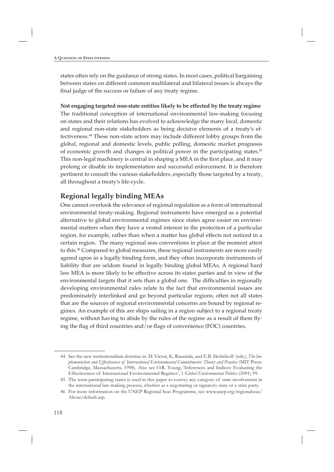states often rely on the guidance of strong states. In most cases, political bargaining between states on different common multilateral and bilateral issues is always the final judge of the success or failure of any treaty regime.

#### **Not engaging targeted non-state entities likely to be effected by the treaty regime**

The traditional conception of international environmental law-making focusing on states and their relations has evolved to acknowledge the many local, domestic and regional non-state stakeholders as being decisive elements of a treaty's effectiveness.44 These non-state actors may include different lobby groups from the global, regional and domestic levels, public polling, domestic market prognosis of economic growth and changes in political power in the participating states.45 This non-legal machinery is central in shaping a MEA in the first place, and it may prolong or disable its implementation and successful enforcement. It is therefore pertinent to consult the various stakeholders, especially those targeted by a treaty, all throughout a treaty's life-cycle.

### **Regional legally binding MEAs**

One cannot overlook the relevance of regional regulation as a form of international environmental treaty-making. Regional instruments have emerged as a potential alternative to global environmental regimes since states agree easier on environmental matters when they have a vested interest in the protection of a particular region, for example, rather than when a matter has global effects not noticed in a certain region. The many regional seas conventions in place at the moment attest to this.<sup>46</sup> Compared to global measures, these regional instruments are more easily agreed upon in a legally binding form, and they often incorporate instruments of liability that are seldom found in legally binding global MEAs. A regional hard law MEA is more likely to be effective across its states parties and in view of the environmental targets that it sets than a global one. The difficulties in regionally developing environmental rules relate to the fact that environmental issues are predominately interlinked and go beyond particular regions; often not all states that are the sources of regional environmental concerns are bound by regional regimes. An example of this are ships sailing in a region subject to a regional treaty regime, without having to abide by the rules of the regime as a result of them flying the flag of third countries and/or flags of convenience (FOC) countries.

<sup>44</sup> See the new institutionalism doctrine in D. Victor, K. Raustiala, and E.B. Skolnikoff (eds.), *The Implementation and Effectiveness of International Environmental Commitments: Theory and Practice* (MIT Press: Cambridge, Massachusetts, 1998). Also see O.R. Young, 'Inferences and Indices: Evaluating the Effectiveness of International Environmental Regimes', 1 *Global Environmental Politics* (2001) 99*.*

<sup>45</sup> The term participating states is used in this paper to convey any category of state involvement in the international law-making process, whether as a negotiating or signatory state or a state party.

<sup>46</sup> For more information on the UNEP Regional Seas Programme, see www.unep.org/regionalseas/ About/default.asp.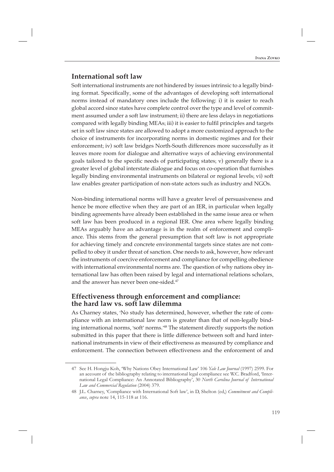### **International soft law**

Soft international instruments are not hindered by issues intrinsic to a legally binding format. Specifically, some of the advantages of developing soft international norms instead of mandatory ones include the following: i) it is easier to reach global accord since states have complete control over the type and level of commitment assumed under a soft law instrument; ii) there are less delays in negotiations compared with legally binding MEAs; iii) it is easier to fulfil principles and targets set in soft law since states are allowed to adopt a more customized approach to the choice of instruments for incorporating norms in domestic regimes and for their enforcement; iv) soft law bridges North-South differences more successfully as it leaves more room for dialogue and alternative ways of achieving environmental goals tailored to the specific needs of participating states;  $v$ ) generally there is a greater level of global interstate dialogue and focus on co-operation that furnishes legally binding environmental instruments on bilateral or regional levels; vi) soft law enables greater participation of non-state actors such as industry and NGOs.

Non-binding international norms will have a greater level of persuasiveness and hence be more effective when they are part of an IER, in particular when legally binding agreements have already been established in the same issue area or when soft law has been produced in a regional IER. One area where legally binding MEAs arguably have an advantage is in the realm of enforcement and compliance. This stems from the general presumption that soft law is not appropriate for achieving timely and concrete environmental targets since states are not compelled to obey it under threat of sanction. One needs to ask, however, how relevant the instruments of coercive enforcement and compliance for compelling obedience with international environmental norms are. The question of why nations obey international law has often been raised by legal and international relations scholars, and the answer has never been one-sided.<sup>47</sup>

### **Effectiveness through enforcement and compliance: the hard law vs. soft law dilemma**

As Charney states, 'No study has determined, however, whether the rate of compliance with an international law norm is greater than that of non-legally binding international norms, 'soft' norms.' 48 The statement directly supports the notion submitted in this paper that there is little difference between soft and hard international instruments in view of their effectiveness as measured by compliance and enforcement. The connection between effectiveness and the enforcement of and

<sup>47</sup> See H. Hongju Koh, 'Why Nations Obey International Law' 106 *Yale Law Journal* (1997) 2599. For an account of the bibliography relating to international legal compliance see W.C. Bradford, 'International Legal Compliance: An Annotated Bibliography', 30 *North Carolina Journal of International Law and Commercial Regulation* (2004) 379.

<sup>48</sup> J.L. Charney, 'Compliance with International Soft law', in D, Shelton (ed,) *Commitment and Compliance*, *supra* note 14, 115-118 at 116.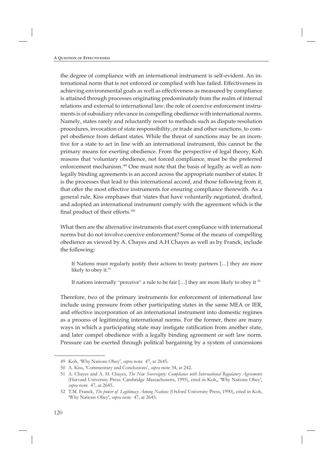the degree of compliance with an international instrument is self-evident. An international norm that is not enforced or complied with has failed. Effectiveness in achieving environmental goals as well as effectiveness as measured by compliance is attained through processes originating predominately from the realm of internal relations and external to international law; the role of coercive enforcement instruments is of subsidiary relevance in compelling obedience with international norms. Namely, states rarely and reluctantly resort to methods such as dispute resolution procedures, invocation of state responsibility, or trade and other sanctions, to compel obedience from defiant states. While the threat of sanctions may be an incentive for a state to act in line with an international instrument, this cannot be the primary means for exerting obedience. From the perspective of legal theory, Koh reasons that 'voluntary obedience, not forced compliance, must be the preferred enforcement mechanism.' 49 One must note that the basis of legally as well as nonlegally binding agreements is an accord across the appropriate number of states. It is the processes that lead to this international accord, and those following from it, that offer the most effective instruments for ensuring compliance therewith. As a general rule, Kiss emphases that 'states that have voluntarily negotiated, drafted, and adopted an international instrument comply with the agreement which is the final product of their efforts.'<sup>50</sup>

What then are the alternative instruments that exert compliance with international norms but do not involve coercive enforcement? Some of the means of compelling obedience as viewed by A. Chayes and A.H Chayes as well as by Franck, include the following:

If Nations must regularly justify their actions to treaty partners […] they are more likely to obey it.<sup>51</sup>

If nations internally "perceive" a rule to be fair [...] they are more likely to obey it <sup>52</sup>

Therefore, two of the primary instruments for enforcement of international law include using pressure from other participating states in the same MEA or IER, and effective incorporation of an international instrument into domestic regimes as a process of legitimizing international norms. For the former, there are many ways in which a participating state may instigate ratification from another state, and later compel obedience with a legally binding agreement or soft law norm. Pressure can be exerted through political bargaining by a system of concessions

<sup>49</sup> Koh, 'Why Nations Obey', *supra* note 47, at 2645.

<sup>50</sup> A. Kiss, 'Commentary and Conclusions', *supra* note 34, at 242.

<sup>51</sup> A. Chayes and A. H. Chayes, *The New Sovereignty: Compliance with International Regulatory Agreements* (Harvard University Press: Cambridge Massachusetts, 1995), cited in Koh,, 'Why Nations Obey', *supra* note 47, at 2645.

<sup>52</sup> T.M. Franck, *The power of Legitimacy Among Nations* (Oxford University Press, 1990), cited in Koh, 'Why Nations Obey', *supra* note 47, at 2645.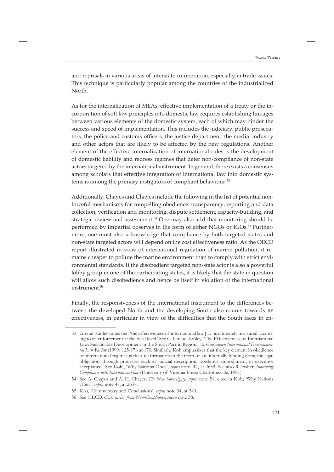and reprisals in various areas of interstate co-operation, especially in trade issues. This technique is particularly popular among the countries of the industrialized North.

As for the internalization of MEAs, effective implementation of a treaty or the incorporation of soft law principles into domestic law requires establishing linkages between various elements of the domestic system, each of which may hinder the success and speed of implementation. This includes the judiciary, public prosecutors, the police and customs officers, the justice department, the media, industry and other actors that are likely to be affected by the new regulations. Another element of the effective internalization of international rules is the development of domestic liability and redress regimes that deter non-compliance of non-state actors targeted by the international instrument. In general, there exists a consensus among scholars that effective integration of international law into domestic systems is among the primary instigators of compliant behaviour.<sup>53</sup>

Additionally, Chayes and Chayes include the following in the list of potential nonforceful mechanisms for compelling obedience: transparency; reporting and data collection; verification and monitoring; dispute settlement; capacity-building; and strategic review and assessment.54 One may also add that monitoring should be performed by impartial observes in the form of either NGOs or IGOs.<sup>55</sup> Furthermore, one must also acknowledge that compliance by both targeted states and non-state targeted actors will depend on the cost effectiveness ratio. As the OECD report illustrated in view of international regulation of marine pollution, it remains cheaper to pollute the marine environment than to comply with strict environmental standards. If the disobedient targeted non-state actor is also a powerful lobby group in one of the participating states, it is likely that the state in question will allow such disobedience and hence be itself in violation of the international instrument.56

Finally, the responsiveness of the international instrument to the differences between the developed North and the developing South also counts towards its effectiveness, in particular in view of the difficulties that the South faces in en-

<sup>53</sup> Giraud-Kinley notes that 'the effectiveness of international law […] is ultimately measured according to its enforcement at the local level.' See C. Giraud-Kinley, 'The Effectiveness of International Law: Sustainable Development in the South Pacific Region', 12 *Georgetown International Environmental Law Review* (1999) 125-176 at 170. Similarly, Koh emphasizes that the key element in obedience of international regimes is their reaffirmation in the form of an 'internally binding domestic legal obligation' through processes such as judicial description, legislative embodiment, or executive acceptance. See Koh,, 'Why Nations Obey', *supra* note 47, at 2659. See also R. Fisher, *Improving Compliance with International law* (University of Virginia Press: Charlottesville, 1981).

<sup>54</sup> See A. Chayes and A. H. Chayes, *The New Sovereignty*, *supra* note 51, cited in Koh, 'Why Nations Obey', *supra* note 47, at 2637.

<sup>55</sup> Kiss, 'Commentary and Conclusions', *supra* note 34, at 240.

<sup>56</sup> See OECD, *Costs saving from Non-Compliance*, *supra* note 38.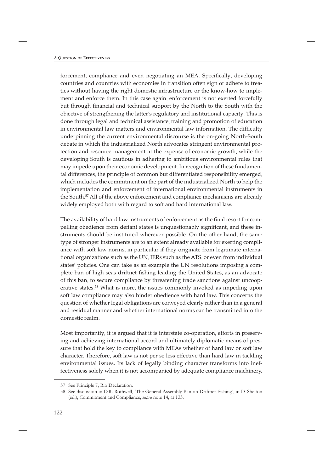forcement, compliance and even negotiating an MEA. Specifically, developing countries and countries with economies in transition often sign or adhere to treaties without having the right domestic infrastructure or the know-how to implement and enforce them. In this case again, enforcement is not exerted forcefully but through financial and technical support by the North to the South with the objective of strengthening the latter's regulatory and institutional capacity. This is done through legal and technical assistance, training and promotion of education in environmental law matters and environmental law information. The difficulty underpinning the current environmental discourse is the on-going North-South debate in which the industrialized North advocates stringent environmental protection and resource management at the expense of economic growth, while the developing South is cautious in adhering to ambitious environmental rules that may impede upon their economic development. In recognition of these fundamental differences, the principle of common but differentiated responsibility emerged, which includes the commitment on the part of the industrialized North to help the implementation and enforcement of international environmental instruments in the South.<sup>57</sup> All of the above enforcement and compliance mechanisms are already widely employed both with regard to soft and hard international law.

The availability of hard law instruments of enforcement as the final resort for compelling obedience from defiant states is unquestionably significant, and these instruments should be instituted wherever possible. On the other hand, the same type of stronger instruments are to an extent already available for exerting compliance with soft law norms, in particular if they originate from legitimate international organizations such as the UN, IERs such as the ATS, or even from individual states' policies. One can take as an example the UN resolutions imposing a complete ban of high seas driftnet fishing leading the United States, as an advocate of this ban, to secure compliance by threatening trade sanctions against uncooperative states.58 What is more, the issues commonly invoked as impeding upon soft law compliance may also hinder obedience with hard law. This concerns the question of whether legal obligations are conveyed clearly rather than in a general and residual manner and whether international norms can be transmitted into the domestic realm.

Most importantly, it is argued that it is interstate co-operation, efforts in preserving and achieving international accord and ultimately diplomatic means of pressure that hold the key to compliance with MEAs whether of hard law or soft law character. Therefore, soft law is not per se less effective than hard law in tackling environmental issues. Its lack of legally binding character transforms into ineffectiveness solely when it is not accompanied by adequate compliance machinery.

<sup>57</sup> See Principle 7, Rio Declaration.

<sup>58</sup> See discussion in D.R. Rothwell, 'The General Assembly Ban on Driftnet Fishing', in D. Shelton (ed.), Commitment and Compliance, *supra* note 14, at 135.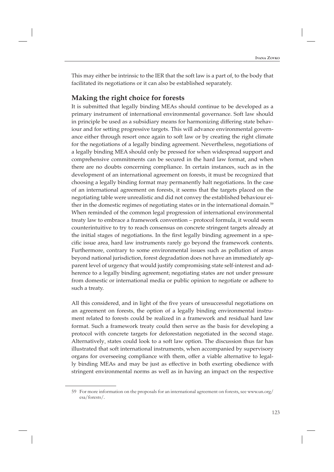This may either be intrinsic to the IER that the soft law is a part of, to the body that facilitated its negotiations or it can also be established separately.

### **Making the right choice for forests**

It is submitted that legally binding MEAs should continue to be developed as a primary instrument of international environmental governance. Soft law should in principle be used as a subsidiary means for harmonizing differing state behaviour and for setting progressive targets. This will advance environmental governance either through resort once again to soft law or by creating the right climate for the negotiations of a legally binding agreement. Nevertheless, negotiations of a legally binding MEA should only be pressed for when widespread support and comprehensive commitments can be secured in the hard law format, and when there are no doubts concerning compliance. In certain instances, such as in the development of an international agreement on forests, it must be recognized that choosing a legally binding format may permanently halt negotiations. In the case of an international agreement on forests, it seems that the targets placed on the negotiating table were unrealistic and did not convey the established behaviour either in the domestic regimes of negotiating states or in the international domain.<sup>59</sup> When reminded of the common legal progression of international environmental treaty law to embrace a framework convention – protocol formula, it would seem counterintuitive to try to reach consensus on concrete stringent targets already at the initial stages of negotiations. In the first legally binding agreement in a specific issue area, hard law instruments rarely go beyond the framework contents. Furthermore, contrary to some environmental issues such as pollution of areas beyond national jurisdiction, forest degradation does not have an immediately apparent level of urgency that would justify compromising state self-interest and adherence to a legally binding agreement; negotiating states are not under pressure from domestic or international media or public opinion to negotiate or adhere to such a treaty.

All this considered, and in light of the five years of unsuccessful negotiations on an agreement on forests, the option of a legally binding environmental instrument related to forests could be realized in a framework and residual hard law format. Such a framework treaty could then serve as the basis for developing a protocol with concrete targets for deforestation negotiated in the second stage. Alternatively, states could look to a soft law option. The discussion thus far has illustrated that soft international instruments, when accompanied by supervisory organs for overseeing compliance with them, offer a viable alternative to legally binding MEAs and may be just as effective in both exerting obedience with stringent environmental norms as well as in having an impact on the respective

<sup>59</sup> For more information on the proposals for an international agreement on forests, see www.un.org/ esa/forests/.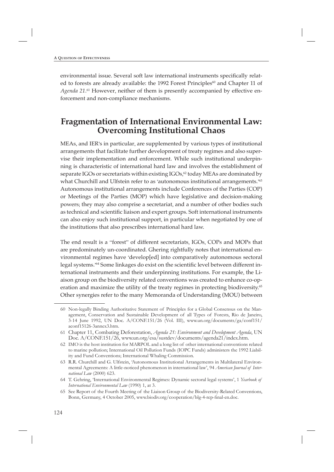environmental issue. Several soft law international instruments specifically related to forests are already available: the 1992 Forest Principles<sup>60</sup> and Chapter 11 of Agenda 21.<sup>61</sup> However, neither of them is presently accompanied by effective enforcement and non-compliance mechanisms.

# **Fragmentation of International Environmental Law: Overcoming Institutional Chaos**

MEAs, and IER's in particular, are supplemented by various types of institutional arrangements that facilitate further development of treaty regimes and also supervise their implementation and enforcement. While such institutional underpinning is characteristic of international hard law and involves the establishment of separate IGOs or secretariats within existing IGOs, 62 today MEAs are dominated by what Churchill and Ulfstein refer to as 'autonomous institutional arrangements.'<sup>63</sup> Autonomous institutional arrangements include Conferences of the Parties (COP) or Meetings of the Parties (MOP) which have legislative and decision-making powers; they may also comprise a secretariat, and a number of other bodies such as technical and scientific liaison and expert groups. Soft international instruments can also enjoy such institutional support, in particular when negotiated by one of the institutions that also prescribes international hard law.

The end result is a "forest" of different secretariats, IGOs, COPs and MOPs that are predominately un-coordinated. Ghering rightfully notes that international environmental regimes have 'develop[ed] into comparatively autonomous sectoral legal systems.<sup>364</sup> Some linkages do exist on the scientific level between different international instruments and their underpinning institutions. For example, the Liaison group on the biodiversity related conventions was created to enhance co-operation and maximize the utility of the treaty regimes in protecting biodiversity.<sup>65</sup> Other synergies refer to the many Memoranda of Understanding (MOU) between

<sup>60</sup> Non-legally Binding Authoritative Statement of Principles for a Global Consensus on the Management, Conservation and Sustainable Development of all Types of Forests, Rio de Janeiro, 3-14 June 1992, UN Doc. A/CONF.151/26 (Vol. III), www.un.org/documents/ga/conf151/ aconf15126-3annex3.htm.

<sup>61</sup> Chapter 11, Combating Deforestation, *Agenda 21: Environment and Development Agenda*, UN Doc. A/CONF.151/26, www.un.org/esa/sustdev/documents/agenda21/index.htm.

<sup>62</sup> IMO is the host institution for MARPOL and a long list of other international conventions related to marine pollution; International Oil Pollution Funds (IOPC Funds) administers the 1992 Liability and Fund Conventions; International Whaling Commission.

<sup>63</sup> R.R. Churchill and G. Ulfstein, 'Autonomous Institutional Arrangements in Multilateral Environmental Agreements: A little-noticed phenomenon in international law', 94 *American Journal of International Law* (2000) 623.

<sup>64</sup> T. Gehring, 'International Environmental Regimes: Dynamic sectoral legal systems', 1 *Yearbook of International Environmental Law* (1990) 1, at 3.

<sup>65</sup> See Report of the Fourth Meeting of the Liaison Group of the Biodiversity-Related Conventions, Bonn, Germany, 4 October 2005, www.biodiv.org/cooperation/blg-4-rep-final-en.doc.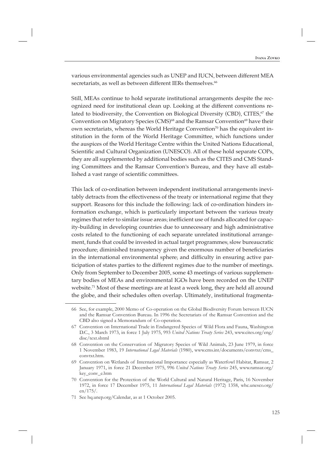various environmental agencies such as UNEP and IUCN, between different MEA secretariats, as well as between different IERs themselves.<sup>66</sup>

Still, MEAs continue to hold separate institutional arrangements despite the recognized need for institutional clean up. Looking at the different conventions related to biodiversity, the Convention on Biological Diversity (CBD), CITES,<sup>67</sup> the Convention on Migratory Species (CMS)<sup>68</sup> and the Ramsar Convention<sup>69</sup> have their own secretariats, whereas the World Heritage Convention<sup>70</sup> has the equivalent institution in the form of the World Heritage Committee, which functions under the auspices of the World Heritage Centre within the United Nations Educational, Scientific and Cultural Organization (UNESCO). All of these hold separate COPs, they are all supplemented by additional bodies such as the CITES and CMS Standing Committees and the Ramsar Convention's Bureau, and they have all established a vast range of scientific committees.

This lack of co-ordination between independent institutional arrangements inevitably detracts from the effectiveness of the treaty or international regime that they support. Reasons for this include the following: lack of co-ordination hinders information exchange, which is particularly important between the various treaty regimes that refer to similar issue areas; inefficient use of funds allocated for capacity-building in developing countries due to unnecessary and high administrative costs related to the functioning of each separate unrelated institutional arrangement, funds that could be invested in actual target programmes; slow bureaucratic procedure; diminished transparency given the enormous number of beneficiaries in the international environmental sphere; and difficulty in ensuring active participation of states parties to the different regimes due to the number of meetings. Only from September to December 2005, some 43 meetings of various supplementary bodies of MEAs and environmental IGOs have been recorded on the UNEP website.71 Most of these meetings are at least a week long, they are held all around the globe, and their schedules often overlap. Ultimately, institutional fragmenta-

71 See hq.unep.org/Calendar, as at 1 October 2005.

<sup>66</sup> See, for example, 2000 Memo of Co-operation on the Global Biodiversity Forum between IUCN and the Ramsar Convention Bureau. In 1996 the Secretariats of the Ramsar Convention and the CBD also signed a Memorandum of Co-operation.

<sup>67</sup> Convention on International Trade in Endangered Species of Wild Flora and Fauna, Washington D.C., 3 March 1973, in force 1 July 1975, 993 *United Nations Treaty Series* 243, www.cites.org/eng/ disc/text.shtml

<sup>68</sup> Convention on the Conservation of Migratory Species of Wild Animals, 23 June 1979, in force 1 November 1983, 19 *International Legal Materials* (1980), www.cms.int/documents/convtxt/cms\_ convtxt.htm.

<sup>69</sup> Convention on Wetlands of International Importance especially as Waterfowl Habitat, Ramsar, 2 January 1971, in force 21 December 1975, 996 *United Nations Treaty Series* 245, www.ramsar.org/ key\_conv\_e.htm

<sup>70</sup> Convention for the Protection of the World Cultural and Natural Heritage, Paris, 16 November 1972, in force 17 December 1975, 11 *International Legal Materials* (1972) 1358, whc.unesco.org/ en/175/.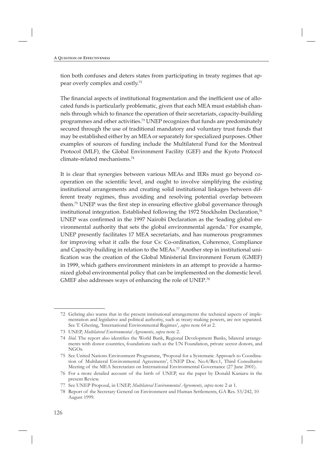tion both confuses and deters states from participating in treaty regimes that appear overly complex and costly.72

The financial aspects of institutional fragmentation and the inefficient use of allocated funds is particularly problematic, given that each MEA must establish channels through which to finance the operation of their secretariats, capacity-building programmes and other activities.73 UNEP recognizes that funds are predominately secured through the use of traditional mandatory and voluntary trust funds that may be established either by an MEA or separately for specialized purposes. Other examples of sources of funding include the Multilateral Fund for the Montreal Protocol (MLF), the Global Environment Facility (GEF) and the Kyoto Protocol climate-related mechanisms.74

It is clear that synergies between various MEAs and IERs must go beyond cooperation on the scientific level, and ought to involve simplifying the existing institutional arrangements and creating solid institutional linkages between different treaty regimes, thus avoiding and resolving potential overlap between them.<sup>75</sup> UNEP was the first step in ensuring effective global governance through institutional integration. Established following the 1972 Stockholm Declaration, 76 UNEP was confirmed in the 1997 Nairobi Declaration as the 'leading global environmental authority that sets the global environmental agenda.' For example, UNEP presently facilitates 17 MEA secretariats, and has numerous programmes for improving what it calls the four Cs: Co-ordination, Coherence, Compliance and Capacity-building in relation to the MEAs.<sup>77</sup> Another step in institutional unification was the creation of the Global Ministerial Environment Forum (GMEF) in 1999, which gathers environment ministers in an attempt to provide a harmonized global environmental policy that can be implemented on the domestic level. GMEF also addresses ways of enhancing the role of UNEP.<sup>78</sup>

<sup>72</sup> Gehring also warns that in the present institutional arrangements the technical aspects of implementation and legislative and political authority, such as treaty-making powers, are not separated. See T. Ghering, 'International Environmental Regimes', *supra* note 64 at 2.

<sup>73</sup> UNEP, *Multilateral Environmental Agreements*, *supra* note 2.

<sup>74</sup> Ibid. The report also identifies the World Bank, Regional Development Banks, bilateral arrangements with donor countries, foundations such as the UN Foundation, private sector donors, and  $NGOs$ 

<sup>75</sup> See United Nations Environment Programme, 'Proposal for a Systematic Approach to Coordination of Multilateral Environmental Agreements', UNEP Doc. No.4/Rev.1, Third Consultative Meeting of the MEA Secretariats on International Environmental Governance (27 June 2001).

<sup>76</sup> For a more detailed account of the birth of UNEP, see the paper by Donald Kaniaru in the present Review.

<sup>77</sup> See UNEP Proposal, in UNEP, *Multilateral Environmental Agreements*, *supra* note 2 at 1.

<sup>78</sup> Report of the Secretary General on Environment and Human Settlements, GA Res. 53/242, 10 August 1999.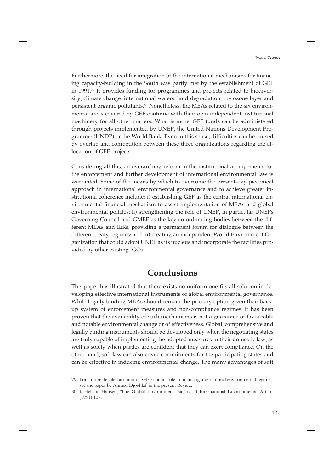Furthermore, the need for integration of the international mechanisms for financing capacity-building in the South was partly met by the establishment of GEF in 1991.79 It provides funding for programmes and projects related to biodiversity, climate change, international waters, land degradation, the ozone layer and persistent organic pollutants.<sup>80</sup> Nonetheless, the MEAs related to the six environmental areas covered by GEF continue with their own independent institutional machinery for all other matters. What is more, GEF funds can be administered through projects implemented by UNEP, the United Nations Development Programme (UNDP) or the World Bank. Even in this sense, difficulties can be caused by overlap and competition between these three organizations regarding the allocation of GEF projects.

Considering all this, an overarching reform in the institutional arrangements for the enforcement and further development of international environmental law is warranted. Some of the means by which to overcome the present-day piecemeal approach in international environmental governance and to achieve greater institutional coherence include: i) establishing GEF as the central international environmental financial mechanism to assist implementation of MEAs and global environmental policies; ii) strengthening the role of UNEP, in particular UNEPs Governing Council and GMEF as the key co-ordinating bodies between the different MEAs and IERs, providing a permanent forum for dialogue between the different treaty regimes; and iii) creating an independent World Environment Organization that could adopt UNEP as its nucleus and incorporate the facilities provided by other existing IGOs.

## **Conclusions**

This paper has illustrated that there exists no uniform one-fits-all solution in developing effective international instruments of global environmental governance. While legally binding MEAs should remain the primary option given their backup system of enforcement measures and non-compliance regimes, it has been proven that the availability of such mechanisms is not a guarantee of favourable and notable environmental change or of effectiveness. Global, comprehensive and legally binding instruments should be developed only when the negotiating states are truly capable of implementing the adopted measures in their domestic law, as well as solely when parties are confident that they can exert compliance. On the other hand, soft law can also create commitments for the participating states and can be effective in inducing environmental change. The many advantages of soft

<sup>79</sup> For a more detailed account of GEF and its role in financing international environmental regimes, see the paper by Ahmed Djoghlaf in the present Review.

<sup>80</sup> J. Helland-Hansen, 'The Global Environment Facility', 3 International Environmental Affairs (1991) 137.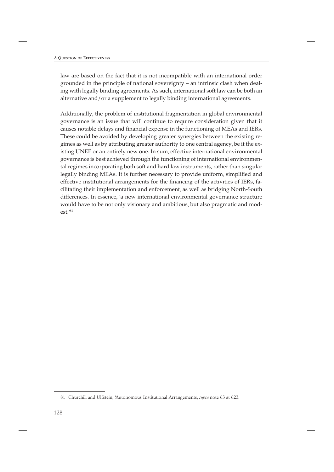law are based on the fact that it is not incompatible with an international order grounded in the principle of national sovereignty – an intrinsic clash when dealing with legally binding agreements. As such, international soft law can be both an alternative and/or a supplement to legally binding international agreements.

Additionally, the problem of institutional fragmentation in global environmental governance is an issue that will continue to require consideration given that it causes notable delays and financial expense in the functioning of MEAs and IERs. These could be avoided by developing greater synergies between the existing regimes as well as by attributing greater authority to one central agency, be it the existing UNEP or an entirely new one. In sum, effective international environmental governance is best achieved through the functioning of international environmental regimes incorporating both soft and hard law instruments, rather than singular legally binding MEAs. It is further necessary to provide uniform, simplified and effective institutional arrangements for the financing of the activities of IERs, facilitating their implementation and enforcement, as well as bridging North-South differences. In essence, 'a new international environmental governance structure would have to be not only visionary and ambitious, but also pragmatic and modest.' 81

<sup>81</sup> Churchill and Ulfstein, 'Autonomous Institutional Arrangements, *supra* note 63 at 623.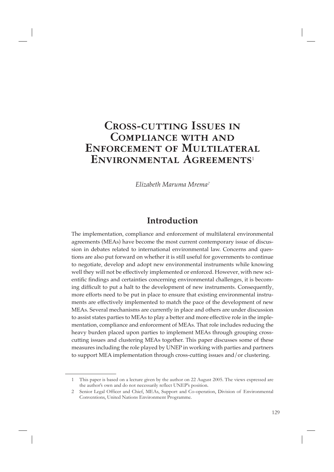# **Cross-cutting Issues in Compliance with and Enforcement of Multilateral Environmental Agreements**<sup>1</sup>

*Elizabeth Maruma Mrema<sup>2</sup>*

# **Introduction**

The implementation, compliance and enforcement of multilateral environmental agreements (MEAs) have become the most current contemporary issue of discussion in debates related to international environmental law. Concerns and questions are also put forward on whether it is still useful for governments to continue to negotiate, develop and adopt new environmental instruments while knowing well they will not be effectively implemented or enforced. However, with new scientific findings and certainties concerning environmental challenges, it is becoming difficult to put a halt to the development of new instruments. Consequently, more efforts need to be put in place to ensure that existing environmental instruments are effectively implemented to match the pace of the development of new MEAs. Several mechanisms are currently in place and others are under discussion to assist states parties to MEAs to play a better and more effective role in the implementation, compliance and enforcement of MEAs. That role includes reducing the heavy burden placed upon parties to implement MEAs through grouping crosscutting issues and clustering MEAs together. This paper discusses some of these measures including the role played by UNEP in working with parties and partners to support MEA implementation through cross-cutting issues and/or clustering.

<sup>1</sup> This paper is based on a lecture given by the author on 22 August 2005. The views expressed are the author's own and do not necessarily reflect UNEP's position.

<sup>2</sup> Senior Legal Officer and Chief, MEAs, Support and Co-operation, Division of Environmental Conventions, United Nations Environment Programme.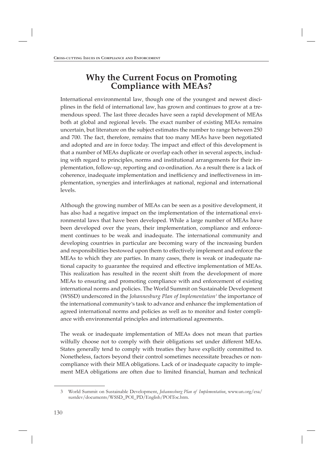# **Why the Current Focus on Promoting Compliance with MEAs?**

International environmental law, though one of the youngest and newest disciplines in the field of international law, has grown and continues to grow at a tremendous speed. The last three decades have seen a rapid development of MEAs both at global and regional levels. The exact number of existing MEAs remains uncertain, but literature on the subject estimates the number to range between 250 and 700. The fact, therefore, remains that too many MEAs have been negotiated and adopted and are in force today. The impact and effect of this development is that a number of MEAs duplicate or overlap each other in several aspects, including with regard to principles, norms and institutional arrangements for their implementation, follow-up, reporting and co-ordination. As a result there is a lack of coherence, inadequate implementation and inefficiency and ineffectiveness in implementation, synergies and interlinkages at national, regional and international levels.

Although the growing number of MEAs can be seen as a positive development, it has also had a negative impact on the implementation of the international environmental laws that have been developed. While a large number of MEAs have been developed over the years, their implementation, compliance and enforcement continues to be weak and inadequate. The international community and developing countries in particular are becoming wary of the increasing burden and responsibilities bestowed upon them to effectively implement and enforce the MEAs to which they are parties. In many cases, there is weak or inadequate national capacity to guarantee the required and effective implementation of MEAs. This realization has resulted in the recent shift from the development of more MEAs to ensuring and promoting compliance with and enforcement of existing international norms and policies. The World Summit on Sustainable Development (WSSD) underscored in the *Johannesburg Plan of Implementation<sup>3</sup>* the importance of the international community's task to advance and enhance the implementation of agreed international norms and policies as well as to monitor and foster compliance with environmental principles and international agreements.

The weak or inadequate implementation of MEAs does not mean that parties wilfully choose not to comply with their obligations set under different MEAs. States generally tend to comply with treaties they have explicitly committed to. Nonetheless, factors beyond their control sometimes necessitate breaches or noncompliance with their MEA obligations. Lack of or inadequate capacity to implement MEA obligations are often due to limited financial, human and technical

<sup>3</sup> World Summit on Sustainable Development, *Johannesburg Plan of Implementation*, www.un.org/esa/ sustdev/documents/WSSD\_POI\_PD/English/POIToc.htm.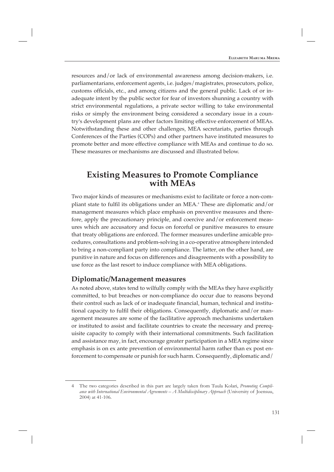resources and/or lack of environmental awareness among decision-makers, i.e. parliamentarians, enforcement agents, i.e. judges/magistrates, prosecutors, police, customs officials, etc., and among citizens and the general public. Lack of or inadequate intent by the public sector for fear of investors shunning a country with strict environmental regulations, a private sector willing to take environmental risks or simply the environment being considered a secondary issue in a country's development plans are other factors limiting effective enforcement of MEAs. Notwithstanding these and other challenges, MEA secretariats, parties through Conferences of the Parties (COPs) and other partners have instituted measures to promote better and more effective compliance with MEAs and continue to do so. These measures or mechanisms are discussed and illustrated below.

## **Existing Measures to Promote Compliance with MEAs**

Two major kinds of measures or mechanisms exist to facilitate or force a non-compliant state to fulfil its obligations under an MEA.<sup>4</sup> These are diplomatic and/or management measures which place emphasis on preventive measures and therefore, apply the precautionary principle, and coercive and/or enforcement measures which are accusatory and focus on forceful or punitive measures to ensure that treaty obligations are enforced. The former measures underline amicable procedures, consultations and problem-solving in a co-operative atmosphere intended to bring a non-compliant party into compliance. The latter, on the other hand, are punitive in nature and focus on differences and disagreements with a possibility to use force as the last resort to induce compliance with MEA obligations.

### **Diplomatic/Management measures**

As noted above, states tend to wilfully comply with the MEAs they have explicitly committed, to but breaches or non-compliance do occur due to reasons beyond their control such as lack of or inadequate financial, human, technical and institutional capacity to fulfil their obligations. Consequently, diplomatic and/or management measures are some of the facilitative approach mechanisms undertaken or instituted to assist and facilitate countries to create the necessary and prerequisite capacity to comply with their international commitments. Such facilitation and assistance may, in fact, encourage greater participation in a MEA regime since emphasis is on ex ante prevention of environmental harm rather than ex post enforcement to compensate or punish for such harm. Consequently, diplomatic and/

<sup>4</sup> The two categories described in this part are largely taken from Tuula Kolari, *Promoting Compliance with International Environmental Agreements – A Multidisciplinary Approach* (University of Joensuu, 2004) at 41-106.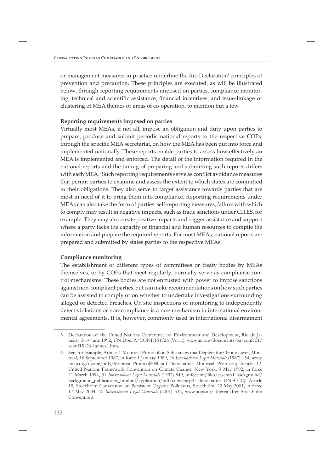or management measures in practice underline the Rio Declaration<sup>5</sup> principles of prevention and precaution. These principles are executed, as will be illustrated below, through reporting requirements imposed on parties, compliance monitoring, technical and scientific assistance, financial incentives, and issue-linkage or clustering of MEA themes or areas of co-operation, to mention but a few.

#### **Reporting requirements imposed on parties**

Virtually most MEAs, if not all, impose an obligation and duty upon parties to prepare, produce and submit periodic national reports to the respective COPs, through the specific MEA secretariat, on how the MEA has been put into force and implemented nationally. These reports enable parties to assess how effectively an MEA is implemented and enforced. The detail of the information required in the national reports and the timing of preparing and submitting such reports differs with each MEA.<sup>6</sup> Such reporting requirements serve as conflict avoidance measures that permit parties to examine and assess the extent to which states are committed to their obligations. They also serve to target assistance towards parties that are most in need of it to bring them into compliance. Reporting requirements under MEAs can also take the form of parties' self-reporting measures, failure with which to comply may result in negative impacts, such as trade sanctions under CITES, for example. They may also create positive impacts and trigger assistance and support where a party lacks the capacity or financial and human resources to compile the information and prepare the required reports. For most MEAs, national reports are prepared and submitted by states parties to the respective MEAs.

#### **Compliance monitoring**

The establishment of different types of committees or treaty bodies by MEAs themselves, or by COPs that meet regularly, normally serve as compliance control mechanisms. These bodies are not entrusted with power to impose sanctions against non-compliant parties, but can make recommendations on how such parties can be assisted to comply or on whether to undertake investigations surrounding alleged or detected breaches. On site inspections or monitoring to independently detect violations or non-compliance is a rare mechanism in international environmental agreements. It is, however, commonly used in international disarmament

<sup>5</sup> Declaration of the United Nations Conference on Environment and Development, Rio de Janeiro, 3-14 June 1992, UN Doc. A/CONF.151/26 (Vol. I), www.un.org/documents/ga/conf151/ aconf15126-1annex1.htm.

<sup>6</sup> See, for example, Article 7, Montreal Protocol on Substances that Deplete the Ozone Layer, Montreal, 16 September 1987, in force 1 January 1989, 26 *International Legal Materials* (1987) 154, www. unep.org/ozone/pdfs/Montreal-Protocol2000.pdf (hereinafter Montreal Protocol); Article 12, United Nations Framework Convention on Climate Change, New York, 9 May 1992, in force 21 March 1994, 31 *International Legal Materials* (1992) 849, unfccc.int/files/essential\_background/ background\_publications\_htmlpdf/application/pdf/conveng.pdf (hereinafter UNFCCC); Article 15, Stockholm Convention on Persistent Organic Pollutants, Stockholm, 22 May 2001, in force 17 May 2004, 40 *International Legal Materials* (2001) 532, www.pops.int/ (hereinafter Stockholm Convention).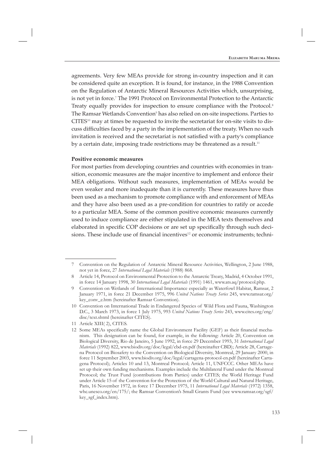agreements. Very few MEAs provide for strong in-country inspection and it can be considered quite an exception. It is found, for instance, in the 1988 Convention on the Regulation of Antarctic Mineral Resources Activities which, unsurprising, is not yet in force.<sup>7</sup> The 1991 Protocol on Environmental Protection to the Antarctic Treaty equally provides for inspection to ensure compliance with the Protocol.<sup>8</sup> The Ramsar Wetlands Convention<sup>9</sup> has also relied on on-site inspections. Parties to  $CITES<sup>10</sup>$  may at times be requested to invite the secretariat for on-site visits to discuss difficulties faced by a party in the implementation of the treaty. When no such invitation is received and the secretariat is not satisfied with a party's compliance by a certain date, imposing trade restrictions may be threatened as a result.<sup>11</sup>

#### **Positive economic measures**

For most parties from developing countries and countries with economies in transition, economic measures are the major incentive to implement and enforce their MEA obligations. Without such measures, implementation of MEAs would be even weaker and more inadequate than it is currently. These measures have thus been used as a mechanism to promote compliance with and enforcement of MEAs and they have also been used as a pre-condition for countries to ratify or accede to a particular MEA. Some of the common positive economic measures currently used to induce compliance are either stipulated in the MEA texts themselves and elaborated in specific COP decisions or are set up specifically through such decisions. These include use of financial incentives<sup>12</sup> or economic instruments; techni-

<sup>7</sup> Convention on the Regulation of Antarctic Mineral Resource Activities, Wellington, 2 June 1988, not yet in force, 27 *International Legal Materials* (1988) 868.

<sup>8</sup> Article 14, Protocol on Environmental Protection to the Antarctic Treaty, Madrid, 4 October 1991, in force 14 January 1998, 30 *International Legal Materials* (1991) 1461, www.ats.aq/protocol.php.

<sup>9</sup> Convention on Wetlands of International Importance especially as Waterfowl Habitat, Ramsar, 2 January 1971, in force 21 December 1975, 996 *United Nations Treaty Series* 245, www.ramsar.org/ key\_conv\_e.htm (hereinafter Ramsar Convention).

<sup>10</sup> Convention on International Trade in Endangered Species of Wild Flora and Fauna, Washington D.C., 3 March 1973, in force 1 July 1975, 993 *United Nations Treaty Series* 243, www.cites.org/eng/ disc/text.shtml (hereinafter CITES).

<sup>11</sup> Article XIII( 2), CITES.

<sup>12</sup> Some MEAs specifically name the Global Environment Facility (GEF) as their financial mechanism. This designation can be found, for example, in the following: Article 20, Convention on Biological Diversity, Rio de Janeiro, 5 June 1992, in force 29 December 1993, 31 *International Legal Materials* (1992) 822, www.biodiv.org/doc/legal/cbd-en.pdf (hereinafter CBD); Article 28, Cartagena Protocol on Biosafety to the Convention on Biological Diversity, Montreal, 29 January 2000, in force 11 September 2003, www.biodiv.org/doc/legal/cartagena-protocol-en.pdf (hereinafter Cartagena Protocol); Articles 10 and 13, Montreal Protocol; Article 11, UNFCCC. Other MEAs have set up their own funding mechanisms. Examples include the Multilateral Fund under the Montreal Protocol; the Trust Fund (contributions from Parties) under CITES; the World Heritage Fund under Article 15 of the Convention for the Protection of the World Cultural and Natural Heritage, Paris, 16 November 1972, in force 17 December 1975, 11 *International Legal Materials* (1972) 1358, whc.unesco.org/en/175/; the Ramsar Convention's Small Grants Fund (see www.ramsar.org/sgf/ key\_sgf\_index.htm).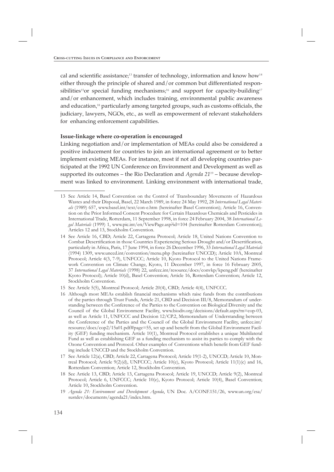cal and scientific assistance;<sup>13</sup> transfer of technology, information and know how<sup>14</sup> either through the principle of shared and/or common but differentiated responsibilities<sup>15</sup>or special funding mechanisms;<sup>16</sup> and support for capacity-building<sup>17</sup> and/or enhancement, which includes training, environmental public awareness and education,<sup>18</sup> particularly among targeted groups, such as customs officials, the judiciary, lawyers, NGOs, etc., as well as empowerment of relevant stakeholders for enhancing enforcement capabilities.

#### **Issue-linkage where co-operation is encouraged**

Linking negotiation and/or implementation of MEAs could also be considered a positive inducement for countries to join an international agreement or to better implement existing MEAs. For instance, most if not all developing countries participated at the 1992 UN Conference on Environment and Development as well as supported its outcomes – the Rio Declaration and *Agenda 21*19 – because development was linked to environment. Linking environment with international trade,

<sup>13</sup> See Article 14, Basel Convention on the Control of Transboundary Movements of Hazardous Wastes and their Disposal, Basel, 22 March 1989, in force 24 May 1992, 28 *International Legal Materials* (1989) 657, www.basel.int/text/con-e.htm (hereinafter Basel Convention); Article 16, Convention on the Prior Informed Consent Procedure for Certain Hazardous Chemicals and Pesticides in International Trade, Rotterdam, 11 September 1998, in force 24 February 2004, 38 *International Legal Materials* (1999) 1, www.pic.int/en/ViewPage.asp?id=104 (hereinafter Rotterdam Convention); Articles 12 and 13, Stockholm Convention.

<sup>14</sup> See Article 16, CBD; Article 22, Cartagena Protocol; Article 18, United Nations Convention to Combat Desertification in those Countries Experiencing Serious Drought and/or Desertification, particularly in Africa, Paris, 17 June 1994, in force 26 December 1996, 33 *International Legal Materials* (1994) 1309, www.unccd.int/convention/menu.php (hereinafter UNCCD); Article 10A, Montreal Protocol; Article 4(3, 7-9), UNFCCC; Article 10, Kyoto Protocol to the United Nations Framework Convention on Climate Change, Kyoto, 11 December 1997, in force 16 February 2005, 37 *International Legal Materials* (1998) 22, unfccc.int/resource/docs/convkp/kpeng.pdf (hereinafter Kyoto Protocol); Article 10(d), Basel Convention; Article 16, Rotterdam Convention; Article 12, Stockholm Convention.

<sup>15</sup> See Article 5(5), Montreal Protocol; Article 20(4), CBD; Article 4(4), UNFCCC.

<sup>16</sup> Although most MEAs establish financial mechanisms which raise funds from the contributions of the parties through Trust Funds, Article 21, CBD and Decision III/8, Memorandum of understanding between the Conference of the Parties to the Convention on Biological Diversity and the Council of the Global Environment Facility, www.biodiv.org/decisions/default.aspx?m=cop-03, as well as Article 11, UNFCCC and Decision 12/CP.2, Memorandum of Understanding between the Conference of the Parties and the Council of the Global Environment Facility, unfccc.int/ resource/docs/cop2/15a01.pdf#page=55, set up and benefit from the Global Environment Facility (GEF) funding mechanism. Article 10(1), Montreal Protocol establishes a unique Multilateral Fund as well as establishing GEF as a funding mechanism to assist its parties to comply with the Ozone Convention and Protocol. Other examples of Conventions which benefit from GEF funding include UNCCD and the Stockholm Convention.

<sup>17</sup> See Article 12(a), CBD; Article 22, Cartagena Protocol; Article 19(1-2), UNCCD; Article 10, Montreal Protocol; Article 9(2)(d), UNFCCC; Article 10(e), Kyoto Protocol; Article 11(1)(c) and 16, Rotterdam Convention; Article 12, Stockholm Convention.

<sup>18</sup> See Article 13, CBD; Article 13, Cartagena Protocol; Article 19, UNCCD; Article 9(2), Montreal Protocol; Article 6, UNFCCC; Article 10(e), Kyoto Protocol; Article 10(4), Basel Convention; Article 10, Stockholm Convention.

<sup>19</sup> *Agenda 21: Environment and Development Agenda*, UN Doc. A/CONF.151/26, www.un.org/esa/ sustdev/documents/agenda21/index.htm.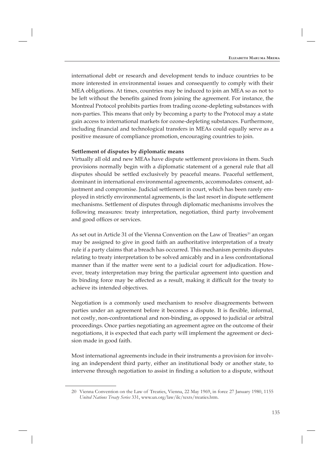international debt or research and development tends to induce countries to be more interested in environmental issues and consequently to comply with their MEA obligations. At times, countries may be induced to join an MEA so as not to be left without the benefits gained from joining the agreement. For instance, the Montreal Protocol prohibits parties from trading ozone-depleting substances with non-parties. This means that only by becoming a party to the Protocol may a state gain access to international markets for ozone-depleting substances. Furthermore, including financial and technological transfers in MEAs could equally serve as a positive measure of compliance promotion, encouraging countries to join.

#### **Settlement of disputes by diplomatic means**

Virtually all old and new MEAs have dispute settlement provisions in them. Such provisions normally begin with a diplomatic statement of a general rule that all disputes should be settled exclusively by peaceful means. Peaceful settlement, dominant in international environmental agreements, accommodates consent, adjustment and compromise. Judicial settlement in court, which has been rarely employed in strictly environmental agreements, is the last resort in dispute settlement mechanisms. Settlement of disputes through diplomatic mechanisms involves the following measures: treaty interpretation, negotiation, third party involvement and good offices or services.

As set out in Article 31 of the Vienna Convention on the Law of Treaties<sup>20</sup> an organ may be assigned to give in good faith an authoritative interpretation of a treaty rule if a party claims that a breach has occurred. This mechanism permits disputes relating to treaty interpretation to be solved amicably and in a less confrontational manner than if the matter were sent to a judicial court for adjudication. However, treaty interpretation may bring the particular agreement into question and its binding force may be affected as a result, making it difficult for the treaty to achieve its intended objectives.

Negotiation is a commonly used mechanism to resolve disagreements between parties under an agreement before it becomes a dispute. It is flexible, informal, not costly, non-confrontational and non-binding, as opposed to judicial or arbitral proceedings. Once parties negotiating an agreement agree on the outcome of their negotiations, it is expected that each party will implement the agreement or decision made in good faith.

Most international agreements include in their instruments a provision for involving an independent third party, either an institutional body or another state, to intervene through negotiation to assist in finding a solution to a dispute, without

<sup>20</sup> Vienna Convention on the Law of Treaties, Vienna, 22 May 1969, in force 27 January 1980, 1155 *United Nations Treaty Series* 331, www.un.org/law/ilc/texts/treaties.htm.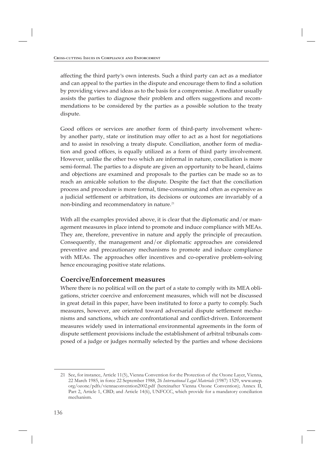affecting the third party's own interests. Such a third party can act as a mediator and can appeal to the parties in the dispute and encourage them to find a solution by providing views and ideas as to the basis for a compromise. A mediator usually assists the parties to diagnose their problem and offers suggestions and recommendations to be considered by the parties as a possible solution to the treaty dispute.

Good offices or services are another form of third-party involvement whereby another party, state or institution may offer to act as a host for negotiations and to assist in resolving a treaty dispute. Conciliation, another form of mediation and good offices, is equally utilized as a form of third party involvement. However, unlike the other two which are informal in nature, conciliation is more semi-formal. The parties to a dispute are given an opportunity to be heard, claims and objections are examined and proposals to the parties can be made so as to reach an amicable solution to the dispute. Despite the fact that the conciliation process and procedure is more formal, time-consuming and often as expensive as a judicial settlement or arbitration, its decisions or outcomes are invariably of a non-binding and recommendatory in nature.<sup>21</sup>

With all the examples provided above, it is clear that the diplomatic and/or management measures in place intend to promote and induce compliance with MEAs. They are, therefore, preventive in nature and apply the principle of precaution. Consequently, the management and/or diplomatic approaches are considered preventive and precautionary mechanisms to promote and induce compliance with MEAs. The approaches offer incentives and co-operative problem-solving hence encouraging positive state relations.

### **Coercive/Enforcement measures**

Where there is no political will on the part of a state to comply with its MEA obligations, stricter coercive and enforcement measures, which will not be discussed in great detail in this paper, have been instituted to force a party to comply. Such measures, however, are oriented toward adversarial dispute settlement mechanisms and sanctions, which are confrontational and conflict-driven. Enforcement measures widely used in international environmental agreements in the form of dispute settlement provisions include the establishment of arbitral tribunals composed of a judge or judges normally selected by the parties and whose decisions

<sup>21</sup> See, for instance, Article 11(5), Vienna Convention for the Protection of the Ozone Layer, Vienna, 22 March 1985, in force 22 September 1988, 26 *International Legal Materials* (1987) 1529, www.unep. org/ozone/pdfs/viennaconvention2002.pdf (hereinafter Vienna Ozone Convention); Annex II, Part 2, Article 1, CBD; and Article 14(6), UNFCCC, which provide for a mandatory conciliation mechanism.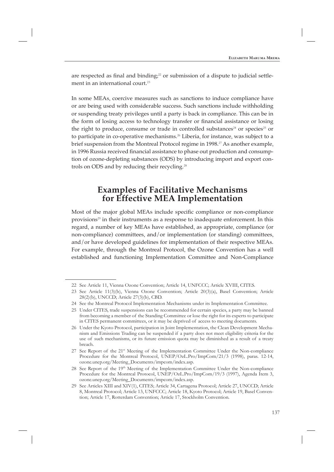are respected as final and binding;<sup>22</sup> or submission of a dispute to judicial settlement in an international court.<sup>23</sup>

In some MEAs, coercive measures such as sanctions to induce compliance have or are being used with considerable success. Such sanctions include withholding or suspending treaty privileges until a party is back in compliance. This can be in the form of losing access to technology transfer or financial assistance or losing the right to produce, consume or trade in controlled substances<sup>24</sup> or species<sup>25</sup> or to participate in co-operative mechanisms.<sup>26</sup> Liberia, for instance, was subject to a brief suspension from the Montreal Protocol regime in 1998.<sup>27</sup> As another example, in 1996 Russia received financial assistance to phase out production and consumption of ozone-depleting substances (ODS) by introducing import and export controls on ODS and by reducing their recycling.<sup>28</sup>

### **Examples of Facilitative Mechanisms for Effective MEA Implementation**

Most of the major global MEAs include specific compliance or non-compliance provisions<sup>29</sup> in their instruments as a response to inadequate enforcement. In this regard, a number of key MEAs have established, as appropriate, compliance (or non-compliance) committees, and/or implementation (or standing) committees, and/or have developed guidelines for implementation of their respective MEAs. For example, through the Montreal Protocol, the Ozone Convention has a well established and functioning Implementation Committee and Non-Compliance

<sup>22</sup> See Article 11, Vienna Ozone Convention; Article 14, UNFCCC; Article XVIII, CITES.

<sup>23</sup> See Article 11(3)(b), Vienna Ozone Convention; Article 20(3)(a), Basel Convention; Article 28(2)(b), UNCCD; Article 27(3)(b), CBD.

<sup>24</sup> See the Montreal Protocol Implementation Mechanisms under its Implementation Committee.

<sup>25</sup> Under CITES, trade suspensions can be recommended for certain species, a party may be banned from becoming a member of the Standing Committee or lose the right for its experts to participate in CITES permanent committees, or it may be deprived of access to meeting documents.

<sup>26</sup> Under the Kyoto Protocol, participation in Joint Implementation, the Clean Development Mechanism and Emissions Trading can be suspended if a party does not meet eligibility criteria for the use of such mechanisms, or its future emission quota may be diminished as a result of a treaty breach.

<sup>27</sup> See Report of the 21<sup>st</sup> Meeting of the Implementation Committee Under the Non-compliance Procedure for the Montreal Protocol, UNEP/OzL.Pro/ImpCom/21/3 (1998), paras. 12-14, ozone.unep.org/Meeting\_Documents/impcom/index.asp.

<sup>28</sup> See Report of the 19th Meeting of the Implementation Committee Under the Non-compliance Procedure for the Montreal Protocol, UNEP/OzL.Pro/ImpCom/19/3 (1997), Agenda Item 3, ozone.unep.org/Meeting\_Documents/impcom/index.asp.

<sup>29</sup> See Articles XIII and XIV(1), CITES; Article 34, Cartagena Protocol; Article 27, UNCCD; Article 8, Montreal Protocol; Article 13, UNFCCC; Article 18, Kyoto Protocol; Article 19, Basel Convention; Article 17, Rotterdam Convention; Article 17, Stockholm Convention.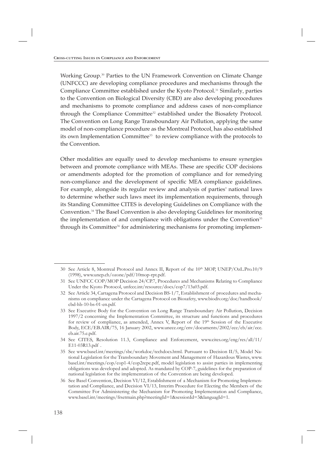Working Group.<sup>30</sup> Parties to the UN Framework Convention on Climate Change (UNFCCC) are developing compliance procedures and mechanisms through the Compliance Committee established under the Kyoto Protocol.<sup>31</sup> Similarly, parties to the Convention on Biological Diversity (CBD) are also developing procedures and mechanisms to promote compliance and address cases of non-compliance through the Compliance Committee<sup>32</sup> established under the Biosafety Protocol. The Convention on Long Range Transboundary Air Pollution, applying the same model of non-compliance procedure as the Montreal Protocol, has also established its own Implementation Committee<sup>33</sup> to review compliance with the protocols to the Convention.

Other modalities are equally used to develop mechanisms to ensure synergies between and promote compliance with MEAs. These are specific COP decisions or amendments adopted for the promotion of compliance and for remedying non-compliance and the development of specific MEA compliance guidelines. For example, alongside its regular review and analysis of parties' national laws to determine whether such laws meet its implementation requirements, through its Standing Committee CITES is developing Guidelines on Compliance with the Convention.<sup>34</sup> The Basel Convention is also developing Guidelines for monitoring the implementation of and compliance with obligations under the Convention<sup>35</sup> through its Committee<sup>36</sup> for administering mechanisms for promoting implemen-

<sup>30</sup> See Article 8, Montreal Protocol and Annex II, Report of the 10<sup>th</sup> MOP, UNEP/OzL.Pro.10/9 (1998), www.unep.ch/ozone/pdf/10mop-rpt.pdf.

<sup>31</sup> See UNFCC COP/MOP Decision 24/CP.7, Procedures and Mechanisms Relating to Compliance Under the Kyoto Protocol, unfccc.int/resource/docs/cop7/13a03.pdf.

<sup>32</sup> See Article 34, Cartagena Protocol and Decision BS-1/7, Establishment of procedures and mechanisms on compliance under the Cartagena Protocol on Biosafety, www.biodiv.org/doc/handbook/ cbd-hb-10-bs-01-en.pdf.

<sup>33</sup> See Executive Body for the Convention on Long Range Transboundary Air Pollution, Decision 1997/2 concerning the Implementation Committee, its structure and functions and procedures for review of compliance, as amended, Annex V, Report of the 19<sup>th</sup> Session of the Executive Body, ECE/EB.AIR/75, 16 January 2002, www.unece.org/env/documents/2002/ece/eb/air/ece. eb.air.75.e.pdf.

<sup>34</sup> See CITES, Resolution 11.3, Compliance and Enforcement, www.cites.org/eng/res/all/11/ E11-03R13.pdf .

<sup>35</sup> See www.basel.int/meetings/sbc/workdoc/techdocs.html. Pursuant to Decision II/5, Model National Legislation for the Transboundary Movement and Management of Hazardous Wastes, www. basel.int/meetings/cop/cop1-4/cop2repe.pdf, model legislation to assist parties in implementing obligations was developed and adopted. As mandated by COP-7, guidelines for the preparation of national legislation for the implementation of the Convention are being developed.

<sup>36</sup> See Basel Convention, Decision VI/12, Establishment of a Mechanism for Promoting Implementation and Compliance, and Decision VI/13, Interim Procedure for Electing the Members of the Committee For Administering the Mechanism for Promoting Implementation and Compliance, www.basel.int/meetings/frsetmain.php?meetingId=1&sessionId=3&languagId=1.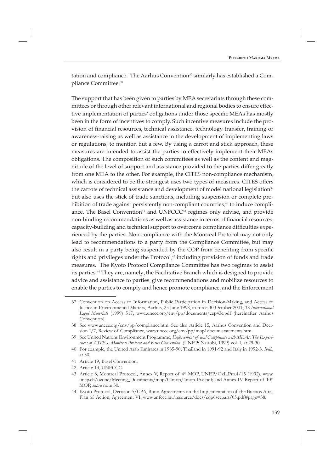tation and compliance. The Aarhus Convention<sup>37</sup> similarly has established a Compliance Committee.<sup>38</sup>

The support that has been given to parties by MEA secretariats through these committees or through other relevant international and regional bodies to ensure effective implementation of parties' obligations under those specific MEAs has mostly been in the form of incentives to comply. Such incentive measures include the provision of financial resources, technical assistance, technology transfer, training or awareness-raising as well as assistance in the development of implementing laws or regulations, to mention but a few. By using a carrot and stick approach, these measures are intended to assist the parties to effectively implement their MEAs obligations. The composition of such committees as well as the content and magnitude of the level of support and assistance provided to the parties differ greatly from one MEA to the other. For example, the CITES non-compliance mechanism, which is considered to be the strongest uses two types of measures. CITES offers the carrots of technical assistance and development of model national legislation<sup>39</sup> but also uses the stick of trade sanctions, including suspension or complete prohibition of trade against persistently non-compliant countries, 40 to induce compliance. The Basel Convention<sup>41</sup> and UNFCCC<sup>42</sup> regimes only advise, and provide non-binding recommendations as well as assistance in terms of financial resources, capacity-building and technical support to overcome compliance difficulties experienced by the parties. Non-compliance with the Montreal Protocol may not only lead to recommendations to a party from the Compliance Committee, but may also result in a party being suspended by the COP from benefiting from specific rights and privileges under the Protocol, <sup>43</sup> including provision of funds and trade measures. The Kyoto Protocol Compliance Committee has two regimes to assist its parties.<sup>44</sup> They are, namely, the Facilitative Branch which is designed to provide advice and assistance to parties, give recommendations and mobilize resources to enable the parties to comply and hence promote compliance, and the Enforcement

<sup>37</sup> Convention on Access to Information, Public Participation in Decision-Making, and Access to Justice in Environmental Matters, Aarhus, 25 June 1998, in force 30 October 2001, 38 *International Legal Materials* (1999) 517, www.unece.org/env/pp/documents/cep43e.pdf (hereinafter Aarhus Convention).

<sup>38</sup> See www.unece.org/env/pp/compliance.htm. See also Article 15, Aarhus Convention and Decision I/7, Review of Compliance, www.unece.org/env/pp/mop1docum.statements.htm.

<sup>39</sup> See United Nations Environment Programme, *Enforcement of and Compliance with MEAs: The Experiences of CITES, Montreal Protocol and Basel Convention*, (UNEP: Nairobi, 1999) vol. I, at 29-30.

<sup>40</sup> For example, the United Arab Emirates in 1985-90, Thailand in 1991-92 and Italy in 1992-3. *Ibid*., at 30.

<sup>41</sup> Article 19, Basel Convention.

<sup>42</sup> Article 13, UNFCCC.

<sup>43</sup> Article 8, Montreal Protocol, Annex V, Report of  $4<sup>th</sup>$  MOP, UNEP/OzL.Pro.4/15 (1992), www. unep.ch/ozone/Meeting\_Documents/mop/04mop/4mop-15.e.pdf; and Annex IV, Report of 10<sup>th</sup> MOP, *supra* note 30.

<sup>44</sup> Kyoto Protocol, Decision 5/CP.6, Bonn Agreements on the Implementation of the Buenos Aires Plan of Action, Agreement VI, www.unfccc.int/resource/docs/cop6secpart/05.pdf#page=38.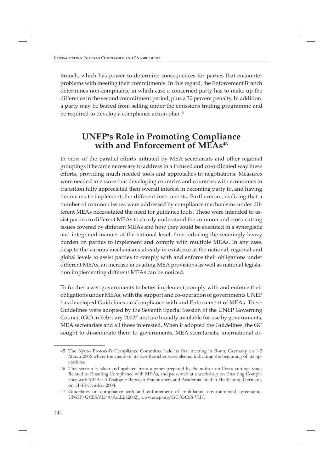Branch, which has power to determine consequences for parties that encounter problems with meeting their commitments. In this regard, the Enforcement Branch determines non-compliance in which case a concerned party has to make up the difference in the second commitment period, plus a 30 percent penalty. In addition, a party may be barred from selling under the emissions trading programme and be required to develop a compliance action plan.<sup>45</sup>

# **UNEP's Role in Promoting Compliance with and Enforcement of MEAs<sup>46</sup>**

In view of the parallel efforts initiated by MEA secretariats and other regional groupings it became necessary to address in a focused and co-ordinated way these efforts, providing much needed tools and approaches to negotiations. Measures were needed to ensure that developing countries and countries with economies in transition fully appreciated their overall interest in becoming party to, and having the means to implement, the different instruments. Furthermore, realizing that a number of common issues were addressed by compliance mechanisms under different MEAs necessitated the need for guidance tools. These were intended to assist parties to different MEAs to clearly understand the common and cross-cutting issues covered by different MEAs and how they could be executed in a synergistic and integrated manner at the national level, thus reducing the seemingly heavy burden on parties to implement and comply with multiple MEAs. In any case, despite the various mechanisms already in existence at the national, regional and global levels to assist parties to comply with and enforce their obligations under different MEAs, an increase in evading MEA provisions as well as national legislation implementing different MEAs can be noticed.

To further assist governments to better implement, comply with and enforce their obligations under MEAs, with the support and co-operation of governments UNEP has developed Guidelines on Compliance with and Enforcement of MEAs. These Guidelines were adopted by the Seventh Special Session of the UNEP Governing Council (GC) in February  $2002^{47}$  and are broadly available for use by governments, MEA secretariats and all those interested. When it adopted the Guidelines, the GC sought to disseminate them to governments, MEA secretariats, international or-

<sup>45</sup> The Kyoto Protocol's Compliance Committee held its first meeting in Bonn, Germany on 1-3 March 2006 where the chairs of its two Branches were elected indicating the beginning of its operations.

<sup>46</sup> This section is taken and updated from a paper prepared by the author on Cross-cutting Issues Related to Ensuring Compliance with MEAs, and presented at a workshop on Ensuring Compliance with MEAs: A Dialogue Between Practitioners and Academia, held in Heidelberg, Germany, on 11-13 October 2004.

<sup>47</sup> Guidelines on compliance with and enforcement of multilateral environmental agreements, UNEP/GCSS.VII/4/Add.2 (2002), www.unep.org/GC/GCSS-VII/.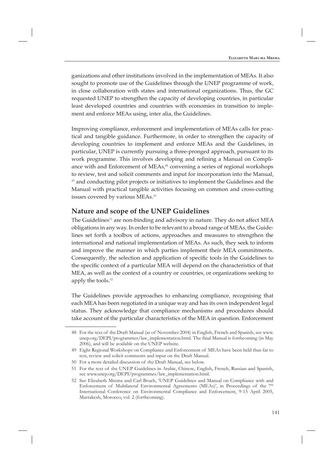ganizations and other institutions involved in the implementation of MEAs. It also sought to promote use of the Guidelines through the UNEP programme of work, in close collaboration with states and international organizations. Thus, the GC requested UNEP to strengthen the capacity of developing countries, in particular least developed countries and countries with economies in transition to implement and enforce MEAs using, inter alia, the Guidelines.

Improving compliance, enforcement and implementation of MEAs calls for practical and tangible guidance. Furthermore, in order to strengthen the capacity of developing countries to implement and enforce MEAs and the Guidelines, in particular, UNEP is currently pursuing a three-pronged approach, pursuant to its work programme. This involves developing and refining a Manual on Compliance with and Enforcement of MEAs, <sup>48</sup> convening a series of regional workshops to review, test and solicit comments and input for incorporation into the Manual, <sup>49</sup> and conducting pilot projects or initiatives to implement the Guidelines and the Manual with practical tangible activities focusing on common and cross-cutting issues covered by various MEAs.<sup>50</sup>

### **Nature and scope of the UNEP Guidelines**

The Guidelines<sup>51</sup> are non-binding and advisory in nature. They do not affect MEA obligations in any way. In order to be relevant to a broad range of MEAs, the Guidelines set forth a toolbox of actions, approaches and measures to strengthen the international and national implementation of MEAs. As such, they seek to inform and improve the manner in which parties implement their MEA commitments. Consequently, the selection and application of specific tools in the Guidelines to the specific context of a particular MEA will depend on the characteristics of that MEA, as well as the context of a country or countries, or organizations seeking to apply the tools.<sup>52</sup>

The Guidelines provide approaches to enhancing compliance, recognising that each MEA has been negotiated in a unique way and has its own independent legal status. They acknowledge that compliance mechanisms and procedures should take account of the particular characteristics of the MEA in question. Enforcement

<sup>48</sup> For the text of the Draft Manual (as of November 2004) in English, French and Spanish, see www. unep.org/DEPI/programmes/law\_implementation.html. The final Manual is forthcoming (in May 2006), and will be available on the UNEP website.

<sup>49</sup> Eight Regional Workshops on Compliance and Enforcement of MEAs have been held thus far to test, review and solicit comments and input on the Draft Manual.

<sup>50</sup> For a more detailed discussion of the Draft Manual, see below.

<sup>51</sup> For the text of the UNEP Guidelines in Arabic, Chinese, English, French, Russian and Spanish, see www.unep.org/DEPI/programmes/law\_implementation.html.

<sup>52</sup> See Elizabeth Mrema and Carl Bruch, 'UNEP Guidelines and Manual on Compliance with and Enforcement of Multilateral Environmental Agreements (MEAs)', in Proceedings of the 7<sup>th</sup> International Conference on Environmental Compliance and Enforcement, 9-15 April 2005, Marrakesh, Morocco, vol. 2 (forthcoming).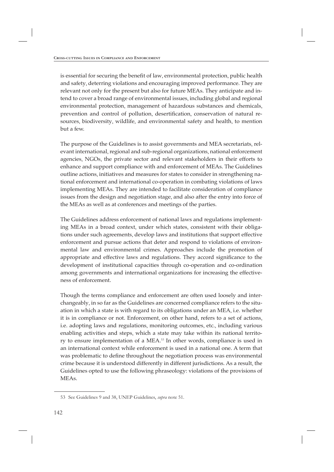is essential for securing the benefit of law, environmental protection, public health and safety, deterring violations and encouraging improved performance. They are relevant not only for the present but also for future MEAs. They anticipate and intend to cover a broad range of environmental issues, including global and regional environmental protection, management of hazardous substances and chemicals, prevention and control of pollution, desertification, conservation of natural resources, biodiversity, wildlife, and environmental safety and health, to mention but a few.

The purpose of the Guidelines is to assist governments and MEA secretariats, relevant international, regional and sub-regional organizations, national enforcement agencies, NGOs, the private sector and relevant stakeholders in their efforts to enhance and support compliance with and enforcement of MEAs. The Guidelines outline actions, initiatives and measures for states to consider in strengthening national enforcement and international co-operation in combating violations of laws implementing MEAs. They are intended to facilitate consideration of compliance issues from the design and negotiation stage, and also after the entry into force of the MEAs as well as at conferences and meetings of the parties.

The Guidelines address enforcement of national laws and regulations implementing MEAs in a broad context, under which states, consistent with their obligations under such agreements, develop laws and institutions that support effective enforcement and pursue actions that deter and respond to violations of environmental law and environmental crimes. Approaches include the promotion of appropriate and effective laws and regulations. They accord significance to the development of institutional capacities through co-operation and co-ordination among governments and international organizations for increasing the effectiveness of enforcement.

Though the terms compliance and enforcement are often used loosely and interchangeably, in so far as the Guidelines are concerned compliance refers to the situation in which a state is with regard to its obligations under an MEA, i.e. whether it is in compliance or not. Enforcement, on other hand, refers to a set of actions, i.e. adopting laws and regulations, monitoring outcomes, etc., including various enabling activities and steps, which a state may take within its national territory to ensure implementation of a MEA.<sup>53</sup> In other words, compliance is used in an international context while enforcement is used in a national one. A term that was problematic to define throughout the negotiation process was environmental crime because it is understood differently in different jurisdictions. As a result, the Guidelines opted to use the following phraseology: violations of the provisions of MEAs.

<sup>53</sup> See Guidelines 9 and 38, UNEP Guidelines, *supra* note 51.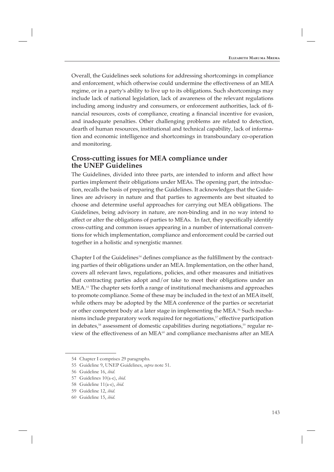Overall, the Guidelines seek solutions for addressing shortcomings in compliance and enforcement, which otherwise could undermine the effectiveness of an MEA regime, or in a party's ability to live up to its obligations. Such shortcomings may include lack of national legislation, lack of awareness of the relevant regulations including among industry and consumers, or enforcement authorities, lack of financial resources, costs of compliance, creating a financial incentive for evasion, and inadequate penalties. Other challenging problems are related to detection, dearth of human resources, institutional and technical capability, lack of information and economic intelligence and shortcomings in transboundary co-operation and monitoring.

## **Cross-cutting issues for MEA compliance under the UNEP Guidelines**

The Guidelines, divided into three parts, are intended to inform and affect how parties implement their obligations under MEAs. The opening part, the introduction, recalls the basis of preparing the Guidelines. It acknowledges that the Guidelines are advisory in nature and that parties to agreements are best situated to choose and determine useful approaches for carrying out MEA obligations. The Guidelines, being advisory in nature, are non-binding and in no way intend to affect or alter the obligations of parties to MEAs. In fact, they specifically identify cross-cutting and common issues appearing in a number of international conventions for which implementation, compliance and enforcement could be carried out together in a holistic and synergistic manner.

Chapter I of the Guidelines<sup>54</sup> defines compliance as the fulfillment by the contracting parties of their obligations under an MEA. Implementation, on the other hand, covers all relevant laws, regulations, policies, and other measures and initiatives that contracting parties adopt and/or take to meet their obligations under an MEA.<sup>55</sup> The chapter sets forth a range of institutional mechanisms and approaches to promote compliance. Some of these may be included in the text of an MEA itself, while others may be adopted by the MEA conference of the parties or secretariat or other competent body at a later stage in implementing the MEA.<sup>56</sup> Such mechanisms include preparatory work required for negotiations, <sup>57</sup> effective participation in debates, <sup>58</sup> assessment of domestic capabilities during negotiations, 59 regular review of the effectiveness of an MEA<sup>60</sup> and compliance mechanisms after an MEA

<sup>54</sup> Chapter I comprises 29 paragraphs.

<sup>55</sup> Guideline 9, UNEP Guidelines, *supra* note 51.

<sup>56</sup> Guideline 16, *ibid*.

<sup>57</sup> Guidelines 10(a-e), *ibid*.

<sup>58</sup> Guideline 11(a-e), *ibid*.

<sup>59</sup> Guideline 12, *ibid*.

<sup>60</sup> Guideline 15, *ibid*.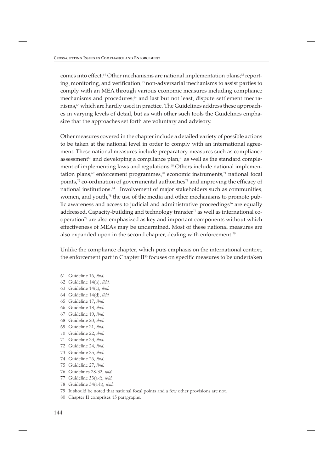comes into effect.<sup>61</sup> Other mechanisms are national implementation plans;<sup>62</sup> reporting, monitoring, and verification;<sup>63</sup> non-adversarial mechanisms to assist parties to comply with an MEA through various economic measures including compliance mechanisms and procedures; 64 and last but not least, dispute settlement mechanisms, 65 which are hardly used in practice. The Guidelines address these approaches in varying levels of detail, but as with other such tools the Guidelines emphasize that the approaches set forth are voluntary and advisory.

Other measures covered in the chapter include a detailed variety of possible actions to be taken at the national level in order to comply with an international agreement. These national measures include preparatory measures such as compliance assessment<sup>66</sup> and developing a compliance plan, $\sigma$  as well as the standard complement of implementing laws and regulations.<sup>68</sup> Others include national implementation plans,<sup>69</sup> enforcement programmes,<sup>70</sup> economic instruments,<sup>71</sup> national focal points,<sup>72</sup> co-ordination of governmental authorities<sup>73</sup> and improving the efficacy of national institutions.<sup>74</sup> Involvement of major stakeholders such as communities, women, and youth,<sup>75</sup> the use of the media and other mechanisms to promote public awareness and access to judicial and administrative proceedings $76$  are equally addressed. Capacity-building and technology transfer<sup>77</sup> as well as international cooperation<sup>78</sup> are also emphasized as key and important components without which effectiveness of MEAs may be undermined. Most of these national measures are also expanded upon in the second chapter, dealing with enforcement.<sup>79</sup>

Unlike the compliance chapter, which puts emphasis on the international context, the enforcement part in Chapter  $II^{\text{so}}$  focuses on specific measures to be undertaken

- 65 Guideline 17, *ibid*.
- 66 Guideline 18, *ibid*.
- 67 Guideline 19, *ibid*.
- 68 Guideline 20, *ibid*.
- 69 Guideline 21, *ibid*.
- 70 Guideline 22, *ibid*.
- 71 Guideline 23, *ibid*.
- 72 Guideline 24, *ibid*.
- 73 Guideline 25, *ibid*.
- 74 Guideline 26, *ibid*.
- 75 Guideline 27, *ibid*.
- 76 Guidelines 28-32, *ibid*.
- 77 Guideline 33(a-f), *ibid*.
- 78 Guideline 34(a-h), *ibid*..
- 79 It should be noted that national focal points and a few other provisions are not.
- 80 Chapter II comprises 15 paragraphs.

<sup>61</sup> Guideline 16, *ibid*.

<sup>62</sup> Guideline 14(b), *ibid*.

<sup>63</sup> Guideline 14(c), *ibid*.

<sup>64</sup> Guideline 14(d), *ibid*.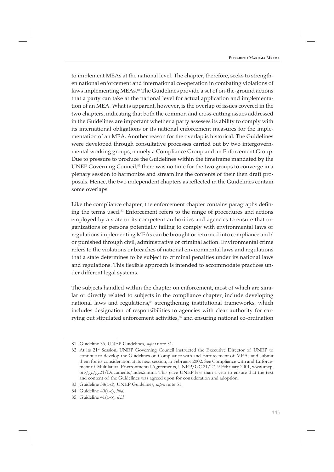to implement MEAs at the national level. The chapter, therefore, seeks to strengthen national enforcement and international co-operation in combating violations of laws implementing MEAs.<sup>81</sup> The Guidelines provide a set of on-the-ground actions that a party can take at the national level for actual application and implementation of an MEA. What is apparent, however, is the overlap of issues covered in the two chapters, indicating that both the common and cross-cutting issues addressed in the Guidelines are important whether a party assesses its ability to comply with its international obligations or its national enforcement measures for the implementation of an MEA. Another reason for the overlap is historical. The Guidelines were developed through consultative processes carried out by two intergovernmental working groups, namely a Compliance Group and an Enforcement Group. Due to pressure to produce the Guidelines within the timeframe mandated by the UNEP Governing Council,<sup>82</sup> there was no time for the two groups to converge in a plenary session to harmonize and streamline the contents of their then draft proposals. Hence, the two independent chapters as reflected in the Guidelines contain some overlaps.

Like the compliance chapter, the enforcement chapter contains paragraphs defining the terms used.<sup>83</sup> Enforcement refers to the range of procedures and actions employed by a state or its competent authorities and agencies to ensure that organizations or persons potentially failing to comply with environmental laws or regulations implementing MEAs can be brought or returned into compliance and/ or punished through civil, administrative or criminal action. Environmental crime refers to the violations or breaches of national environmental laws and regulations that a state determines to be subject to criminal penalties under its national laws and regulations. This flexible approach is intended to accommodate practices under different legal systems.

The subjects handled within the chapter on enforcement, most of which are similar or directly related to subjects in the compliance chapter, include developing national laws and regulations, <sup>84</sup> strengthening institutional frameworks, which includes designation of responsibilities to agencies with clear authority for carrying out stipulated enforcement activities, <sup>85</sup> and ensuring national co-ordination

<sup>81</sup> Guideline 36, UNEP Guidelines, *supra* note 51.

<sup>82</sup> At its 21<sup>st</sup> Session, UNEP Governing Council instructed the Executive Director of UNEP to continue to develop the Guidelines on Compliance with and Enforcement of MEAs and submit them for its consideration at its next session, in February 2002. See Compliance with and Enforcement of Multilateral Environmental Agreements, UNEP/GC.21/27, 9 February 2001, www.unep. org/gc/gc21/Documents/index2.html. This gave UNEP less than a year to ensure that the text and content of the Guidelines was agreed upon for consideration and adoption.

<sup>83</sup> Guideline 38(a-d), UNEP Guidelines, *supra* note 51.

<sup>84</sup> Guideline 40(a-c), *ibid*.

<sup>85</sup> Guideline 41(a-o), *ibid*.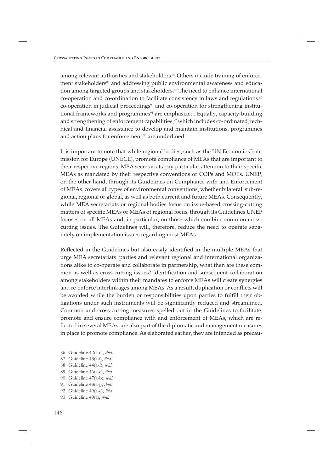among relevant authorities and stakeholders.<sup>86</sup> Others include training of enforcement stakeholders<sup>87</sup> and addressing public environmental awareness and education among targeted groups and stakeholders.<sup>88</sup> The need to enhance international co-operation and co-ordination to facilitate consistency in laws and regulations,<sup>89</sup> co-operation in judicial proceedings<sup>90</sup> and co-operation for strengthening institutional frameworks and programmes<sup>91</sup> are emphasized. Equally, capacity-building and strengthening of enforcement capabilities,<sup>92</sup> which includes co-ordinated, technical and financial assistance to develop and maintain institutions, programmes and action plans for enforcement,<sup>93</sup> are underlined.

It is important to note that while regional bodies, such as the UN Economic Commission for Europe (UNECE), promote compliance of MEAs that are important to their respective regions, MEA secretariats pay particular attention to their specific MEAs as mandated by their respective conventions or COPs and MOPs. UNEP, on the other hand, through its Guidelines on Compliance with and Enforcement of MEAs, covers all types of environmental conventions, whether bilateral, sub-regional, regional or global, as well as both current and future MEAs. Consequently, while MEA secretariats or regional bodies focus on issue-based crossing-cutting matters of specific MEAs or MEAs of regional focus, through its Guidelines UNEP focuses on all MEAs and, in particular, on those which combine common crosscutting issues. The Guidelines will, therefore, reduce the need to operate separately on implementation issues regarding most MEAs.

Reflected in the Guidelines but also easily identified in the multiple MEAs that urge MEA secretariats, parties and relevant regional and international organizations alike to co-operate and collaborate in partnership, what then are these common as well as cross-cutting issues? Identification and subsequent collaboration among stakeholders within their mandates to enforce MEAs will create synergies and re-enforce interlinkages among MEAs. As a result, duplication or conflicts will be avoided while the burden or responsibilities upon parties to fulfill their obligations under such instruments will be significantly reduced and streamlined. Common and cross-cutting measures spelled out in the Guidelines to facilitate, promote and ensure compliance with and enforcement of MEAs, which are reflected in several MEAs, are also part of the diplomatic and management measures in place to promote compliance. As elaborated earlier, they are intended as precau-

<sup>86</sup> Guideline 42(a-c), *ibid*.

<sup>87</sup> Guideline 43(a-i), *ibid*.

<sup>88</sup> Guideline 44(a-f), *ibid*.

<sup>89</sup> Guideline 46(a-c), *ibid*.

<sup>90</sup> Guideline 47(a-b), *ibid*.

<sup>91</sup> Guideline 48(a-j), *ibid*.

<sup>92</sup> Guideline 49(a-e), *ibid*.

<sup>93</sup> Guideline 49(a), *ibid*.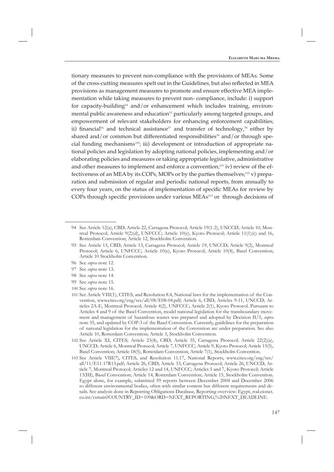tionary measures to prevent non-compliance with the provisions of MEAs. Some of the cross-cutting measures spelt out in the Guidelines, but also reflected in MEA provisions as management measures to promote and ensure effective MEA implementation while taking measures to prevent non- compliance, include: i) support for capacity-building<sup>94</sup> and/or enhancement which includes training, environmental public awareness and education<sup>95</sup> particularly among targeted groups, and empowerment of relevant stakeholders for enhancing enforcement capabilities; ii) financial<sup>96</sup> and technical assistance<sup>97</sup> and transfer of technology,<sup>98</sup> either by shared and/or common but differentiated responsibilities<sup>99</sup> and/or through special funding mechanisms<sup>100</sup>; iii) development or introduction of appropriate national policies and legislation by adopting national policies, implementing and/or elaborating policies and measures or taking appropriate legislative, administrative and other measures to implement and enforce a convention;<sup>101</sup> iv) review of the effectiveness of an MEA by its COPs, MOPs or by the parties themselves;<sup>102</sup> v) preparation and submission of regular and periodic national reports, from annually to every four years, on the status of implementation of specific MEAs for review by COPs through specific provisions under various MEAs<sup>103</sup> or through decisions of

- 98 See *supra* note 14.
- 99 See *supra* note 15.
- 100 See *supra* note 16.

- 102 See Article XI, CITES; Article 23(4), CBD; Article 35, Cartagena Protocol; Article 22(2)(a), UNCCD; Article 6, Montreal Protocol; Article 7, UNFCCC; Article 9, Kyoto Protocol; Article 15(5), Basel Convention; Article 18(5), Rotterdam Convention; Article 7(1), Stockholm Convention.
- 103 See Article VIII(7), CITES, and Resolution 11.17, National Reports, www.cites.org/eng/res/ all/11/E11-17R13.pdf; Article 26, CBD; Article 33, Cartagena Protocol; Article 26, UNCCD; Article 7, Montreal Protocol; Articles 12 and 14, UNFCCC; Articles 5 and 7, Kyoto Protocol; Article 13(III), Basel Convention; Article 14, Rotterdam Convention; Article 15, Stockholm Convention. Egypt alone, for example, submitted 59 reports between December 2004 and December 2006 to different environmental bodies, often with similar content but different requirements and details. See analysis done in Reporting Obligations Database, Reporting overview: Egypt, rod.eionet. eu.int/csmain?COUNTRY\_ID=109&ORD=NEXT\_REPORTING,%20NEXT\_DEADLINE.

<sup>94</sup> See Article 12(a), CBD; Article 22, Cartagena Protocol; Article 19(1-2), UNCCD; Article 10, Montreal Protocol; Article 9(2)(d), UNFCCC; Article 10(e), Kyoto Protocol; Article 11(1)(c) and 16, Rotterdam Convention; Article 12, Stockholm Convention.

<sup>95</sup> See Article 13, CBD; Article 13, Cartagena Protocol; Article 19, UNCCD; Article 9(2), Montreal Protocol; Article 6, UNFCCC; Article 10(e), Kyoto Protocol; Article 10(4), Basel Convention; Article 10 Stockholm Convention.

<sup>96</sup> See *supra* note 12.

<sup>97</sup> See *supra* note 13.

<sup>101</sup> See Article VIII(1), CITES, and Resolution 8.4, National laws for the implementation of the Convention, www.cites.org/eng/res/all/08/E08-04.pdf; Article 6, CBD; Articles 9-11, UNCCD; Articles 2A-E, Montreal Protocol; Article 4(2), UNFCCC; Article 2(1), Kyoto Protocol. Pursuant to Articles 4 and 9 of the Basel Convention, model national legislation for the transboundary movement and management of hazardous wastes was prepared and adopted by Decision II/5, *supra* note 35, and updated by COP-3 of the Basel Convention. Currently, guidelines for the preparation of national legislation for the implementation of the Convention are under preparation. See also Article 10, Rotterdam Convention; Article 3, Stockholm Convention.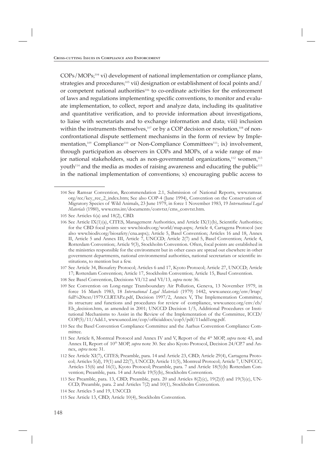COPs/MOPs; <sup>104</sup> vi) development of national implementation or compliance plans, strategies and procedures;<sup>105</sup> vii) designation or establishment of focal points and/ or competent national authorities<sup>106</sup> to co-ordinate activities for the enforcement of laws and regulations implementing specific conventions, to monitor and evaluate implementation, to collect, report and analyze data, including its qualitative and quantitative verification, and to provide information about investigations, to liaise with secretariats and to exchange information and data; viii) inclusion within the instruments themselves,<sup>107</sup> or by a COP decision or resolution,<sup>108</sup> of nonconfrontational dispute settlement mechanisms in the form of review by Implementation,<sup>109</sup> Compliance<sup>110</sup> or Non-Compliance Committees<sup>111</sup>; ix) involvement, through participation as observers in COPs and MOPs, of a wide range of major national stakeholders, such as non-governmental organizations,<sup>112</sup> women,<sup>113</sup> youth $114$  and the media as modes of raising awareness and educating the public<sup>115</sup> in the national implementation of conventions; x) encouraging public access to

<sup>104</sup> See Ramsar Convention, Recommendation 2.1, Submission of National Reports, www.ramsar. org/rec/key\_rec\_2\_index.htm; See also COP-4 (June 1994), Convention on the Conservation of Migratory Species of Wild Animals, 23 June 1979, in force 1 November 1983, 19 *International Legal Materials* (1980), www.cms.int/documents/convtxt/cms\_convtxt.htm.

<sup>105</sup> See Articles 6(a) and 18(2), CBD.

<sup>106</sup> See Article IX(1)(a), CITES, Management Authorities, and Article IX(1)(b), Scientific Authorities; for the CBD focal points see www.biodiv.org/world/map.aspx; Article 4, Cartagena Protocol (see also www.biodiv.org/biosafety/cna.aspx); Article 5, Basel Convention; Articles 16 and 18, Annex II, Article 5 and Annex III, Article 7, UNCCD; Article 2(7) and 5, Basel Convention; Article 4, Rotterdam Convention; Article 9(3), Stockholm Convention. Often, focal points are established in the ministries responsible for the environment but in other cases are spread out elsewhere in other government departments, national environmental authorities, national secretariats or scientific institutions, to mention but a few.

<sup>107</sup> See Article 34, Biosafety Protocol; Articles 6 and 17, Kyoto Protocol; Article 27, UNCCD; Article 17; Rotterdam Convention; Article 17, Stockholm Convention; Article 15, Basel Convention.

<sup>108</sup> See Basel Convention, Decisions VI/12 and VI/13, *supra* note 36.

<sup>109</sup> See Convention on Long-range Transboundary Air Pollution, Geneva, 13 November 1979, in force 16 March 1983, 18 *International Legal Materials* (1979) 1442, www.unece.org/env/lrtap/ full%20text/1979.CLRTAP.e.pdf, Decision 1997/2, Annex V, The Implementation Committee, its structure and functions and procedures for review of compliance, www.unece.org/env/eb/ Eb\_decision.htm, as amended in 2001; UNCCD Decision 1/5, Additional Procedures or Institutional Mechanisms to Assist in the Review of the Implementation of the Committee, ICCD/ COP(5)/11/Add.1, www.unccd.int/cop/officialdocs/cop5/pdf/11add1eng.pdf.

<sup>110</sup> See the Basel Convention Compliance Committee and the Aarhus Convention Compliance Committee.

<sup>111</sup> See Article 8, Montreal Protocol and Annex IV and V, Report of the 4th MOP, *supra* note 43, and Annex II, Report of 10<sup>th</sup> MOP, *supra* note 30. See also Kyoto Protocol, Decision 24/CP.7 and Annex, *supra* note 31.

<sup>112</sup> See Article XI(7), CITES; Preamble, para. 14 and Article 23, CBD; Article 29(4), Cartagena Protocol; Articles 5(d), 19(1) and 22(7), UNCCD; Article 11(5), Montreal Protocol; Article 7, UNFCCC; Articles 15(6) and 16(1), Kyoto Protocol; Preamble, para. 7 and Article 18(5)(b) Rotterdam Convention; Preamble, para. 14 and Article 19(5)(b), Stockholm Convention.

<sup>113</sup> See Preamble, para. 13, CBD; Preamble, para. 20 and Articles 8(2)(c), 19(2)(f) and 19(3)(e), UN-CCD; Preamble, para. 2 and Articles 7(2) and 10(1), Stockholm Convention.

<sup>114</sup> See Articles 5 and 19, UNCCD.

<sup>115</sup> See Article 13, CBD; Article 10(4), Stockholm Convention.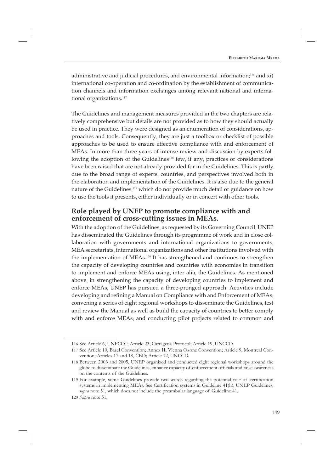administrative and judicial procedures, and environmental information; <sup>116</sup> and xi) international co-operation and co-ordination by the establishment of communication channels and information exchanges among relevant national and international organizations.<sup>117</sup>

The Guidelines and management measures provided in the two chapters are relatively comprehensive but details are not provided as to how they should actually be used in practice. They were designed as an enumeration of considerations, approaches and tools. Consequently, they are just a toolbox or checklist of possible approaches to be used to ensure effective compliance with and enforcement of MEAs. In more than three years of intense review and discussion by experts following the adoption of the Guidelines<sup>118</sup> few, if any, practices or considerations have been raised that are not already provided for in the Guidelines. This is partly due to the broad range of experts, countries, and perspectives involved both in the elaboration and implementation of the Guidelines. It is also due to the general nature of the Guidelines, <sup>119</sup> which do not provide much detail or guidance on how to use the tools it presents, either individually or in concert with other tools.

## **Role played by UNEP to promote compliance with and enforcement of cross-cutting issues in MEAs.**

With the adoption of the Guidelines, as requested by its Governing Council, UNEP has disseminated the Guidelines through its programme of work and in close collaboration with governments and international organizations to governments, MEA secretariats, international organizations and other institutions involved with the implementation of MEAs.<sup>120</sup> It has strengthened and continues to strengthen the capacity of developing countries and countries with economies in transition to implement and enforce MEAs using, inter alia, the Guidelines. As mentioned above, in strengthening the capacity of developing countries to implement and enforce MEAs, UNEP has pursued a three-pronged approach. Activities include developing and refining a Manual on Compliance with and Enforcement of MEAs; convening a series of eight regional workshops to disseminate the Guidelines, test and review the Manual as well as build the capacity of countries to better comply with and enforce MEAs; and conducting pilot projects related to common and

<sup>116</sup> See Article 6, UNFCCC; Article 23, Cartagena Protocol; Article 19, UNCCD.

<sup>117</sup> See Article 10, Basel Convention; Annex II, Vienna Ozone Convention; Article 9, Montreal Convention; Articles 17 and 18, CBD; Article 12, UNCCD.

<sup>118</sup> Between 2003 and 2005, UNEP organized and conducted eight regional workshops around the globe to disseminate the Guidelines, enhance capacity of enforcement officials and raise awareness on the contents of the Guidelines.

<sup>119</sup> For example, some Guidelines provide two words regarding the potential role of certification systems in implementing MEAs. See Certification systems in Guideline 41(h), UNEP Guidelines, *supra* note 51, which does not include the preambular language of Guideline 41.

<sup>120</sup> *Supra* note 51.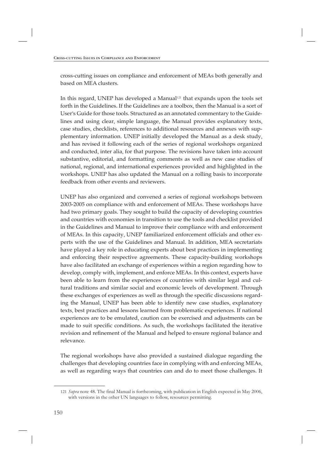cross-cutting issues on compliance and enforcement of MEAs both generally and based on MEA clusters.

In this regard, UNEP has developed a Manual<sup>121</sup> that expands upon the tools set forth in the Guidelines. If the Guidelines are a toolbox, then the Manual is a sort of User's Guide for those tools. Structured as an annotated commentary to the Guidelines and using clear, simple language, the Manual provides explanatory texts, case studies, checklists, references to additional resources and annexes with supplementary information. UNEP initially developed the Manual as a desk study, and has revised it following each of the series of regional workshops organized and conducted, inter alia, for that purpose. The revisions have taken into account substantive, editorial, and formatting comments as well as new case studies of national, regional, and international experiences provided and highlighted in the workshops. UNEP has also updated the Manual on a rolling basis to incorporate feedback from other events and reviewers.

UNEP has also organized and convened a series of regional workshops between 2003-2005 on compliance with and enforcement of MEAs. These workshops have had two primary goals. They sought to build the capacity of developing countries and countries with economies in transition to use the tools and checklist provided in the Guidelines and Manual to improve their compliance with and enforcement of MEAs. In this capacity, UNEP familiarized enforcement officials and other experts with the use of the Guidelines and Manual. In addition, MEA secretariats have played a key role in educating experts about best practices in implementing and enforcing their respective agreements. These capacity-building workshops have also facilitated an exchange of experiences within a region regarding how to develop, comply with, implement, and enforce MEAs. In this context, experts have been able to learn from the experiences of countries with similar legal and cultural traditions and similar social and economic levels of development. Through these exchanges of experiences as well as through the specific discussions regarding the Manual, UNEP has been able to identify new case studies, explanatory texts, best practices and lessons learned from problematic experiences. If national experiences are to be emulated, caution can be exercised and adjustments can be made to suit specific conditions. As such, the workshops facilitated the iterative revision and refinement of the Manual and helped to ensure regional balance and relevance.

The regional workshops have also provided a sustained dialogue regarding the challenges that developing countries face in complying with and enforcing MEAs, as well as regarding ways that countries can and do to meet those challenges. It

<sup>121</sup> *Supra* note 48. The final Manual is forthcoming, with publication in English expected in May 2006, with versions in the other UN languages to follow, resources permitting.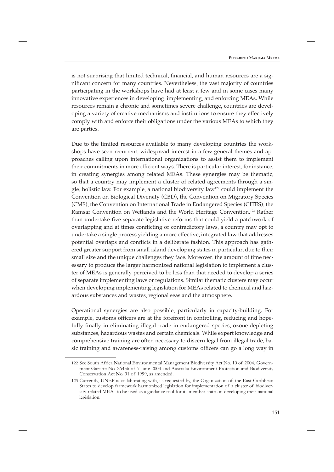is not surprising that limited technical, financial, and human resources are a significant concern for many countries. Nevertheless, the vast majority of countries participating in the workshops have had at least a few and in some cases many innovative experiences in developing, implementing, and enforcing MEAs. While resources remain a chronic and sometimes severe challenge, countries are developing a variety of creative mechanisms and institutions to ensure they effectively comply with and enforce their obligations under the various MEAs to which they are parties.

Due to the limited resources available to many developing countries the workshops have seen recurrent, widespread interest in a few general themes and approaches calling upon international organizations to assist them to implement their commitments in more efficient ways. There is particular interest, for instance, in creating synergies among related MEAs. These synergies may be thematic, so that a country may implement a cluster of related agreements through a single, holistic law. For example, a national biodiversity law<sup>122</sup> could implement the Convention on Biological Diversity (CBD), the Convention on Migratory Species (CMS), the Convention on International Trade in Endangered Species (CITES), the Ramsar Convention on Wetlands and the World Heritage Convention.<sup>123</sup> Rather than undertake five separate legislative reforms that could yield a patchwork of overlapping and at times conflicting or contradictory laws, a country may opt to undertake a single process yielding a more effective, integrated law that addresses potential overlaps and conflicts in a deliberate fashion. This approach has gathered greater support from small island developing states in particular, due to their small size and the unique challenges they face. Moreover, the amount of time necessary to produce the larger harmonized national legislation to implement a cluster of MEAs is generally perceived to be less than that needed to develop a series of separate implementing laws or regulations. Similar thematic clusters may occur when developing implementing legislation for MEAs related to chemical and hazardous substances and wastes, regional seas and the atmosphere.

Operational synergies are also possible, particularly in capacity-building. For example, customs officers are at the forefront in controlling, reducing and hopefully finally in eliminating illegal trade in endangered species, ozone-depleting substances, hazardous wastes and certain chemicals. While expert knowledge and comprehensive training are often necessary to discern legal from illegal trade, basic training and awareness-raising among customs officers can go a long way in

<sup>122</sup> See South Africa National Environmental Management Biodiversity Act No. 10 of 2004, Government Gazatte No. 26436 of 7 June 2004 and Australia Environment Protection and Biodiversity Conservation Act No. 91 of 1999, as amended.

<sup>123</sup> Currently, UNEP is collaborating with, as requested by, the Organization of the East Caribbean States to develop framework harmonized legislation for implementation of a cluster of biodiversity-related MEAs to be used as a guidance tool for its member states in developing their national legislation.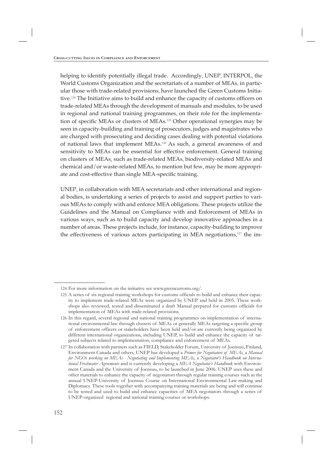helping to identify potentially illegal trade. Accordingly, UNEP, INTERPOL, the World Customs Organization and the secretariats of a number of MEAs, in particular those with trade-related provisions, have launched the Green Customs Initiative.<sup>124</sup> The Initiative aims to build and enhance the capacity of customs officers on trade-related MEAs through the development of manuals and modules, to be used in regional and national training programmes, on their role for the implementation of specific MEAs or clusters of MEAs.<sup>125</sup> Other operational synergies may be seen in capacity-building and training of prosecutors, judges and magistrates who are charged with prosecuting and deciding cases dealing with potential violations of national laws that implement MEAs.<sup>126</sup> As such, a general awareness of and sensitivity to MEAs can be essential for effective enforcement. General training on clusters of MEAs, such as trade-related MEAs, biodiversity-related MEAs and chemical and/or waste-related MEAs, to mention but few, may be more appropriate and cost-effective than single MEA-specific training.

UNEP, in collaboration with MEA secretariats and other international and regional bodies, is undertaking a series of projects to assist and support parties to various MEAs to comply with and enforce MEA obligations. These projects utilize the Guidelines and the Manual on Compliance with and Enforcement of MEAs in various ways, such as to build capacity and develop innovative approaches in a number of areas. These projects include, for instance, capacity-building to improve the effectiveness of various actors participating in MEA negotiations,<sup>127</sup> the im-

<sup>124</sup> For more information on the initiative see www.greencustoms.org/.

<sup>125</sup> A series of six regional training workshops for customs officials to build and enhance their capacity to implement trade-related MEAs were organized by UNEP and held in 2005. These workshops also reviewed, tested and disseminated a draft Manual prepared for customs officials for implementation of MEAs with trade-related provisions.

<sup>126</sup> In this regard, several regional and national training programmes on implementation of international environmental law through clusters of MEAs or generally MEAs targeting a specific group of enforcement officers or stakeholders have been held and/or are currently being organized by different international organizations, including UNEP, to build and enhance the capacity of targeted subjects related to implementation, compliance and enforcement of MEAs.

<sup>127</sup> In collaboration with partners such as FIELD, Stakeholder Forum, University of Joensuu, Finland, Environment Canada and others, UNEP has developed a *Primer for Negotiators of MEAs*, a *Manual for NGOs working on MEAs - Negotiating and Implementing MEAs*, a *Negotiator's Handbook on International Freshwater Agreements* and is currently developing a *MEA Negotiator's Handbook* with Environment Canada and the University of Joensuu, to be launched in June 2006. UNEP uses these and other materials to enhance the capacity of negotiators through regular training courses such as the annual UNEP-University of Joensuu Course on International Environmental Law-making and Diplomacy. These tools together with accompanying training materials are being and will continue to be tested and used to build and enhance capacities of MEA negotiators through a series of UNEP-organized regional and national training courses or workshops.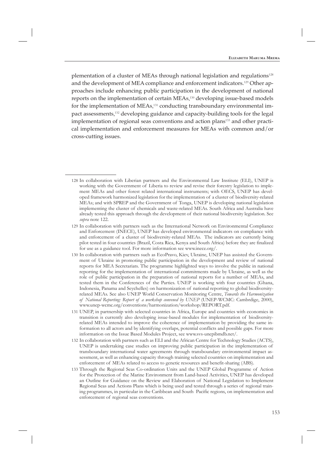plementation of a cluster of MEAs through national legislation and regulations<sup>128</sup> and the development of MEA compliance and enforcement indicators.129 Other approaches include enhancing public participation in the development of national reports on the implementation of certain MEAs, <sup>130</sup> developing issue-based models for the implementation of MEAs,<sup>131</sup> conducting transboundary environmental impact assessments, <sup>132</sup> developing guidance and capacity-building tools for the legal implementation of regional seas conventions and action plans<sup>133</sup> and other practical implementation and enforcement measures for MEAs with common and/or cross-cutting issues.

- 132 In collaboration with partners such as ELI and the African Centre for Technology Studies (ACTS), UNEP is undertaking case studies on improving public participation in the implementation of transboundary international water agreements through transboundary environmental impact assessment, as well as enhancing capacity through training selected countries on implementation and enforcement of MEAs related to access to genetic resources and benefit-sharing (ABS).
- 133 Through the Regional Seas Co-ordination Units and the UNEP Global Programme of Action for the Protection of the Marine Environment from Land-based Activities, UNEP has developed an Outline for Guidance on the Review and Elaboration of National Legislation to Implement Regional Seas and Actions Plans which is being used and tested through a series of regional training programmes, in particular in the Caribbean and South Pacific regions, on implementation and enforcement of regional seas conventions.

<sup>128</sup> In collaboration with Liberian partners and the Environmental Law Institute (ELI), UNEP is working with the Government of Liberia to review and revise their forestry legislation to implement MEAs and other forest related international instruments; with OECS, UNEP has developed framework harmonized legislation for the implementation of a cluster of biodiversity-related MEAs; and with SPREP and the Government of Tonga, UNEP is developing national legislation implementing the cluster of chemicals and waste-related MEAs. South Africa and Australia have already tested this approach through the development of their national biodiversity legislation. See *supra* note 122.

<sup>129</sup> In collaboration with partners such as the International Network on Environmental Compliance and Enforcement (INECE), UNEP has developed environmental indicators on compliance with and enforcement of a cluster of biodiversity-related MEAs. The indicators are currently being pilot tested in four countries (Brazil, Costa Rica, Kenya and South Africa) before they are finalized for use as a guidance tool. For more information see www.inece.org/.

<sup>130</sup> In collaboration with partners such as EcoPravo, Kiev, Ukraine, UNEP has assisted the Government of Ukraine in promoting public participation in the development and review of national reports for MEA Secretariats. The programme highlighted ways to involve the public in national reporting for the implementation of international commitments made by Ukraine, as well as the role of public participation in the preparation of national reports for a number of MEAs, and tested them in the Conferences of the Parties. UNEP is working with four countries (Ghana, Indonesia, Panama and Seychelles) on harmonization of national reporting to global biodiversityrelated MEAs. See also UNEP World Conservation Monitoring Centre, *Towards the Harmonization of National Reporting: Report of a workshop convened by UNEP* (UNEP-WCMC: Cambrdige, 2000), www.unep-wcmc.org/conventions/harmonization/workshop/REPORT.pdf.

<sup>131</sup> UNEP, in partnership with selected countries in Africa, Europe and countries with economies in transition is currently also developing issue-based modules for implementation of biodiversityrelated MEAs intended to improve the coherence of implementation by providing the same information to all actors and by identifying overlaps, potential conflicts and possible gaps. For more information on the Issue Based Modules Project, see www.svs-unepibmdb.net/.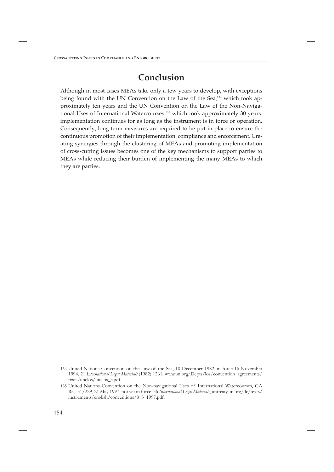## **Conclusion**

Although in most cases MEAs take only a few years to develop, with exceptions being found with the UN Convention on the Law of the Sea, 134 which took approximately ten years and the UN Convention on the Law of the Non-Navigational Uses of International Watercourses, <sup>135</sup> which took approximately 30 years, implementation continues for as long as the instrument is in force or operation. Consequently, long-term measures are required to be put in place to ensure the continuous promotion of their implementation, compliance and enforcement. Creating synergies through the clustering of MEAs and promoting implementation of cross-cutting issues becomes one of the key mechanisms to support parties to MEAs while reducing their burden of implementing the many MEAs to which they are parties.

<sup>134</sup> United Nations Convention on the Law of the Sea, 10 December 1982, in force 16 November 1994, 21 *International Legal Materials* (1982) 1261, www.un.org/Depts/los/convention\_agreements/ texts/unclos/unclos\_e.pdf.

<sup>135</sup> United Nations Convention on the Non-navigational Uses of International Watercourses, GA Res. 51/229, 21 May 1997, not yet in force, 36 *International Legal Materials*, untreaty.un.org/ilc/texts/ instruments/english/conventions/8\_3\_1997.pdf.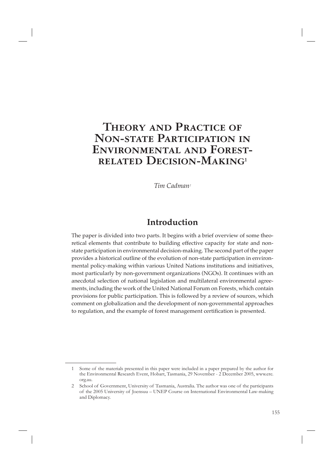# **Theory and Practice of Non-state Participation in Environmental and Forestrelated Decision-Making<sup>1</sup>**

*Tim Cadman<sup>2</sup>*

## **Introduction**

The paper is divided into two parts. It begins with a brief overview of some theoretical elements that contribute to building effective capacity for state and nonstate participation in environmental decision-making. The second part of the paper provides a historical outline of the evolution of non-state participation in environmental policy-making within various United Nations institutions and initiatives, most particularly by non-government organizations (NGOs). It continues with an anecdotal selection of national legislation and multilateral environmental agreements, including the work of the United National Forum on Forests, which contain provisions for public participation. This is followed by a review of sources, which comment on globalization and the development of non-governmental approaches to regulation, and the example of forest management certification is presented.

<sup>1</sup> Some of the materials presented in this paper were included in a paper prepared by the author for the Environmental Research Event, Hobart, Tasmania, 29 November - 2 December 2005, www.ere. org.au.

<sup>2</sup> School of Government, University of Tasmania, Australia. The author was one of the participants of the 2005 University of Joensuu – UNEP Course on International Environmental Law-making and Diplomacy.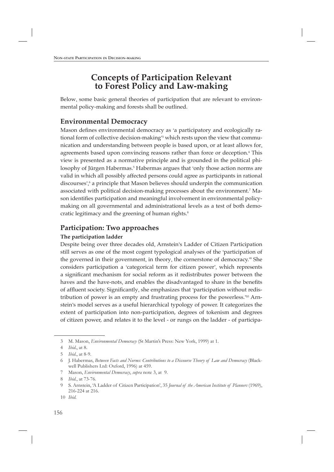## **Concepts of Participation Relevant to Forest Policy and Law-making**

Below, some basic general theories of participation that are relevant to environmental policy-making and forests shall be outlined.

#### **Environmental Democracy**

Mason defines environmental democracy as 'a participatory and ecologically rational form of collective decision-making<sup>3</sup> which rests upon the view that communication and understanding between people is based upon, or at least allows for, agreements based upon convincing reasons rather than force or deception.<sup>4</sup> This view is presented as a normative principle and is grounded in the political philosophy of Jürgen Habermas.<sup>5</sup> Habermas argues that 'only those action norms are valid in which all possibly affected persons could agree as participants in rational discourses',<sup>6</sup> a principle that Mason believes should underpin the communication associated with political decision-making processes about the environment.7 Mason identifies participation and meaningful involvement in environmental policymaking on all governmental and administrational levels as a test of both democratic legitimacy and the greening of human rights.<sup>8</sup>

### **Participation: Two approaches**

#### **The participation ladder**

Despite being over three decades old, Arnstein's Ladder of Citizen Participation still serves as one of the most cogent typological analyses of the 'participation of the governed in their government, in theory, the cornerstone of democracy.<sup>59</sup> She considers participation a 'categorical term for citizen power', which represents a significant mechanism for social reform as it redistributes power between the haves and the have-nots, and enables the disadvantaged to share in the benefits of affluent society. Significantly, she emphasizes that 'participation without redistribution of power is an empty and frustrating process for the powerless.' 10 Arnstein's model serves as a useful hierarchical typology of power. It categorizes the extent of participation into non-participation, degrees of tokenism and degrees of citizen power, and relates it to the level - or rungs on the ladder - of participa-

<sup>3</sup> M. Mason, *Environmental Democracy* (St Martin's Press: New York, 1999) at 1.

<sup>4</sup> *Ibid*., at 8.

<sup>5</sup> *Ibid*., at 8-9.

<sup>6</sup> J. Habermas, *Between Facts and Norms: Contributions to a Discourse Theory of Law and Democracy* (Blackwell Publishers Ltd: Oxford, 1996) at 459.

<sup>7</sup> Mason, *Environmental Democracy*, *supra* note 3, at 9.

<sup>8</sup> *Ibid.*, at 73-76.

<sup>9</sup> S. Arnstein, 'A Ladder of Citizen Participation', 35 *Journal of the American Institute of Planners* (1969), 216-224 at 216.

<sup>10</sup> *Ibid*.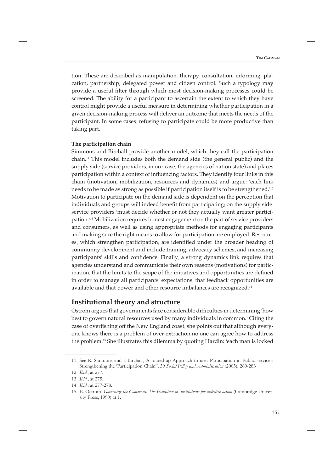tion. These are described as manipulation, therapy, consultation, informing, placation, partnership, delegated power and citizen control. Such a typology may provide a useful filter through which most decision-making processes could be screened. The ability for a participant to ascertain the extent to which they have control might provide a useful measure in determining whether participation in a given decision-making process will deliver an outcome that meets the needs of the participant. In some cases, refusing to participate could be more productive than taking part.

#### **The participation chain**

Simmons and Birchall provide another model, which they call the participation chain.11 This model includes both the demand side (the general public) and the supply side (service providers, in our case, the agencies of nation state) and places participation within a context of influencing factors. They identify four links in this chain (motivation, mobilization, resources and dynamics) and argue: 'each link needs to be made as strong as possible if participation itself is to be strengthened.'<sup>12</sup> Motivation to participate on the demand side is dependent on the perception that individuals and groups will indeed benefit from participating; on the supply side, service providers 'must decide whether or not they actually want greater participation.' 13 Mobilization requires honest engagement on the part of service providers and consumers, as well as using appropriate methods for engaging participants and making sure the right means to allow for participation are employed. Resources, which strengthen participation, are identified under the broader heading of community development and include training, advocacy schemes, and increasing participants' skills and confidence. Finally, a strong dynamics link requires that agencies understand and communicate their own reasons (motivations) for participation, that the limits to the scope of the initiatives and opportunities are defined in order to manage all participants' expectations, that feedback opportunities are available and that power and other resource imbalances are recognized.14

#### **Institutional theory and structure**

Ostrom argues that governments face considerable difficulties in determining 'how best to govern natural resources used by many individuals in common.' Citing the case of overfishing off the New England coast, she points out that although everyone knows there is a problem of over-extraction no one can agree how to address the problem.15 She illustrates this dilemma by quoting Hardin: 'each man is locked

<sup>11</sup> See R. Simmons and J. Birchall, 'A Joined-up Approach to user Participation in Public services: Strengthening the 'Participation Chain'', 39 *Social Policy and Administration* (2005), 260-283

<sup>12</sup> *Ibid*., at 277.

<sup>13</sup> *Ibid*., at 275.

<sup>14</sup> *Ibid*., at 277-278.

<sup>15</sup> E. Ostrom, *Governing the Commons: The Evolution of institutions for collective action* (Cambridge University Press, 1990) at 1.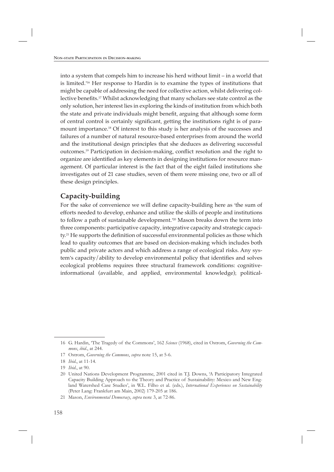into a system that compels him to increase his herd without limit – in a world that is limited.' 16 Her response to Hardin is to examine the types of institutions that might be capable of addressing the need for collective action, whilst delivering collective benefits.<sup>17</sup> Whilst acknowledging that many scholars see state control as the only solution, her interest lies in exploring the kinds of institution from which both the state and private individuals might benefit, arguing that although some form of central control is certainly significant, getting the institutions right is of paramount importance.18 Of interest to this study is her analysis of the successes and failures of a number of natural resource-based enterprises from around the world and the institutional design principles that she deduces as delivering successful outcomes.<sup>19</sup> Participation in decision-making, conflict resolution and the right to organize are identified as key elements in designing institutions for resource management. Of particular interest is the fact that of the eight failed institutions she investigates out of 21 case studies, seven of them were missing one, two or all of these design principles.

### **Capacity-building**

For the sake of convenience we will define capacity-building here as 'the sum of efforts needed to develop, enhance and utilize the skills of people and institutions to follow a path of sustainable development.' 20 Mason breaks down the term into three components: participative capacity, integrative capacity and strategic capacity.<sup>21</sup> He supports the definition of successful environmental policies as those which lead to quality outcomes that are based on decision-making which includes both public and private actors and which address a range of ecological risks. Any system's capacity/ability to develop environmental policy that identifies and solves ecological problems requires three structural framework conditions: cognitiveinformational (available, and applied, environmental knowledge); political-

<sup>16</sup> G. Hardin, 'The Tragedy of the Commons', 162 *Science* (1968), cited in Ostrom, *Governing the Commons*, *ibid*., at 244.

<sup>17</sup> Ostrom, *Governing the Commons*, *supra* note 15, at 5-6.

<sup>18</sup> *Ibid*., at 11-14.

<sup>19</sup> *Ibid*., at 90.

<sup>20</sup> United Nations Development Programme, 2001 cited in T.J. Downs, 'A Participatory Integrated Capacity Building Approach to the Theory and Practice of Sustainability: Mexico and New England Watershed Case Studies', in W.L. Filho et al. (eds.), *International Experiences on Sustainability* (Peter Lang: Frankfurt am Main, 2002) 179-205 at 186.

<sup>21</sup> Mason, *Environmental Democracy*, *supra* note 3, at 72-86.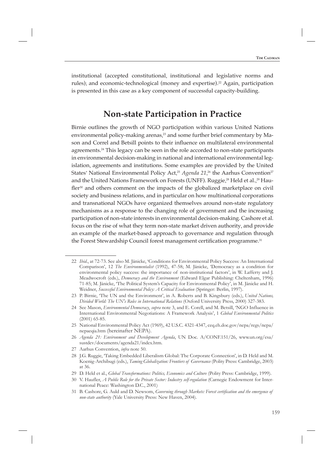institutional (accepted constitutional, institutional and legislative norms and rules); and economic-technological (money and expertise).22 Again, participation is presented in this case as a key component of successful capacity-building.

## **Non-state Participation in Practice**

Birnie outlines the growth of NGO participation within various United Nations environmental policy-making arenas, 23 and some further brief commentary by Mason and Correl and Betsill points to their influence on multilateral environmental agreements.24 This legacy can be seen in the role accorded to non-state participants in environmental decision-making in national and international environmental legislation, agreements and institutions. Some examples are provided by the United States' National Environmental Policy Act,<sup>25</sup> Agenda 21,<sup>26</sup> the Aarhus Convention<sup>27</sup> and the United Nations Framework on Forests (UNFF). Ruggie, 28 Held et al., 29 Haufler $30$  and others comment on the impacts of the globalized marketplace on civil society and business relations, and in particular on how multinational corporations and transnational NGOs have organized themselves around non-state regulatory mechanisms as a response to the changing role of government and the increasing participation of non-state interests in environmental decision-making. Cashore et al. focus on the rise of what they term non-state market driven authority, and provide an example of the market-based approach to governance and regulation through the Forest Stewardship Council forest management certification programme.<sup>31</sup>

<sup>22</sup> *Ibid*., at 72-73. See also M. Jänicke, 'Conditions for Environmental Policy Success: An International Comparison', 12 *The Environmentalist* (1992), 47-58; M. Jänicke, 'Democracy as a condition for environmental policy success: the importance of non-institutional factors', in W. Lafferty and J. Meadwocroft (eds.), *Democracy and the Environment* (Edward Elgar Publishing: Cheltenham, 1996) 71-85; M. Jänicke, 'The Political System's Capacity for Environmental Policy', in M. Jänicke and H. Weidner, *Successful Environmental Policy: A Critical Evaluation* (Springer: Berlin, 1997).

<sup>23</sup> P. Birnie, 'The UN and the Environment', in A. Roberts and B. Kingsbury (eds.), *United Nations, Divided World: The UN's Roles in International Relations* (Oxford University Press, 2000) 327-383.

<sup>24</sup> See Mason, *Environmental Democracy*, *supra* note 3, and E. Corell, and M. Betsill, 'NGO Influence in International Environmental Negotiations: A Framework Analysis', 1 *Global Environmental Politics* (2001) 65-85.

<sup>25</sup> National Environmental Policy Act (1969), 42 U.S.C. 4321-4347, ceq.eh.doe.gov/nepa/regs/nepa/ nepaeqia.htm (hereinafter NEPA).

<sup>26</sup> *Agenda 21: Environment and Development Agenda*, UN Doc. A/CONF.151/26, www.un.org/esa/ sustdev/documents/agenda21/index.htm.

<sup>27</sup> Aarhus Convention, *infra* note 50.

<sup>28</sup> J.G. Ruggie, 'Taking Embedded Liberalism Global: The Corporate Connection', in D. Held and M. Koenig-Archibugi (eds.), *Taming Globalization: Frontiers of Governance* (Polity Press: Cambridge, 2003) at 36.

<sup>29</sup> D. Held et al., *Global Transformations: Politics, Economics and Culture* (Polity Press: Cambridge, 1999).

<sup>30</sup> V. Haufler, *A Public Role for the Private Sector: Industry self-regulation* (Carnegie Endowment for International Peace: Washington D.C., 2001)

<sup>31</sup> B. Cashore, G. Auld and D. Newsom, *Governing through Markets: Forest certification and the emergence of non-state authority* (Yale University Press: New Haven, 2004).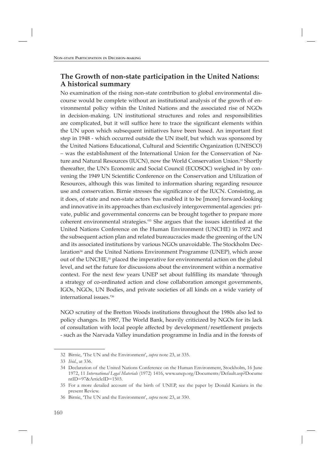### **The Growth of non-state participation in the United Nations: A historical summary**

No examination of the rising non-state contribution to global environmental discourse would be complete without an institutional analysis of the growth of environmental policy within the United Nations and the associated rise of NGOs in decision-making. UN institutional structures and roles and responsibilities are complicated, but it will suffice here to trace the significant elements within the UN upon which subsequent initiatives have been based. An important first step in 1948 - which occurred outside the UN itself, but which was sponsored by the United Nations Educational, Cultural and Scientific Organization (UNESCO) – was the establishment of the International Union for the Conservation of Nature and Natural Resources (IUCN), now the World Conservation Union.<sup>32</sup> Shortly thereafter, the UN's Economic and Social Council (ECOSOC) weighed in by convening the 1949 UN Scientific Conference on the Conservation and Utilization of Resources, although this was limited to information sharing regarding resource use and conservation. Birnie stresses the significance of the IUCN. Consisting, as it does, of state and non-state actors 'has enabled it to be [more] forward-looking and innovative in its approaches than exclusively intergovernmental agencies: private, public and governmental concerns can be brought together to prepare more coherent environmental strategies.<sup>33</sup> She argues that the issues identified at the United Nations Conference on the Human Environment (UNCHE) in 1972 and the subsequent action plan and related bureaucracies made the greening of the UN and its associated institutions by various NGOs unavoidable. The Stockholm Declaration<sup>34</sup> and the United Nations Environment Programme (UNEP), which arose out of the UNCHE, 35 placed the imperative for environmental action on the global level, and set the future for discussions about the environment within a normative context. For the next few years UNEP set about fulfilling its mandate 'through a strategy of co-ordinated action and close collaboration amongst governments, IGOs, NGOs, UN Bodies, and private societies of all kinds on a wide variety of international issues.' 36

NGO scrutiny of the Bretton Woods institutions throughout the 1980s also led to policy changes. In 1987, The World Bank, heavily criticized by NGOs for its lack of consultation with local people affected by development/resettlement projects - such as the Narvada Valley inundation programme in India and in the forests of

<sup>32</sup> Birnie, 'The UN and the Environment', *supra* note 23, at 335.

<sup>33</sup> *Ibid*., at 336.

<sup>34</sup> Declaration of the United Nations Conference on the Human Environment, Stockholm, 16 June 1972, 11 *International Legal Materials* (1972) 1416, www.unep.org/Documents/Default.asp?Docume ntID=97&ArticleID=1503.

<sup>35</sup> For a more detailed account of the birth of UNEP, see the paper by Donald Kaniaru in the present Review.

<sup>36</sup> Birnie, 'The UN and the Environment', *supra* note 23, at 350.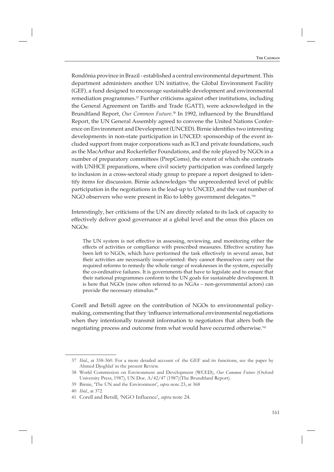Rondônia province in Brazil - established a central environmental department. This department administers another UN initiative, the Global Environment Facility (GEF), a fund designed to encourage sustainable development and environmental remediation programmes.37 Further criticisms against other institutions, including the General Agreement on Tariffs and Trade (GATT), were acknowledged in the Brundtland Report, *Our Common Future*.<sup>38</sup> In 1992, influenced by the Brundtland Report, the UN General Assembly agreed to convene the United Nations Conference on Environment and Development (UNCED). Birnie identifies two interesting developments in non-state participation in UNCED: sponsorship of the event included support from major corporations such as ICI and private foundations, such as the MacArthur and Rockerfeller Foundations, and the role played by NGOs in a number of preparatory committees (PrepComs), the extent of which she contrasts with UNHCE preparations, where civil society participation was confined largely to inclusion in a cross-sectoral study group to prepare a report designed to identify items for discussion. Birnie acknowledges 'the unprecedented level of public participation in the negotiations in the lead-up to UNCED, and the vast number of NGO observers who were present in Rio to lobby government delegates.<sup>39</sup>

Interestingly, her criticisms of the UN are directly related to its lack of capacity to effectively deliver good governance at a global level and the onus this places on NGOs:

The UN system is not effective in assessing, reviewing, and monitoring either the effects of activities or compliance with prescribed measures. Effective scrutiny has been left to NGOs, which have performed the task effectively in several areas, but their activities are necessarily issue-oriented: they cannot themselves carry out the required reforms to remedy the whole range of weaknesses in the system, especially the co-ordinative failures. It is governments that have to legislate and to ensure that their national programmes conform to the UN goals for sustainable development. It is here that NGOs (now often referred to as NGAs – non-governmental actors) can provide the necessary stimulus.40

Corell and Betsill agree on the contribution of NGOs to environmental policymaking, commenting that they 'influence international environmental negotiations when they intentionally transmit information to negotiators that alters both the negotiating process and outcome from what would have occurred otherwise.' 41

<sup>37</sup> *Ibid*., at 358-360. For a more detailed account of the GEF and its functions, see the paper by Ahmed Djoghlaf in the present Review.

<sup>38</sup> World Commission on Environment and Development (WCED), *Our Common Future* (Oxford University Press, 1987), UN Doc. A/42/47 (1987)(The Brundtland Report).

<sup>39</sup> Birnie, 'The UN and the Environment', *supra* note 23, at 368

<sup>40</sup> *Ibid*., at 372

<sup>41</sup> Corell and Betsill, 'NGO Influence', *supra* note 24.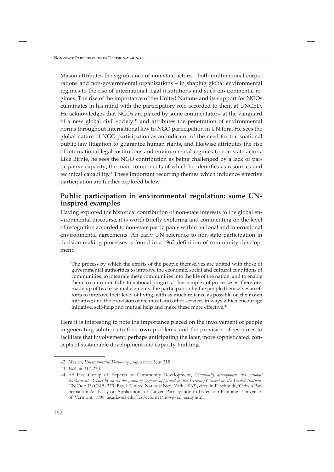Mason attributes the significance of non-state actors – both multinational corporations and non-governmental organizations – in shaping global environmental regimes to the rise of international legal institutions and such environmental regimes. The rise of the importance of the United Nations and its support for NGOs culminates in his mind with the participatory role accorded to them at UNCED. He acknowledges that NGOs are placed by some commentators 'at the vanguard of a new global civil society' 42 and attributes the penetration of environmental norms throughout international law to NGO participation in UN fora. He sees the global nature of NGO participation as an indicator of the need for transnational public law litigation to guarantee human rights, and likewise attributes the rise of international legal institutions and environmental regimes to non-state actors. Like Birnie, he sees the NGO contribution as being challenged by a lack of participative capacity, the main components of which he identifies as resources and technical capability.<sup>43</sup> These important recurring themes which influence effective participation are further explored below.

## **Public participation in environmental regulation: some UNinspired examples**

Having explored the historical contribution of non-state interests to the global environmental discourse, it is worth briefly exploring and commenting on the level of recognition accorded to non-state participants within national and international environmental agreements. An early UN reference to non-state participation in decision-making processes is found in a 1963 definition of community development:

The process by which the efforts of the people themselves are united with those of governmental authorities to improve the economic, social and cultural conditions of communities, to integrate these communities into the life of the nation, and to enable them to contribute fully to national progress. This complex of processes is, therefore, made up of two essential elements: the participation by the people themselves in efforts to improve their level of living, with as much reliance as possible on their own initiative; and the provision of technical and other services in ways which encourage initiative, self-help and mutual help and make these more effective.<sup>44</sup>

Here it is interesting to note the importance placed on the involvement of people in generating solutions to their own problems, and the provision of resources to facilitate that involvement, perhaps anticipating the later, more sophisticated, concepts of sustainable development and capacity-building.

<sup>42</sup> Mason, *Environmental Democracy*, *supra* note 3, at 218.

<sup>43</sup> *Ibid*., at 217-230.

<sup>44</sup> Ad Hoc Group of Experts on Community Development, *Community development and national development*: R*eport by an ad hoc group of experts appointed by the Secretary-General of the United Nations*, UN Doc. E/CN.5/379/Rev.1 (United Nations: New York, 1963), cited in F. Schmidt, 'Citizen Participation: An Essay on Applications of Citizen Participation to Extension Planning', University of Vermont, 1998, ag.arizona.edu/fcs/cyfernet/nowg/cd\_essay.html.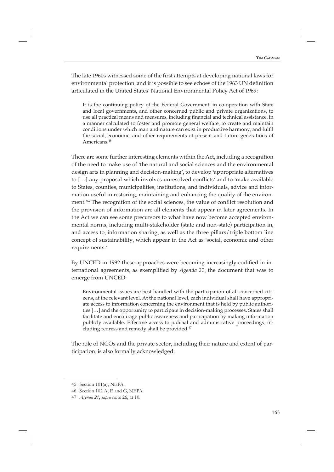The late 1960s witnessed some of the first attempts at developing national laws for environmental protection, and it is possible to see echoes of the 1963 UN definition articulated in the United States' National Environmental Policy Act of 1969:

It is the continuing policy of the Federal Government, in co-operation with State and local governments, and other concerned public and private organizations, to use all practical means and measures, including financial and technical assistance, in a manner calculated to foster and promote general welfare, to create and maintain conditions under which man and nature can exist in productive harmony, and fulfil the social, economic, and other requirements of present and future generations of Americans.45

There are some further interesting elements within the Act, including a recognition of the need to make use of 'the natural and social sciences and the environmental design arts in planning and decision-making', to develop 'appropriate alternatives to [...] any proposal which involves unresolved conflicts' and to 'make available to States, counties, municipalities, institutions, and individuals, advice and information useful in restoring, maintaining and enhancing the quality of the environment.<sup>246</sup> The recognition of the social sciences, the value of conflict resolution and the provision of information are all elements that appear in later agreements. In the Act we can see some precursors to what have now become accepted environmental norms, including multi-stakeholder (state and non-state) participation in, and access to, information sharing, as well as the three pillars/triple bottom line concept of sustainability, which appear in the Act as 'social, economic and other requirements.'

By UNCED in 1992 these approaches were becoming increasingly codified in international agreements, as exemplified by *Agenda 21*, the document that was to emerge from UNCED:

Environmental issues are best handled with the participation of all concerned citizens, at the relevant level. At the national level, each individual shall have appropriate access to information concerning the environment that is held by public authorities […] and the opportunity to participate in decision-making processes. States shall facilitate and encourage public awareness and participation by making information publicly available. Effective access to judicial and administrative proceedings, including redress and remedy shall be provided.<sup>47</sup>

The role of NGOs and the private sector, including their nature and extent of participation, is also formally acknowledged:

<sup>45</sup> Section 101(a), NEPA.

<sup>46</sup> Section 102 A, E and G, NEPA.

<sup>47</sup> *Agenda 21*, *supra* note 26, at 10.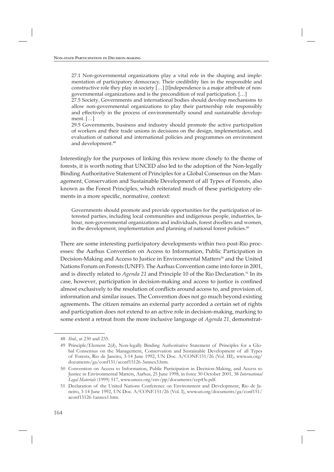27.1 Non-governmental organizations play a vital role in the shaping and implementation of participatory democracy. Their credibility lies in the responsible and constructive role they play in society […] [I]ndependence is a major attribute of nongovernmental organizations and is the precondition of real participation. […]

27.5 Society, Governments and international bodies should develop mechanisms to allow non-governmental organizations to play their partnership role responsibly and effectively in the process of environmentally sound and sustainable development. […]

29.5 Governments, business and industry should promote the active participation of workers and their trade unions in decisions on the design, implementation, and evaluation of national and international policies and programmes on environment and development.48

Interestingly for the purposes of linking this review more closely to the theme of forests, it is worth noting that UNCED also led to the adoption of the Non-legally Binding Authoritative Statement of Principles for a Global Consensus on the Management, Conservation and Sustainable Development of all Types of Forests, also known as the Forest Principles, which reiterated much of these participatory elements in a more specific, normative, context:

Governments should promote and provide opportunities for the participation of interested parties, including local communities and indigenous people, industries, labour, non-governmental organizations and individuals, forest dwellers and women, in the development, implementation and planning of national forest policies.<sup>49</sup>

There are some interesting participatory developments within two post-Rio processes: the Aarhus Convention on Access to Information, Public Participation in Decision-Making and Access to Justice in Environmental Matters<sup>50</sup> and the United Nations Forum on Forests (UNFF). The Aarhus Convention came into force in 2001, and is directly related to *Agenda 21* and Principle 10 of the Rio Declaration.51 In its case, however, participation in decision-making and access to justice is confined almost exclusively to the resolution of conflicts around access to, and provision of, information and similar issues. The Convention does not go much beyond existing agreements. The citizen remains an external party accorded a certain set of rights and participation does not extend to an active role in decision-making, marking to some extent a retreat from the more inclusive language of *Agenda 21*, demonstrat-

<sup>48</sup> *Ibid*., at 230 and 235.

<sup>49</sup> Principle/Element 2(d), Non-legally Binding Authoritative Statement of Principles for a Global Consensus on the Management, Conservation and Sustainable Development of all Types of Forests, Rio de Janeiro, 3-14 June 1992, UN Doc. A/CONF.151/26 (Vol. III), www.un.org/ documents/ga/conf151/aconf15126-3annex3.htm.

<sup>50</sup> Convention on Access to Information, Public Participation in Decision-Making, and Access to Justice in Environmental Matters, Aarhus, 25 June 1998, in force 30 October 2001, 38 *International Legal Materials* (1999) 517, www.unece.org/env/pp/documents/cep43e.pdf.

<sup>51</sup> Declaration of the United Nations Conference on Environment and Development, Rio de Janeiro, 3-14 June 1992, UN Doc. A/CONF.151/26 (Vol. I), www.un.org/documents/ga/conf151/ aconf15126-1annex1.htm.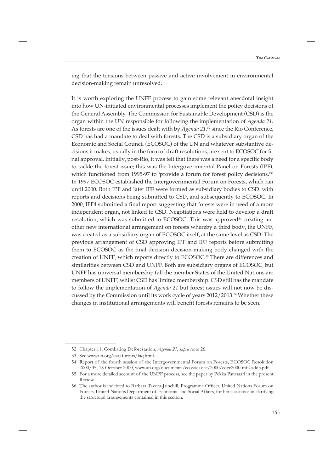ing that the tensions between passive and active involvement in environmental decision-making remain unresolved.

It is worth exploring the UNFF process to gain some relevant anecdotal insight into how UN-initiated environmental processes implement the policy decisions of the General Assembly. The Commission for Sustainable Development (CSD) is the organ within the UN responsible for following the implementation of *Agenda 21*. As forests are one of the issues dealt with by *Agenda* 21,<sup>52</sup> since the Rio Conference, CSD has had a mandate to deal with forests. The CSD is a subsidiary organ of the Economic and Social Council (ECOSOC) of the UN and whatever substantive decisions it makes, usually in the form of draft resolutions, are sent to ECOSOC for final approval. Initially, post-Rio, it was felt that there was a need for a specific body to tackle the forest issue; this was the Intergovernmental Panel on Forests (IPF), which functioned from 1995-97 to 'provide a forum for forest policy decisions.<sup>353</sup> In 1997 ECOSOC established the Intergovernmental Forum on Forests, which ran until 2000. Both IPF and later IFF were formed as subsidiary bodies to CSD, with reports and decisions being submitted to CSD, and subsequently to ECOSOC. In 2000, IFF4 submitted a final report suggesting that forests were in need of a more independent organ, not linked to CSD. Negotiations were held to develop a draft resolution, which was submitted to ECOSOC. This was approved<sup>54</sup> creating another new international arrangement on forests whereby a third body, the UNFF, was created as a subsidiary organ of ECOSOC itself, at the same level as CSD. The previous arrangement of CSD approving IPF and IFF reports before submitting them to ECOSOC as the final decision decision-making body changed with the creation of UNFF, which reports directly to ECOSOC.55 There are differences and similarities between CSD and UNFF. Both are subsidiary organs of ECOSOC, but UNFF has universal membership (all the member States of the United Nations are members of UNFF) whilst CSD has limited membership. CSD still has the mandate to follow the implementation of *Agenda 21* but forest issues will not now be discussed by the Commission until its work cycle of years 2012/2013.56 Whether these changes in institutional arrangements will benefit forests remains to be seen.

<sup>52</sup> Chapter 11, Combating Deforestation, *Agenda 21*, *supra* note 26.

<sup>53</sup> See www.un.org/esa/forests/faq.html.

<sup>54</sup> Report of the fourth session of the Intergovernmental Forum on Forests, ECOSOC Resolution 2000/35, 18 October 2000, www.un.org/documents/ecosoc/dec/2000/edec2000-inf2-add3.pdf.

<sup>55</sup> For a more detailed account of the UNFF process, see the paper by Pekka Patosaari in the present Review.

<sup>56</sup> The author is indebted to Barbara Tavora-Jainchill, Programme Officer, United Nations Forum on Forests, United Nations Department of Economic and Social Affairs, for her assistance in clarifying the structural arrangements contained in this section.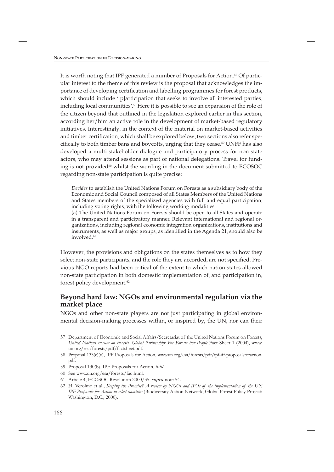It is worth noting that IPF generated a number of Proposals for Action. $57$  Of particular interest to the theme of this review is the proposal that acknowledges the importance of developing certification and labelling programmes for forest products, which should include '[p]articipation that seeks to involve all interested parties, including local communities'. 58 Here it is possible to see an expansion of the role of the citizen beyond that outlined in the legislation explored earlier in this section, according her/him an active role in the development of market-based regulatory initiatives. Interestingly, in the context of the material on market-based activities and timber certification, which shall be explored below, two sections also refer specifically to both timber bans and boycotts, urging that they cease.<sup>59</sup> UNFF has also developed a multi-stakeholder dialogue and participatory process for non-state actors, who may attend sessions as part of national delegations. Travel for funding is not provided $60$  whilst the wording in the document submitted to ECOSOC regarding non-state participation is quite precise:

*Decides* to establish the United Nations Forum on Forests as a subsidiary body of the Economic and Social Council composed of all States Members of the United Nations and States members of the specialized agencies with full and equal participation, including voting rights, with the following working modalities:

(a) The United Nations Forum on Forests should be open to all States and operate in a transparent and participatory manner. Relevant international and regional organizations, including regional economic integration organizations, institutions and instruments, as well as major groups, as identified in the Agenda 21, should also be involved.<sup>61</sup>

However, the provisions and obligations on the states themselves as to how they select non-state participants, and the role they are accorded, are not specified. Previous NGO reports had been critical of the extent to which nation states allowed non-state participation in both domestic implementation of, and participation in, forest policy development.<sup>62</sup>

## **Beyond hard law: NGOs and environmental regulation via the market place**

NGOs and other non-state players are not just participating in global environmental decision-making processes within, or inspired by, the UN, nor can their

<sup>57</sup> Department of Economic and Social Affairs/Secretariat of the United Nations Forum on Forests, *United Nations Forum on Forests. Global Partnership: For Forests For People* Fact Sheet 1 (2004), www. un.org/esa/forests/pdf/factsheet.pdf.

<sup>58</sup> Proposal 133(c)(v), IPF Proposals for Action, www.un.org/esa/forests/pdf/ipf-iff-proposalsforaction. pdf.

<sup>59</sup> Proposal 130(b), IPF Proposals for Action, *ibid*.

<sup>60</sup> See www.un.org/esa/forests/faq.html.

<sup>61</sup> Article 4, ECOSOC Resolution 2000/35, *supra* note 54.

<sup>62</sup> H. Verolme et al., *Keeping the Promise? A review by NGOs and IPOs of the implementation of the UN IPF Proposals for Action in select countries* (Biodiversity Action Network, Global Forest Policy Project: Washington, D.C., 2000).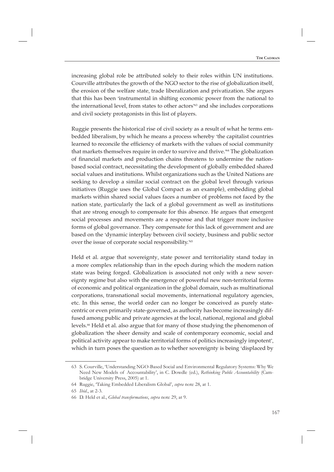increasing global role be attributed solely to their roles within UN institutions. Courville attributes the growth of the NGO sector to the rise of globalization itself, the erosion of the welfare state, trade liberalization and privatization. She argues that this has been 'instrumental in shifting economic power from the national to the international level, from states to other actors' 63 and she includes corporations and civil society protagonists in this list of players.

Ruggie presents the historical rise of civil society as a result of what he terms embedded liberalism, by which he means a process whereby 'the capitalist countries learned to reconcile the efficiency of markets with the values of social community that markets themselves require in order to survive and thrive.' 64 The globalization of financial markets and production chains threatens to undermine the nationbased social contract, necessitating the development of globally embedded shared social values and institutions. Whilst organizations such as the United Nations are seeking to develop a similar social contract on the global level through various initiatives (Ruggie uses the Global Compact as an example), embedding global markets within shared social values faces a number of problems not faced by the nation state, particularly the lack of a global government as well as institutions that are strong enough to compensate for this absence. He argues that emergent social processes and movements are a response and that trigger more inclusive forms of global governance. They compensate for this lack of government and are based on the 'dynamic interplay between civil society, business and public sector over the issue of corporate social responsibility.' 65

Held et al. argue that sovereignty, state power and territoriality stand today in a more complex relationship than in the epoch during which the modern nation state was being forged. Globalization is associated not only with a new sovereignty regime but also with the emergence of powerful new non-territorial forms of economic and political organization in the global domain, such as multinational corporations, transnational social movements, international regulatory agencies, etc. In this sense, the world order can no longer be conceived as purely statecentric or even primarily state-governed, as authority has become increasingly diffused among public and private agencies at the local, national, regional and global levels.<sup>66</sup> Held et al. also argue that for many of those studying the phenomenon of globalization 'the sheer density and scale of contemporary economic, social and political activity appear to make territorial forms of politics increasingly impotent', which in turn poses the question as to whether sovereignty is being 'displaced by

<sup>63</sup> S. Courville, 'Understanding NGO-Based Social and Environmental Regulatory Systems: Why We Need New Models of Accountability', in C. Dowdle (ed.), *Rethinking Public Accountability* (Cambridge University Press, 2005) at 1.

<sup>64</sup> Ruggie, 'Taking Embedded Liberalism Global', *supra* note 28, at 1.

<sup>65</sup> *Ibid*., at 2-3.

<sup>66</sup> D. Held et al., *Global transformations*, *supra* note 29, at 9.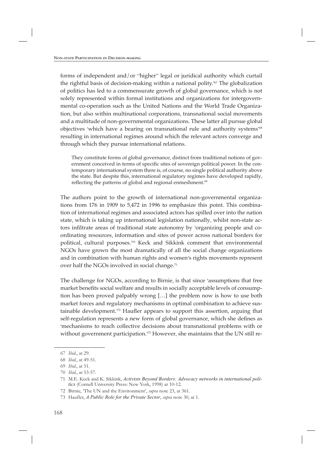forms of independent and/or "higher" legal or juridical authority which curtail the rightful basis of decision-making within a national polity.' 67 The globalization of politics has led to a commensurate growth of global governance, which is not solely represented within formal institutions and organizations for intergovernmental co-operation such as the United Nations and the World Trade Organization, but also within multinational corporations, transnational social movements and a multitude of non-governmental organizations. These latter all pursue global objectives 'which have a bearing on transnational rule and authority systems<sup>768</sup> resulting in international regimes around which the relevant actors converge and through which they pursue international relations.

They constitute forms of global governance, distinct from traditional notions of government conceived in terms of specific sites of sovereign political power. In the contemporary international system there is, of course, no single political authority above the state. But despite this, international regulatory regimes have developed rapidly, reflecting the patterns of global and regional enmeshment.<sup>69</sup>

The authors point to the growth of international non-governmental organizations from 176 in 1909 to 5,472 in 1996 to emphasize this point. This combination of international regimes and associated actors has spilled over into the nation state, which is taking up international legislation nationally, whilst non-state actors infiltrate areas of traditional state autonomy by 'organizing people and coordinating resources, information and sites of power across national borders for political, cultural purposes.' 70 Keck and Sikkink comment that environmental NGOs have grown the most dramatically of all the social change organizations and in combination with human rights and women's rights movements represent over half the NGOs involved in social change.<sup>71</sup>

The challenge for NGOs, according to Birnie, is that since 'assumptions that free market benefits social welfare and results in socially acceptable levels of consumption has been proved palpably wrong […] the problem now is how to use both market forces and regulatory mechanisms in optimal combination to achieve sustainable development.<sup>72</sup> Haufler appears to support this assertion, arguing that self-regulation represents a new form of global governance, which she defines as 'mechanisms to reach collective decisions about transnational problems with or without government participation.' 73 However, she maintains that the UN still re-

<sup>67</sup> *Ibid*., at 29.

<sup>68</sup> *Ibid*., at 49-51.

<sup>69</sup> *Ibid*., at 51.

<sup>70</sup> *Ibid*., at 53-57.

<sup>71</sup> M.E. Keck and K. Sikkink, *Activists Beyond Borders: Advocacy networks in international politics* (Cornell University Press: New York, 1998) at 10-12.

<sup>72</sup> Birnie, 'The UN and the Environment', *supra* note 23, at 361.

<sup>73</sup> Haufler, *A Public Role for the Private Sector*, *supra* note 30, at 1.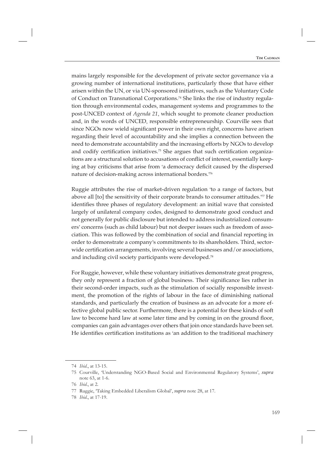mains largely responsible for the development of private sector governance via a growing number of international institutions, particularly those that have either arisen within the UN, or via UN-sponsored initiatives, such as the Voluntary Code of Conduct on Transnational Corporations.74 She links the rise of industry regulation through environmental codes, management systems and programmes to the post-UNCED context of *Agenda 21*, which sought to promote cleaner production and, in the words of UNCED, responsible entrepreneurship. Courville sees that since NGOs now wield significant power in their own right, concerns have arisen regarding their level of accountability and she implies a connection between the need to demonstrate accountability and the increasing efforts by NGOs to develop and codify certification initiatives.<sup>75</sup> She argues that such certification organizations are a structural solution to accusations of conflict of interest, essentially keeping at bay criticisms that arise from 'a democracy deficit caused by the dispersed nature of decision-making across international borders.<sup>776</sup>

Ruggie attributes the rise of market-driven regulation 'to a range of factors, but above all [to] the sensitivity of their corporate brands to consumer attitudes.' 77 He identifies three phases of regulatory development: an initial wave that consisted largely of unilateral company codes, designed to demonstrate good conduct and not generally for public disclosure but intended to address industrialized consumers' concerns (such as child labour) but not deeper issues such as freedom of association. This was followed by the combination of social and financial reporting in order to demonstrate a company's commitments to its shareholders. Third, sectorwide certification arrangements, involving several businesses and/or associations, and including civil society participants were developed.<sup>78</sup>

For Ruggie, however, while these voluntary initiatives demonstrate great progress, they only represent a fraction of global business. Their significance lies rather in their second-order impacts, such as the stimulation of socially responsible investment, the promotion of the rights of labour in the face of diminishing national standards, and particularly the creation of business as an advocate for a more effective global public sector. Furthermore, there is a potential for these kinds of soft law to become hard law at some later time and by coming in on the ground floor, companies can gain advantages over others that join once standards have been set. He identifies certification institutions as 'an addition to the traditional machinery

78 *Ibid*., at 17-19.

<sup>74</sup> *Ibid*., at 13-15.

<sup>75</sup> Courville, 'Understanding NGO-Based Social and Environmental Regulatory Systems', *supra* note 63, at 1-6.

<sup>76</sup> *Ibid*., at 2.

<sup>77</sup> Ruggie, 'Taking Embedded Liberalism Global', *supra* note 28, at 17.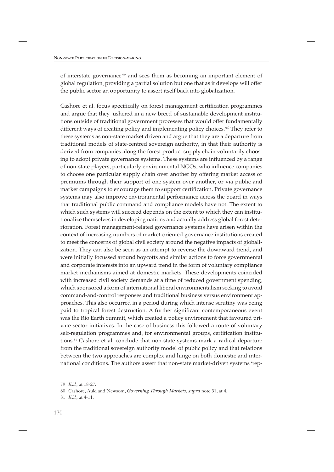of interstate governance' 79 and sees them as becoming an important element of global regulation, providing a partial solution but one that as it develops will offer the public sector an opportunity to assert itself back into globalization.

Cashore et al. focus specifically on forest management certification programmes and argue that they 'ushered in a new breed of sustainable development institutions outside of traditional government processes that would offer fundamentally different ways of creating policy and implementing policy choices.' 80 They refer to these systems as non-state market driven and argue that they are a departure from traditional models of state-centred sovereign authority, in that their authority is derived from companies along the forest product supply chain voluntarily choosing to adopt private governance systems. These systems are influenced by a range of non-state players, particularly environmental NGOs, who influence companies to choose one particular supply chain over another by offering market access or premiums through their support of one system over another, or via public and market campaigns to encourage them to support certification. Private governance systems may also improve environmental performance across the board in ways that traditional public command and compliance models have not. The extent to which such systems will succeed depends on the extent to which they can institutionalize themselves in developing nations and actually address global forest deterioration. Forest management-related governance systems have arisen within the context of increasing numbers of market-oriented governance institutions created to meet the concerns of global civil society around the negative impacts of globalization. They can also be seen as an attempt to reverse the downward trend, and were initially focussed around boycotts and similar actions to force governmental and corporate interests into an upward trend in the form of voluntary compliance market mechanisms aimed at domestic markets. These developments coincided with increased civil society demands at a time of reduced government spending, which sponsored a form of international liberal environmentalism seeking to avoid command-and-control responses and traditional business versus environment approaches. This also occurred in a period during which intense scrutiny was being paid to tropical forest destruction. A further significant contemporaneous event was the Rio Earth Summit, which created a policy environment that favoured private sector initiatives. In the case of business this followed a route of voluntary self-regulation programmes and, for environmental groups, certification institutions.81 Cashore et al. conclude that non-state systems mark a radical departure from the traditional sovereign authority model of public policy and that relations between the two approaches are complex and hinge on both domestic and international conditions. The authors assert that non-state market-driven systems 'rep-

<sup>79</sup> *Ibid*., at 18-27.

<sup>80</sup> Cashore, Auld and Newsom, *Governing Through Markets*, *supra* note 31, at 4.

<sup>81</sup> *Ibid*., at 4-11.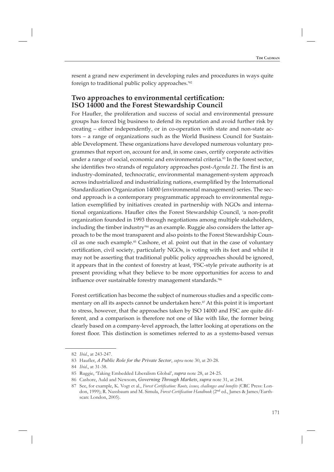resent a grand new experiment in developing rules and procedures in ways quite foreign to traditional public policy approaches.' 82

### Two approaches to environmental certification: **ISO 14000 and the Forest Stewardship Council**

For Haufler, the proliferation and success of social and environmental pressure groups has forced big business to defend its reputation and avoid further risk by creating – either independently, or in co-operation with state and non-state actors – a range of organizations such as the World Business Council for Sustainable Development. These organizations have developed numerous voluntary programmes that report on, account for and, in some cases, certify corporate activities under a range of social, economic and environmental criteria.<sup>83</sup> In the forest sector, she identifies two strands of regulatory approaches post-*Agenda 21*. The first is an industry-dominated, technocratic, environmental management-system approach across industrialized and industrializing nations, exemplified by the International Standardization Organization 14000 (environmental management) series. The second approach is a contemporary programmatic approach to environmental regulation exemplified by initiatives created in partnership with NGOs and international organizations. Haufler cites the Forest Stewardship Council, 'a non-profit organization founded in 1993 through negotiations among multiple stakeholders, including the timber industry' 84 as an example. Ruggie also considers the latter approach to be the most transparent and also points to the Forest Stewardship Council as one such example. $85$  Cashore, et al. point out that in the case of voluntary certification, civil society, particularly NGOs, is voting with its feet and whilst it may not be asserting that traditional public policy approaches should be ignored, it appears that in the context of forestry at least, 'FSC-style private authority is at present providing what they believe to be more opportunities for access to and influence over sustainable forestry management standards.<sup>366</sup>

Forest certification has become the subject of numerous studies and a specific commentary on all its aspects cannot be undertaken here.<sup>87</sup> At this point it is important to stress, however, that the approaches taken by ISO 14000 and FSC are quite different, and a comparison is therefore not one of like with like, the former being clearly based on a company-level approach, the latter looking at operations on the forest floor. This distinction is sometimes referred to as a systems-based versus

<sup>82</sup> *Ibid*., at 243-247.

<sup>83</sup> Haufler, *A Public Role for the Private Sector*, *supra* note 30, at 20-28.

<sup>84</sup> *Ibid*., at 31-38.

<sup>85</sup> Ruggie, 'Taking Embedded Liberalism Global', *supra* note 28, at 24-25.

<sup>86</sup> Cashore, Auld and Newsom, *Governing Through Markets*, *supra* note 31, at 244.

<sup>87</sup> See, for example, K. Vogt et al., *Forest Certification: Roots, issues, challenges and benefits* (CRC Press: London, 1999); R. Nussbaum and M. Simula, *Forest Certification Handbook* (2<sup>nd</sup> ed., James & James/Earthscan: London, 2005).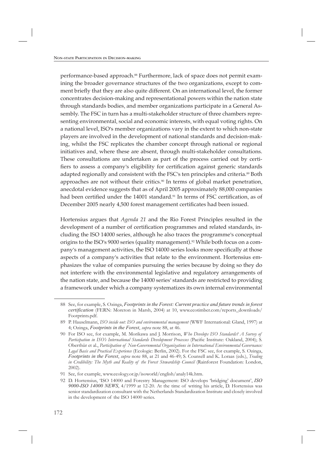performance-based approach.<sup>88</sup> Furthermore, lack of space does not permit examining the broader governance structures of the two organizations, except to comment briefly that they are also quite different. On an international level, the former concentrates decision-making and representational powers within the nation state through standards bodies, and member organizations participate in a General Assembly. The FSC in turn has a multi-stakeholder structure of three chambers representing environmental, social and economic interests, with equal voting rights. On a national level, ISO's member organizations vary in the extent to which non-state players are involved in the development of national standards and decision-making, whilst the FSC replicates the chamber concept through national or regional initiatives and, where these are absent, through multi-stakeholder consultations. These consultations are undertaken as part of the process carried out by certifiers to assess a company's eligibility for certification against generic standards adapted regionally and consistent with the FSC's ten principles and criteria.<sup>89</sup> Both approaches are not without their critics. $90$  In terms of global market penetration, anecdotal evidence suggests that as of April 2005 approximately 88,000 companies had been certified under the 14001 standard.<sup>91</sup> In terms of FSC certification, as of December 2005 nearly 4,500 forest management certificates had been issued.

Hortensius argues that *Agenda 21* and the Rio Forest Principles resulted in the development of a number of certification programmes and related standards, including the ISO 14000 series, although he also traces the programme's conceptual origins to the ISO's 9000 series (quality management).<sup>92</sup> While both focus on a company's management activities, the ISO 14000 series looks more specifically at those aspects of a company's activities that relate to the environment. Hortensius emphasizes the value of companies pursuing the series because by doing so they do not interfere with the environmental legislative and regulatory arrangements of the nation state, and because the 14000 series' standards are restricted to providing a framework under which a company systematizes its own internal environmental

<sup>88</sup> See, for example, S. Ozinga, *Footprints in the Forest: Current practice and future trends in forest certification* (FERN: Moreton in Marsh, 2004) at 10, www.ecotimber.com/reports\_downloads/ Footprints.pdf.

<sup>89</sup> P. Hauselmann, *ISO inside out: ISO and environmental management* (WWF International: Gland, 1997) at 4; Ozinga, *Footprints in the Forest*, *supra* note 88, at 46.

<sup>90</sup> For ISO see, for example, M. Morikawa and J. Morrison, *Who Develops ISO Standards? A Survey of*  Participation in ISO's International Standards Development Processes (Pacific Institute: Oakland, 2004); S. Oberthür et al., *Participation of Non-Governmental Organizations in International Environmental Governance: Legal Basis and Practical Experience* (Ecologic: Berlin, 2002). For the FSC see, for example, S. Ozinga, *Footprints in the Forest*, *supra* note 88, at 21 and 46-49; S. Counsell and K. Loraas (eds.), *Trading in Credibility: The Myth and Reality of the Forest Stewardship Council* (Rainforest Foundation: London, 2002).

<sup>91</sup> See, for example, www.ecology.or.jp/isoworld/english/analy14k.htm.

<sup>92</sup> D. Hortensius, 'ISO 14000 and Forestry Management: ISO develops 'bridging' document', *ISO 9000-ISO 14000 NEWS*, 4/1999 at 12-20. At the time of writing his article, D. Hortensius was senior standardization consultant with the Netherlands Standardization Institute and closely involved in the development of the ISO 14000 series.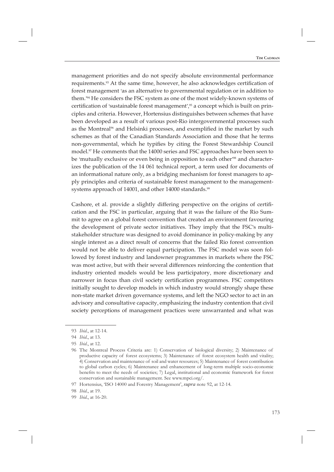management priorities and do not specify absolute environmental performance requirements.<sup>93</sup> At the same time, however, he also acknowledges certification of forest management 'as an alternative to governmental regulation or in addition to them.' 94 He considers the FSC system as one of the most widely-known systems of certification of 'sustainable forest management',<sup>95</sup> a concept which is built on principles and criteria. However, Hortensius distinguishes between schemes that have been developed as a result of various post-Rio intergovernmental processes such as the Montreal<sup>96</sup> and Helsinki processes, and exemplified in the market by such schemes as that of the Canadian Standards Association and those that he terms non-governmental, which he typifies by citing the Forest Stewardship Council model.97 He comments that the 14000 series and FSC approaches have been seen to be 'mutually exclusive or even being in opposition to each other' 98 and characterizes the publication of the 14 061 technical report, a term used for documents of an informational nature only, as a bridging mechanism for forest managers to apply principles and criteria of sustainable forest management to the managementsystems approach of 14001, and other 14000 standards.<sup>99</sup>

Cashore, et al. provide a slightly differing perspective on the origins of certification and the FSC in particular, arguing that it was the failure of the Rio Summit to agree on a global forest convention that created an environment favouring the development of private sector initiatives. They imply that the FSC's multistakeholder structure was designed to avoid dominance in policy-making by any single interest as a direct result of concerns that the failed Rio forest convention would not be able to deliver equal participation. The FSC model was soon followed by forest industry and landowner programmes in markets where the FSC was most active, but with their several differences reinforcing the contention that industry oriented models would be less participatory, more discretionary and narrower in focus than civil society certification programmes. FSC competitors initially sought to develop models in which industry would strongly shape these non-state market driven governance systems, and left the NGO sector to act in an advisory and consultative capacity, emphasizing the industry contention that civil society perceptions of management practices were unwarranted and what was

<sup>93</sup> *Ibid*., at 12-14.

<sup>94</sup> *Ibid*., at 13.

<sup>95</sup> *Ibid*., at 12.

<sup>96</sup> The Montreal Process Criteria are: 1) Conservation of biological diversity; 2) Maintenance of productive capacity of forest ecosystems; 3) Maintenance of forest ecosystem health and vitality; 4) Conservation and maintenance of soil and water resources; 5) Maintenance of forest contribution to global carbon cycles; 6) Maintenance and enhancement of long-term multiple socio-economic benefits to meet the needs of societies; 7) Legal, institutional and economic framework for forest conservation and sustainable management. See www.mpci.org/.

<sup>97</sup> Hortensius, 'ISO 14000 and Forestry Management', *supra* note 92, at 12-14.

<sup>98</sup> *Ibid*., at 19.

<sup>99</sup> *Ibid*., at 16-20.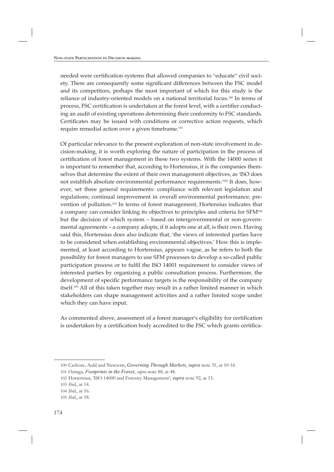needed were certification systems that allowed companies to "educate" civil society. There are consequently some significant differences between the FSC model and its competitors, perhaps the most important of which for this study is the reliance of industry-oriented models on a national territorial focus.100 In terms of process, FSC certification is undertaken at the forest level, with a certifier conducting an audit of existing operations determining their conformity to FSC standards. Certificates may be issued with conditions or corrective action requests, which require remedial action over a given timeframe.<sup>101</sup>

Of particular relevance to the present exploration of non-state involvement in decision-making, it is worth exploring the nature of participation in the process of certification of forest management in these two systems. With the 14000 series it is important to remember that, according to Hortensius, it is the companies themselves that determine the extent of their own management objectives, as 'ISO does not establish absolute environmental performance requirements.' 102 It does, however, set three general requirements: compliance with relevant legislation and regulations; continual improvement in overall environmental performance; prevention of pollution.103 In terms of forest management, Hortensius indicates that a company can consider linking its objectives to principles and criteria for SFM104 but the decision of which system – based on intergovernmental or non-governmental agreements – a company adopts, if it adopts one at all, is their own. Having said this, Hortensius does also indicate that, 'the views of interested parties have to be considered when establishing environmental objectives.' How this is implemented, at least according to Hortensius, appears vague, as he refers to both the possibility for forest managers to use SFM processes to develop a so-called public participation process or to fulfil the ISO 14001 requirement to consider views of interested parties by organizing a public consultation process. Furthermore, the development of specific performance targets is the responsibility of the company itself.105 All of this taken together may result in a rather limited manner in which stakeholders can shape management activities and a rather limited scope under which they can have input.

As commented above, assessment of a forest manager's eligibility for certification is undertaken by a certification body accredited to the FSC which grants certifica-

<sup>100</sup> Cashore, Auld and Newsom, *Governing Through Markets*, *supra* note 31, at 10-16.

<sup>101</sup> Ozinga, *Footprints in the Forest*, *supra* note 88, at 48.

<sup>102</sup> Hortensius, 'ISO 14000 and Forestry Management', *supra* note 92, at 15.

<sup>103</sup> *Ibid*., at 14.

<sup>104</sup> *Ibid*., at 16.

<sup>105</sup> *Ibid*., at 18.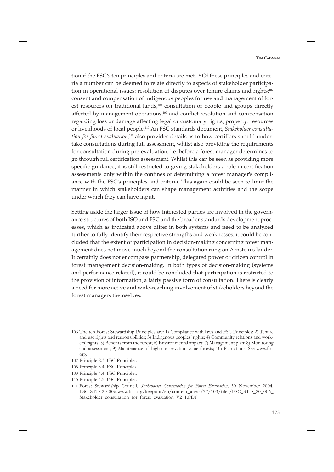**Tim Cadman**

tion if the FSC's ten principles and criteria are met.106 Of these principles and criteria a number can be deemed to relate directly to aspects of stakeholder participation in operational issues: resolution of disputes over tenure claims and rights; $^{107}$ consent and compensation of indigenous peoples for use and management of forest resources on traditional lands;<sup>108</sup> consultation of people and groups directly affected by management operations;<sup>109</sup> and conflict resolution and compensation regarding loss or damage affecting legal or customary rights, property, resources or livelihoods of local people.110 An FSC standards document, *Stakeholder consultation for forest evaluation*,<sup>111</sup> also provides details as to how certifiers should undertake consultations during full assessment, whilst also providing the requirements for consultation during pre-evaluation, i.e. before a forest manager determines to go through full certification assessment. Whilst this can be seen as providing more specific guidance, it is still restricted to giving stakeholders a role in certification assessments only within the confines of determining a forest manager's compliance with the FSC's principles and criteria. This again could be seen to limit the manner in which stakeholders can shape management activities and the scope under which they can have input.

Setting aside the larger issue of how interested parties are involved in the governance structures of both ISO and FSC and the broader standards development processes, which as indicated above differ in both systems and need to be analyzed further to fully identify their respective strengths and weaknesses, it could be concluded that the extent of participation in decision-making concerning forest management does not move much beyond the consultation rung on Arnstein's ladder. It certainly does not encompass partnership, delegated power or citizen control in forest management decision-making. In both types of decision-making (systems and performance related), it could be concluded that participation is restricted to the provision of information, a fairly passive form of consultation. There is clearly a need for more active and wide-reaching involvement of stakeholders beyond the forest managers themselves.

<sup>106</sup> The ten Forest Stewardship Principles are: 1) Compliance with laws and FSC Principles; 2) Tenure and use rights and responsibilities; 3) Indigenous peoples' rights; 4) Community relations and workers' rights; 5) Benefits from the forest; 6) Environmental impact; 7) Management plan; 8) Monitoring and assessment; 9) Maintenance of high conservation value forests; 10) Plantations. See www.fsc. org.

<sup>107</sup> Principle 2.3, FSC Principles.

<sup>108</sup> Principle 3.4, FSC Principles.

<sup>109</sup> Principle 4.4, FSC Principles.

<sup>110</sup> Principle 4.5, FSC Principles.

<sup>111</sup> Forest Stewardship Council, *Stakeholder Consultation for Forest Evaluation*, 30 November 2004, FSC-STD-20-006,www.fsc.org/keepout/en/content\_areas/77/103/files/FSC\_STD\_20\_006\_ Stakeholder\_consultation\_for\_forest\_evaluation\_V2\_1.PDF.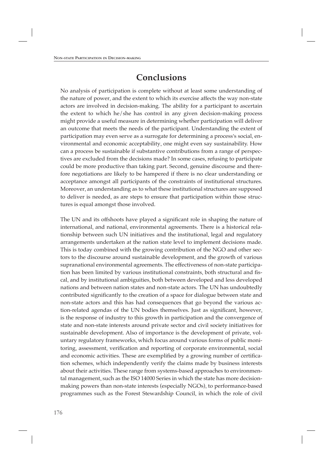## **Conclusions**

No analysis of participation is complete without at least some understanding of the nature of power, and the extent to which its exercise affects the way non-state actors are involved in decision-making. The ability for a participant to ascertain the extent to which he/she has control in any given decision-making process might provide a useful measure in determining whether participation will deliver an outcome that meets the needs of the participant. Understanding the extent of participation may even serve as a surrogate for determining a process's social, environmental and economic acceptability, one might even say sustainability. How can a process be sustainable if substantive contributions from a range of perspectives are excluded from the decisions made? In some cases, refusing to participate could be more productive than taking part. Second, genuine discourse and therefore negotiations are likely to be hampered if there is no clear understanding or acceptance amongst all participants of the constraints of institutional structures. Moreover, an understanding as to what these institutional structures are supposed to deliver is needed, as are steps to ensure that participation within those structures is equal amongst those involved.

The UN and its offshoots have played a significant role in shaping the nature of international, and national, environmental agreements. There is a historical relationship between such UN initiatives and the institutional, legal and regulatory arrangements undertaken at the nation state level to implement decisions made. This is today combined with the growing contribution of the NGO and other sectors to the discourse around sustainable development, and the growth of various supranational environmental agreements. The effectiveness of non-state participation has been limited by various institutional constraints, both structural and fiscal, and by institutional ambiguities, both between developed and less developed nations and between nation states and non-state actors. The UN has undoubtedly contributed significantly to the creation of a space for dialogue between state and non-state actors and this has had consequences that go beyond the various action-related agendas of the UN bodies themselves. Just as significant, however, is the response of industry to this growth in participation and the convergence of state and non-state interests around private sector and civil society initiatives for sustainable development. Also of importance is the development of private, voluntary regulatory frameworks, which focus around various forms of public monitoring, assessment, verification and reporting of corporate environmental, social and economic activities. These are exemplified by a growing number of certification schemes, which independently verify the claims made by business interests about their activities. These range from systems-based approaches to environmental management, such as the ISO 14000 Series in which the state has more decisionmaking powers than non-state interests (especially NGOs), to performance-based programmes such as the Forest Stewardship Council, in which the role of civil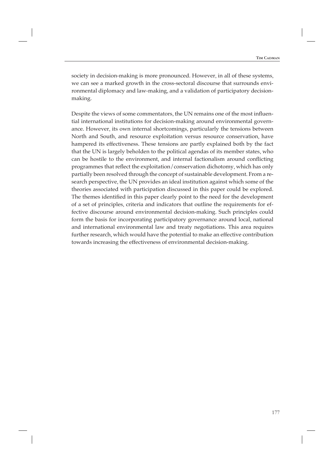society in decision-making is more pronounced. However, in all of these systems, we can see a marked growth in the cross-sectoral discourse that surrounds environmental diplomacy and law-making, and a validation of participatory decisionmaking.

Despite the views of some commentators, the UN remains one of the most influential international institutions for decision-making around environmental governance. However, its own internal shortcomings, particularly the tensions between North and South, and resource exploitation versus resource conservation, have hampered its effectiveness. These tensions are partly explained both by the fact that the UN is largely beholden to the political agendas of its member states, who can be hostile to the environment, and internal factionalism around conflicting programmes that reflect the exploitation/conservation dichotomy, which has only partially been resolved through the concept of sustainable development. From a research perspective, the UN provides an ideal institution against which some of the theories associated with participation discussed in this paper could be explored. The themes identified in this paper clearly point to the need for the development of a set of principles, criteria and indicators that outline the requirements for effective discourse around environmental decision-making. Such principles could form the basis for incorporating participatory governance around local, national and international environmental law and treaty negotiations. This area requires further research, which would have the potential to make an effective contribution towards increasing the effectiveness of environmental decision-making.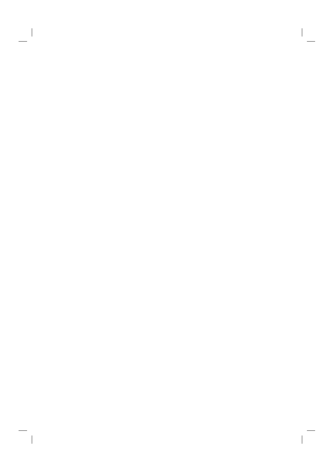$\frac{1}{\sqrt{2}} \int_{-\infty}^{\infty} \frac{1}{\sqrt{2}} \, d \mu \, d \mu$  $\frac{1}{2}$  $\begin{array}{c} - \\ | \end{array}$  $\frac{1}{\sqrt{2}}$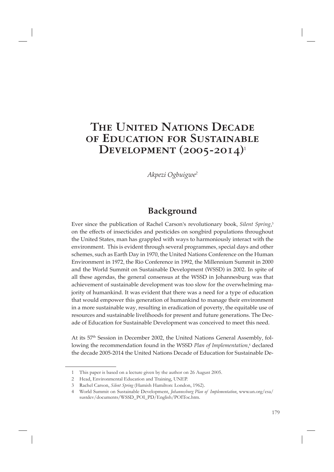# **The United Nations Decade of Education for Sustainable Development (2005-2014)**<sup>1</sup>

*Akpezi Ogbuigwe2*

#### **Background**

Ever since the publication of Rachel Carson's revolutionary book, *Silent Spring*, 3 on the effects of insecticides and pesticides on songbird populations throughout the United States, man has grappled with ways to harmoniously interact with the environment. This is evident through several programmes, special days and other schemes, such as Earth Day in 1970, the United Nations Conference on the Human Environment in 1972, the Rio Conference in 1992, the Millennium Summit in 2000 and the World Summit on Sustainable Development (WSSD) in 2002. In spite of all these agendas, the general consensus at the WSSD in Johannesburg was that achievement of sustainable development was too slow for the overwhelming majority of humankind. It was evident that there was a need for a type of education that would empower this generation of humankind to manage their environment in a more sustainable way, resulting in eradication of poverty, the equitable use of resources and sustainable livelihoods for present and future generations. The Decade of Education for Sustainable Development was conceived to meet this need.

At its 57th Session in December 2002, the United Nations General Assembly, following the recommendation found in the WSSD Plan of Implementation,<sup>4</sup> declared the decade 2005-2014 the United Nations Decade of Education for Sustainable De-

<sup>1</sup> This paper is based on a lecture given by the author on 26 August 2005.

<sup>2</sup> Head, Environmental Education and Training, UNEP.

<sup>3</sup> Rachel Carson, *Silent Spring* (Hamish Hamilton: London, 1962).

<sup>4</sup> World Summit on Sustainable Development, *Johannesburg Plan of Implementation*, www.un.org/esa/ sustdev/documents/WSSD\_POI\_PD/English/POIToc.htm.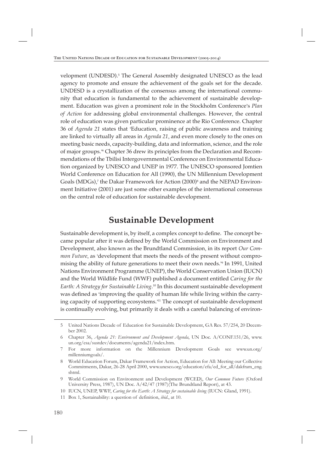velopment (UNDESD).<sup>5</sup> The General Assembly designated UNESCO as the lead agency to promote and ensure the achievement of the goals set for the decade. UNDESD is a crystallization of the consensus among the international community that education is fundamental to the achievement of sustainable development. Education was given a prominent role in the Stockholm Conference's *Plan of Action* for addressing global environmental challenges. However, the central role of education was given particular prominence at the Rio Conference. Chapter 36 of *Agenda 21* states that 'Education, raising of public awareness and training are linked to virtually all areas in *Agenda 21*, and even more closely to the ones on meeting basic needs, capacity-building, data and information, science, and the role of major groups.' 6 Chapter 36 drew its principles from the Declaration and Recommendations of the Tbilisi Intergovernmental Conference on Environmental Education organized by UNESCO and UNEP in 1977. The UNESCO sponsored Jomtien World Conference on Education for All (1990), the UN Millennium Development Goals (MDGs),<sup>7</sup> the Dakar Framework for Action (2000)<sup>8</sup> and the NEPAD Environment Initiative (2001) are just some other examples of the international consensus on the central role of education for sustainable development.

#### **Sustainable Development**

Sustainable development is, by itself, a complex concept to define. The concept became popular after it was defined by the World Commission on Environment and Development, also known as the Brundtland Commission, in its report *Our Common Future*, as 'development that meets the needs of the present without compromising the ability of future generations to meet their own needs.<sup>39</sup> In 1991, United Nations Environment Programme (UNEP), the World Conservation Union (IUCN) and the World Wildlife Fund (WWF) published a document entitled *Caring for the Earth: A Strategy for Sustainable Living*. 10 In this document sustainable development was defined as 'improving the quality of human life while living within the carrying capacity of supporting ecosystems.' 11 The concept of sustainable development is continually evolving, but primarily it deals with a careful balancing of environ-

<sup>5</sup> United Nations Decade of Education for Sustainable Development, GA Res. 57/254, 20 December 2002.

<sup>6</sup> Chapter 36, *Agenda 21: Environment and Development Agenda*, UN Doc. A/CONF.151/26, www. un.org/esa/sustdev/documents/agenda21/index.htm.

<sup>7</sup> For more information on the Millennium Development Goals see www.un.org/ millenniumgoals/.

<sup>8</sup> World Education Forum, Dakar Framework for Action, Education for All: Meeting our Collective Commitments, Dakar, 26-28 April 2000, www.unesco.org/education/efa/ed\_for\_all/dakfram\_eng. shtml.

<sup>9</sup> World Commission on Environment and Development (WCED), *Our Common Future* (Oxford University Press, 1987), UN Doc. A/42/47 (1987)(The Brundtland Report), at 43.

<sup>10</sup> IUCN, UNEP, WWF, *Caring for the Earth: A Strategy for sustainable living* (IUCN: Gland, 1991).

<sup>11</sup> Box 1, Sustainability: a question of definition, *ibid*., at 10.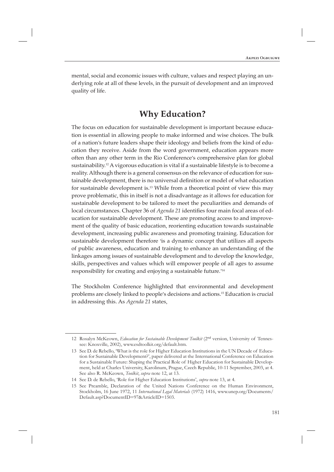mental, social and economic issues with culture, values and respect playing an underlying role at all of these levels, in the pursuit of development and an improved quality of life.

#### **Why Education?**

The focus on education for sustainable development is important because education is essential in allowing people to make informed and wise choices. The bulk of a nation's future leaders shape their ideology and beliefs from the kind of education they receive. Aside from the word government, education appears more often than any other term in the Rio Conference's comprehensive plan for global sustainability.<sup>12</sup> A vigorous education is vital if a sustainable lifestyle is to become a reality. Although there is a general consensus on the relevance of education for sustainable development, there is no universal definition or model of what education for sustainable development is.13 While from a theoretical point of view this may prove problematic, this in itself is not a disadvantage as it allows for education for sustainable development to be tailored to meet the peculiarities and demands of local circumstances. Chapter 36 of *Agenda 21* identifies four main focal areas of education for sustainable development. These are promoting access to and improvement of the quality of basic education, reorienting education towards sustainable development, increasing public awareness and promoting training. Education for sustainable development therefore 'is a dynamic concept that utilizes all aspects of public awareness, education and training to enhance an understanding of the linkages among issues of sustainable development and to develop the knowledge, skills, perspectives and values which will empower people of all ages to assume responsibility for creating and enjoying a sustainable future.' 14

The Stockholm Conference highlighted that environmental and development problems are closely linked to people's decisions and actions.15 Education is crucial in addressing this. As *Agenda 21* states,

<sup>12</sup> Rosalyn McKeown, *Education for Sustainable Development Toolkit* (2nd version, University of Tennessee: Knoxville, 2002), www.esdtoolkit.org/default.htm.

<sup>13</sup> See D. de Rebello, 'What is the role for Higher Education Institutions in the UN Decade of Education for Sustainable Development?', paper delivered at the International Conference on Education for a Sustainable Future: Shaping the Practical Role of Higher Education for Sustainable Development, held at Charles University, Karolinum, Prague, Czech Republic, 10-11 September, 2003, at 4. See also R. McKeown, *Toolkit*, *supra* note 12, at 13.

<sup>14</sup> See D. de Rebello, 'Role for Higher Education Institutions', *supra* note 13, at 4.

<sup>15</sup> See Preamble, Declaration of the United Nations Conference on the Human Environment, Stockholm, 16 June 1972, 11 *International Legal Materials* (1972) 1416, www.unep.org/Documents/ Default.asp?DocumentID=97&ArticleID=1503.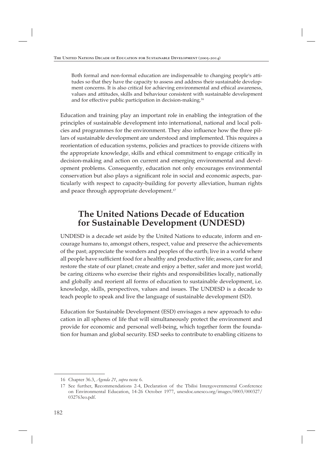Both formal and non-formal education are indispensable to changing people's attitudes so that they have the capacity to assess and address their sustainable development concerns. It is also critical for achieving environmental and ethical awareness, values and attitudes, skills and behaviour consistent with sustainable development and for effective public participation in decision-making.<sup>16</sup>

Education and training play an important role in enabling the integration of the principles of sustainable development into international, national and local policies and programmes for the environment. They also influence how the three pillars of sustainable development are understood and implemented. This requires a reorientation of education systems, policies and practices to provide citizens with the appropriate knowledge, skills and ethical commitment to engage critically in decision-making and action on current and emerging environmental and development problems. Consequently, education not only encourages environmental conservation but also plays a significant role in social and economic aspects, particularly with respect to capacity-building for poverty alleviation, human rights and peace through appropriate development.<sup>17</sup>

#### **The United Nations Decade of Education for Sustainable Development (UNDESD)**

UNDESD is a decade set aside by the United Nations to educate, inform and encourage humans to, amongst others, respect, value and preserve the achievements of the past; appreciate the wonders and peoples of the earth; live in a world where all people have sufficient food for a healthy and productive life; assess, care for and restore the state of our planet; create and enjoy a better, safer and more just world; be caring citizens who exercise their rights and responsibilities locally, nationally and globally and reorient all forms of education to sustainable development, i.e. knowledge, skills, perspectives, values and issues. The UNDESD is a decade to teach people to speak and live the language of sustainable development (SD).

Education for Sustainable Development (ESD) envisages a new approach to education in all spheres of life that will simultaneously protect the environment and provide for economic and personal well-being, which together form the foundation for human and global security. ESD seeks to contribute to enabling citizens to

<sup>16</sup> Chapter 36.3, *Agenda 21*, *supra* note 6.

<sup>17</sup> See further, Recommendations 2-4, Declaration of the Tbilisi Intergovernmental Conference on Environmental Education, 14-26 October 1977, unesdoc.unesco.org/images/0003/000327/ 032763eo.pdf.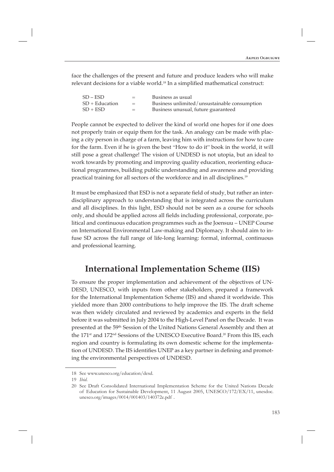face the challenges of the present and future and produce leaders who will make relevant decisions for a viable world.<sup>18</sup> In a simplified mathematical construct:

| $SD - ESD$       | $=$ | Business as usual                            |
|------------------|-----|----------------------------------------------|
| $SD + Education$ | $=$ | Business unlimited/unsustainable consumption |
| $SD + ESD$       | $=$ | Business unusual, future guaranteed          |

People cannot be expected to deliver the kind of world one hopes for if one does not properly train or equip them for the task. An analogy can be made with placing a city person in charge of a farm, leaving him with instructions for how to care for the farm. Even if he is given the best "How to do it" book in the world, it will still pose a great challenge! The vision of UNDESD is not utopia, but an ideal to work towards by promoting and improving quality education, reorienting educational programmes, building public understanding and awareness and providing practical training for all sectors of the workforce and in all disciplines.<sup>19</sup>

It must be emphasized that ESD is not a separate field of study, but rather an interdisciplinary approach to understanding that is integrated across the curriculum and all disciplines. In this light, ESD should not be seen as a course for schools only, and should be applied across all fields including professional, corporate, political and continuous education programmes such as the Joensuu – UNEP Course on International Environmental Law-making and Diplomacy. It should aim to infuse SD across the full range of life-long learning: formal, informal, continuous and professional learning.

# **International Implementation Scheme (IIS)**

To ensure the proper implementation and achievement of the objectives of UN-DESD, UNESCO, with inputs from other stakeholders, prepared a framework for the International Implementation Scheme (IIS) and shared it worldwide. This yielded more than 2000 contributions to help improve the IIS. The draft scheme was then widely circulated and reviewed by academics and experts in the field before it was submitted in July 2004 to the High-Level Panel on the Decade. It was presented at the 59<sup>th</sup> Session of the United Nations General Assembly and then at the 171<sup>st</sup> and 172<sup>nd</sup> Sessions of the UNESCO Executive Board.<sup>20</sup> From this IIS, each region and country is formulating its own domestic scheme for the implementation of UNDESD. The IIS identifies UNEP as a key partner in defining and promoting the environmental perspectives of UNDESD.

<sup>18</sup> See www.unesco.org/education/desd.

<sup>19</sup> *Ibid*.

<sup>20</sup> See Draft Consolidated International Implementation Scheme for the United Nations Decade of Education for Sustainable Development, 11 August 2005, UNESCO/172/EX/11, unesdoc. unesco.org/images/0014/001403/140372e.pdf .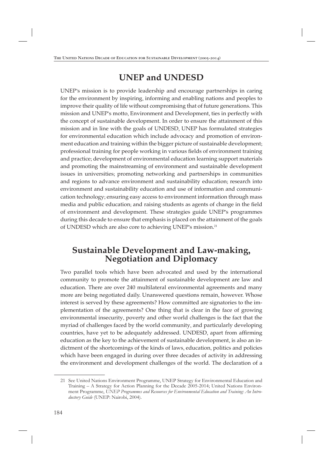## **UNEP and UNDESD**

UNEP's mission is to provide leadership and encourage partnerships in caring for the environment by inspiring, informing and enabling nations and peoples to improve their quality of life without compromising that of future generations. This mission and UNEP's motto, Environment and Development, ties in perfectly with the concept of sustainable development. In order to ensure the attainment of this mission and in line with the goals of UNDESD, UNEP has formulated strategies for environmental education which include advocacy and promotion of environment education and training within the bigger picture of sustainable development; professional training for people working in various fields of environment training and practice; development of environmental education learning support materials and promoting the mainstreaming of environment and sustainable development issues in universities; promoting networking and partnerships in communities and regions to advance environment and sustainability education; research into environment and sustainability education and use of information and communication technology; ensuring easy access to environment information through mass media and public education; and raising students as agents of change in the field of environment and development. These strategies guide UNEP's programmes during this decade to ensure that emphasis is placed on the attainment of the goals of UNDESD which are also core to achieving UNEP's mission.<sup>21</sup>

## **Sustainable Development and Law-making, Negotiation and Diplomacy**

Two parallel tools which have been advocated and used by the international community to promote the attainment of sustainable development are law and education. There are over 240 multilateral environmental agreements and many more are being negotiated daily. Unanswered questions remain, however. Whose interest is served by these agreements? How committed are signatories to the implementation of the agreements? One thing that is clear in the face of growing environmental insecurity, poverty and other world challenges is the fact that the myriad of challenges faced by the world community, and particularly developing countries, have yet to be adequately addressed. UNDESD, apart from affirming education as the key to the achievement of sustainable development, is also an indictment of the shortcomings of the kinds of laws, education, politics and policies which have been engaged in during over three decades of activity in addressing the environment and development challenges of the world. The declaration of a

<sup>21</sup> See United Nations Environment Programme, UNEP Strategy for Environmental Education and Training – A Strategy for Action Planning for the Decade 2005-2014; United Nations Environment Programme, *UNEP Programmes and Resources for Environmental Education and Training: An Introductory Guide* (UNEP: Nairobi, 2004).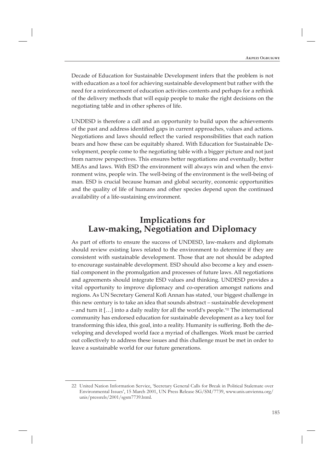Decade of Education for Sustainable Development infers that the problem is not with education as a tool for achieving sustainable development but rather with the need for a reinforcement of education activities contents and perhaps for a rethink of the delivery methods that will equip people to make the right decisions on the negotiating table and in other spheres of life.

UNDESD is therefore a call and an opportunity to build upon the achievements of the past and address identified gaps in current approaches, values and actions. Negotiations and laws should reflect the varied responsibilities that each nation bears and how these can be equitably shared. With Education for Sustainable Development, people come to the negotiating table with a bigger picture and not just from narrow perspectives. This ensures better negotiations and eventually, better MEAs and laws. With ESD the environment will always win and when the environment wins, people win. The well-being of the environment is the well-being of man. ESD is crucial because human and global security, economic opportunities and the quality of life of humans and other species depend upon the continued availability of a life-sustaining environment.

## **Implications for Law-making, Negotiation and Diplomacy**

As part of efforts to ensure the success of UNDESD, law-makers and diplomats should review existing laws related to the environment to determine if they are consistent with sustainable development. Those that are not should be adapted to encourage sustainable development. ESD should also become a key and essential component in the promulgation and processes of future laws. All negotiations and agreements should integrate ESD values and thinking. UNDESD provides a vital opportunity to improve diplomacy and co-operation amongst nations and regions. As UN Secretary General Kofi Annan has stated, 'our biggest challenge in this new century is to take an idea that sounds abstract – sustainable development – and turn it […] into a daily reality for all the world's people.' 22 The international community has endorsed education for sustainable development as a key tool for transforming this idea, this goal, into a reality. Humanity is suffering. Both the developing and developed world face a myriad of challenges. Work must be carried out collectively to address these issues and this challenge must be met in order to leave a sustainable world for our future generations.

<sup>22</sup> United Nation Information Service, 'Secretary General Calls for Break in Political Stalemate over Environmental Issues', 15 March 2001, UN Press Release SG/SM/7739, www.unis.unvienna.org/ unis/pressrels/2001/sgsm7739.html.